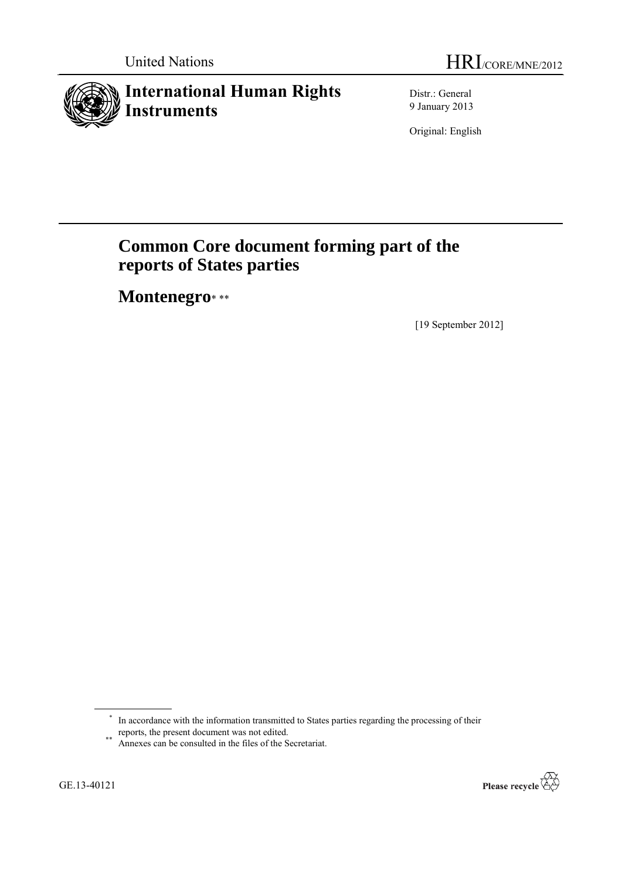# **International Human Rights Instruments**

Distr.: General 9 January 2013

Original: English

# **Common Core document forming part of the reports of States parties**

**Montenegro**\* \*\*

[19 September 2012]



<sup>\*</sup> In accordance with the information transmitted to States parties regarding the processing of their reports, the present document was not edited.

<sup>\*\*</sup> Annexes can be consulted in the files of the Secretariat.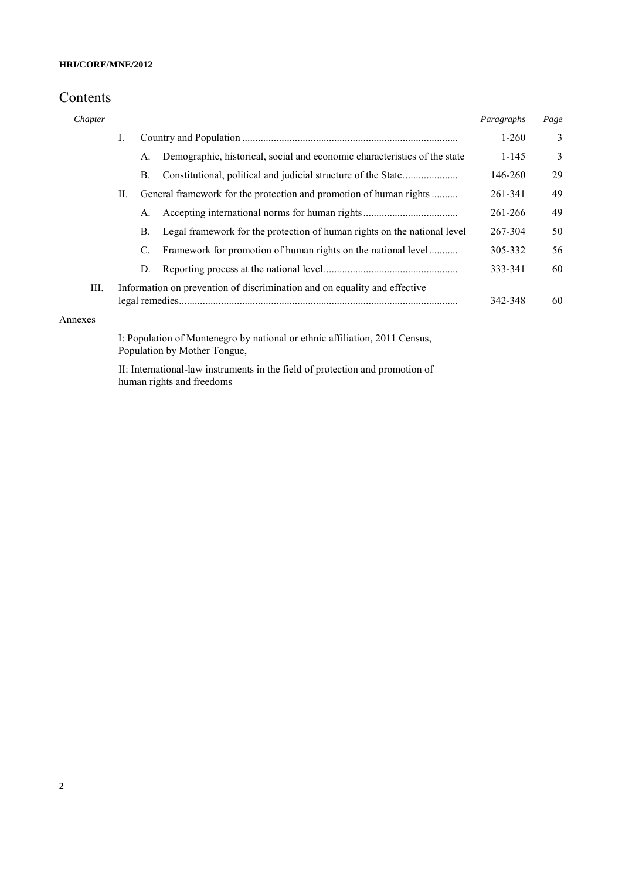# Contents

| Chapter |    |           |                                                                                                             | Paragraphs | Page |
|---------|----|-----------|-------------------------------------------------------------------------------------------------------------|------------|------|
|         | I. |           |                                                                                                             | $1-260$    | 3    |
|         |    | A.        | Demographic, historical, social and economic characteristics of the state                                   | $1 - 145$  | 3    |
|         |    | <b>B.</b> |                                                                                                             | 146-260    | 29   |
|         | П. |           | General framework for the protection and promotion of human rights                                          | 261-341    | 49   |
|         |    | A.        |                                                                                                             | 261-266    | 49   |
|         |    | <b>B.</b> | Legal framework for the protection of human rights on the national level                                    | 267-304    | 50   |
|         |    | C.        | Framework for promotion of human rights on the national level                                               | 305-332    | 56   |
|         |    | D.        |                                                                                                             | 333-341    | 60   |
| Ш.      |    |           | Information on prevention of discrimination and on equality and effective                                   | 342-348    | 60   |
| Annexes |    |           |                                                                                                             |            |      |
|         |    |           | I: Population of Montenegro by national or ethnic affiliation, 2011 Census,<br>Population by Mother Tongue, |            |      |

II: International-law instruments in the field of protection and promotion of human rights and freedoms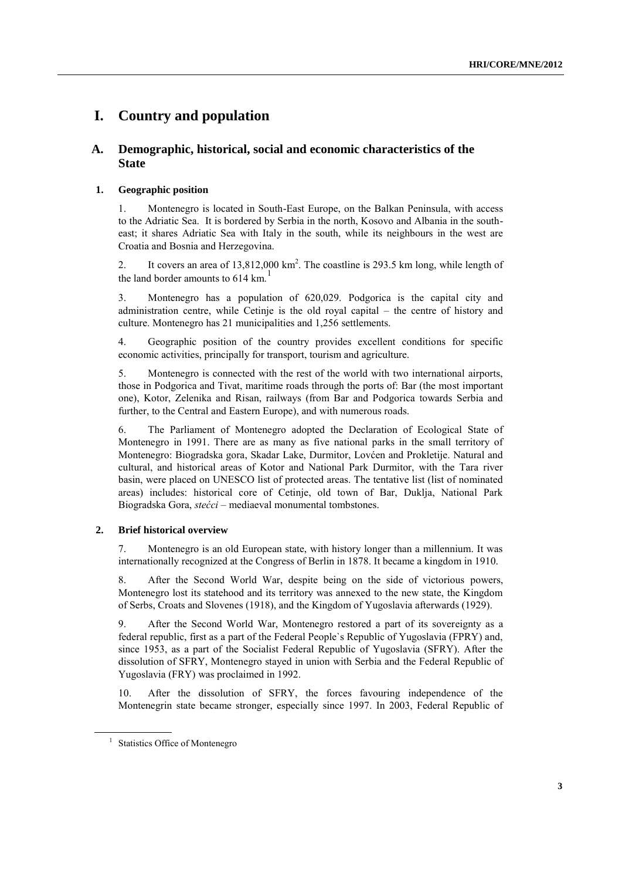# **I. Country and population**

# **A. Demographic, historical, social and economic characteristics of the State**

## **1. Geographic position**

1. Montenegro is located in South-East Europe, on the Balkan Peninsula, with access to the Adriatic Sea. It is bordered by Serbia in the north, Kosovo and Albania in the southeast; it shares Adriatic Sea with Italy in the south, while its neighbours in the west are Croatia and Bosnia and Herzegovina.

2. It covers an area of  $13,812,000 \text{ km}^2$ . The coastline is 293.5 km long, while length of the land border amounts to  $614 \text{ km}$ <sup>1</sup>

3. Montenegro has a population of 620,029. Podgorica is the capital city and administration centre, while Cetinje is the old royal capital – the centre of history and culture. Montenegro has 21 municipalities and 1,256 settlements.

4. Geographic position of the country provides excellent conditions for specific economic activities, principally for transport, tourism and agriculture.

5. Montenegro is connected with the rest of the world with two international airports, those in Podgorica and Tivat, maritime roads through the ports of: Bar (the most important one), Kotor, Zelenika and Risan, railways (from Bar and Podgorica towards Serbia and further, to the Central and Eastern Europe), and with numerous roads.

6. The Parliament of Montenegro adopted the Declaration of Ecological State of Montenegro in 1991. There are as many as five national parks in the small territory of Montenegro: Biogradska gora, Skadar Lake, Durmitor, Lovćen and Prokletije. Natural and cultural, and historical areas of Kotor and National Park Durmitor, with the Tara river basin, were placed on UNESCO list of protected areas. The tentative list (list of nominated areas) includes: historical core of Cetinje, old town of Bar, Duklja, National Park Biogradska Gora, *stećci* – mediaeval monumental tombstones.

## **2. Brief historical overview**

7. Montenegro is an old European state, with history longer than a millennium. It was internationally recognized at the Congress of Berlin in 1878. It became a kingdom in 1910.

8. After the Second World War, despite being on the side of victorious powers, Montenegro lost its statehood and its territory was annexed to the new state, the Kingdom of Serbs, Croats and Slovenes (1918), and the Kingdom of Yugoslavia afterwards (1929).

9. After the Second World War, Montenegro restored a part of its sovereignty as a federal republic, first as a part of the Federal People`s Republic of Yugoslavia (FPRY) and, since 1953, as a part of the Socialist Federal Republic of Yugoslavia (SFRY). After the dissolution of SFRY, Montenegro stayed in union with Serbia and the Federal Republic of Yugoslavia (FRY) was proclaimed in 1992.

10. After the dissolution of SFRY, the forces favouring independence of the Montenegrin state became stronger, especially since 1997. In 2003, Federal Republic of

<sup>&</sup>lt;sup>1</sup> Statistics Office of Montenegro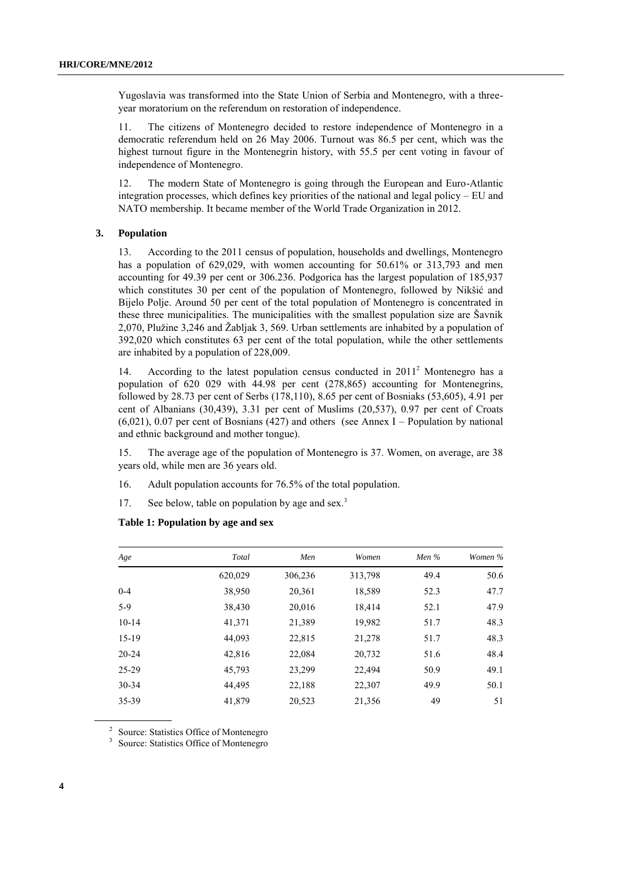Yugoslavia was transformed into the State Union of Serbia and Montenegro, with a threeyear moratorium on the referendum on restoration of independence.

11. The citizens of Montenegro decided to restore independence of Montenegro in a democratic referendum held on 26 May 2006. Turnout was 86.5 per cent, which was the highest turnout figure in the Montenegrin history, with 55.5 per cent voting in favour of independence of Montenegro.

12. The modern State of Montenegro is going through the European and Euro-Atlantic integration processes, which defines key priorities of the national and legal policy – EU and NATO membership. It became member of the World Trade Organization in 2012.

## **3. Population**

13. According to the 2011 census of population, households and dwellings, Montenegro has a population of 629,029, with women accounting for 50.61% or 313,793 and men accounting for 49.39 per cent or 306.236. Podgorica has the largest population of 185,937 which constitutes 30 per cent of the population of Montenegro, followed by Nikšić and Bijelo Polje. Around 50 per cent of the total population of Montenegro is concentrated in these three municipalities. The municipalities with the smallest population size are Šavnik 2,070, Plužine 3,246 and Žabljak 3, 569. Urban settlements are inhabited by a population of 392,020 which constitutes 63 per cent of the total population, while the other settlements are inhabited by a population of 228,009.

14. According to the latest population census conducted in 2011<sup>2</sup> Montenegro has a population of 620 029 with 44.98 per cent (278,865) accounting for Montenegrins, followed by 28.73 per cent of Serbs (178,110), 8.65 per cent of Bosniaks (53,605), 4.91 per cent of Albanians (30,439), 3.31 per cent of Muslims (20,537), 0.97 per cent of Croats (6,021), 0.07 per cent of Bosnians (427) and others (see Annex I – Population by national and ethnic background and mother tongue).

15. The average age of the population of Montenegro is 37. Women, on average, are 38 years old, while men are 36 years old.

- 16. Adult population accounts for 76.5% of the total population.
- 17. See below, table on population by age and sex.<sup>3</sup>

| Age       | Total   | Men     | Women   | Men $%$ | Women % |
|-----------|---------|---------|---------|---------|---------|
|           | 620,029 | 306,236 | 313,798 | 49.4    | 50.6    |
| $0 - 4$   | 38,950  | 20,361  | 18,589  | 52.3    | 47.7    |
| $5-9$     | 38,430  | 20,016  | 18.414  | 52.1    | 47.9    |
| $10 - 14$ | 41,371  | 21,389  | 19,982  | 51.7    | 48.3    |
| $15-19$   | 44.093  | 22,815  | 21,278  | 51.7    | 48.3    |
| $20 - 24$ | 42.816  | 22,084  | 20,732  | 51.6    | 48.4    |
| 25-29     | 45,793  | 23,299  | 22,494  | 50.9    | 49.1    |
| $30 - 34$ | 44.495  | 22,188  | 22,307  | 49.9    | 50.1    |
| 35-39     | 41,879  | 20,523  | 21,356  | 49      | 51      |

## **Table 1: Population by age and sex**

2 Source: Statistics Office of Montenegro

<sup>3</sup> Source: Statistics Office of Montenegro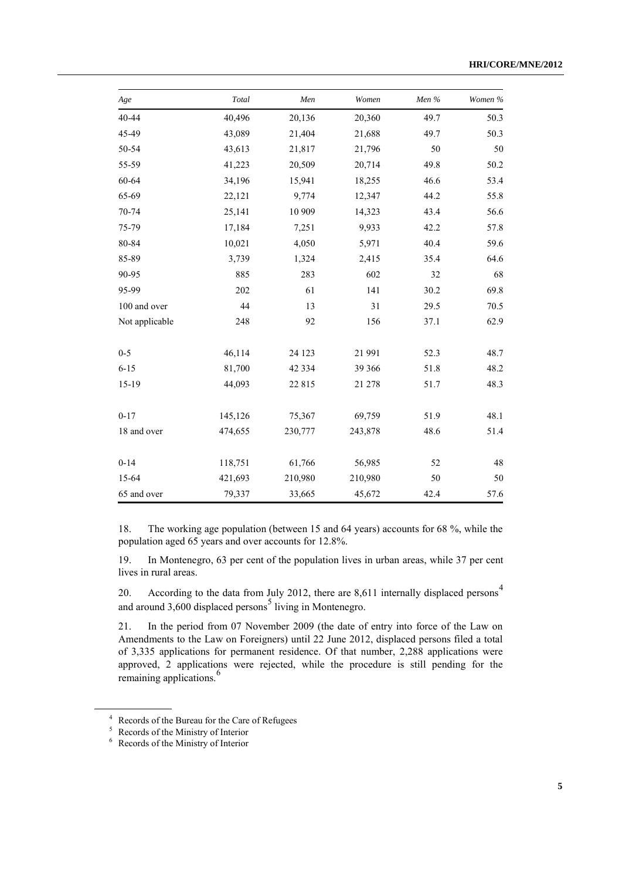| Age            | Total   | Men      | Women   | Men % | Women % |
|----------------|---------|----------|---------|-------|---------|
| 40-44          | 40,496  | 20,136   | 20,360  | 49.7  | 50.3    |
| 45-49          | 43,089  | 21,404   | 21,688  | 49.7  | 50.3    |
| 50-54          | 43,613  | 21,817   | 21,796  | 50    | 50      |
| 55-59          | 41,223  | 20,509   | 20,714  | 49.8  | 50.2    |
| 60-64          | 34,196  | 15,941   | 18,255  | 46.6  | 53.4    |
| 65-69          | 22,121  | 9,774    | 12,347  | 44.2  | 55.8    |
| 70-74          | 25,141  | 10 909   | 14,323  | 43.4  | 56.6    |
| 75-79          | 17,184  | 7,251    | 9,933   | 42.2  | 57.8    |
| 80-84          | 10,021  | 4,050    | 5,971   | 40.4  | 59.6    |
| 85-89          | 3,739   | 1,324    | 2,415   | 35.4  | 64.6    |
| 90-95          | 885     | 283      | 602     | 32    | 68      |
| 95-99          | 202     | 61       | 141     | 30.2  | 69.8    |
| 100 and over   | 44      | 13       | 31      | 29.5  | 70.5    |
| Not applicable | 248     | 92       | 156     | 37.1  | 62.9    |
| $0 - 5$        | 46,114  | 24 1 23  | 21 991  | 52.3  | 48.7    |
| $6 - 15$       | 81,700  | 42 3 3 4 | 39 366  | 51.8  | 48.2    |
| 15-19          | 44,093  | 22 8 15  | 21 278  | 51.7  | 48.3    |
| $0 - 17$       | 145,126 | 75,367   | 69,759  | 51.9  | 48.1    |
| 18 and over    | 474,655 | 230,777  | 243,878 | 48.6  | 51.4    |
| $0 - 14$       | 118,751 | 61,766   | 56,985  | 52    | 48      |
| 15-64          | 421,693 | 210,980  | 210,980 | 50    | 50      |
| 65 and over    | 79,337  | 33,665   | 45,672  | 42.4  | 57.6    |

18. The working age population (between 15 and 64 years) accounts for 68 %, while the population aged 65 years and over accounts for 12.8%.

19. In Montenegro, 63 per cent of the population lives in urban areas, while 37 per cent lives in rural areas.

20. According to the data from July 2012, there are 8,611 internally displaced persons<sup>4</sup> and around  $3,600$  displaced persons<sup>5</sup> living in Montenegro.

21. In the period from 07 November 2009 (the date of entry into force of the Law on Amendments to the Law on Foreigners) until 22 June 2012, displaced persons filed a total of 3,335 applications for permanent residence. Of that number, 2,288 applications were approved, 2 applications were rejected, while the procedure is still pending for the remaining applications.<sup>6</sup>

<sup>4</sup> Records of the Bureau for the Care of Refugees

<sup>&</sup>lt;sup>5</sup> Records of the Ministry of Interior

<sup>6</sup> Records of the Ministry of Interior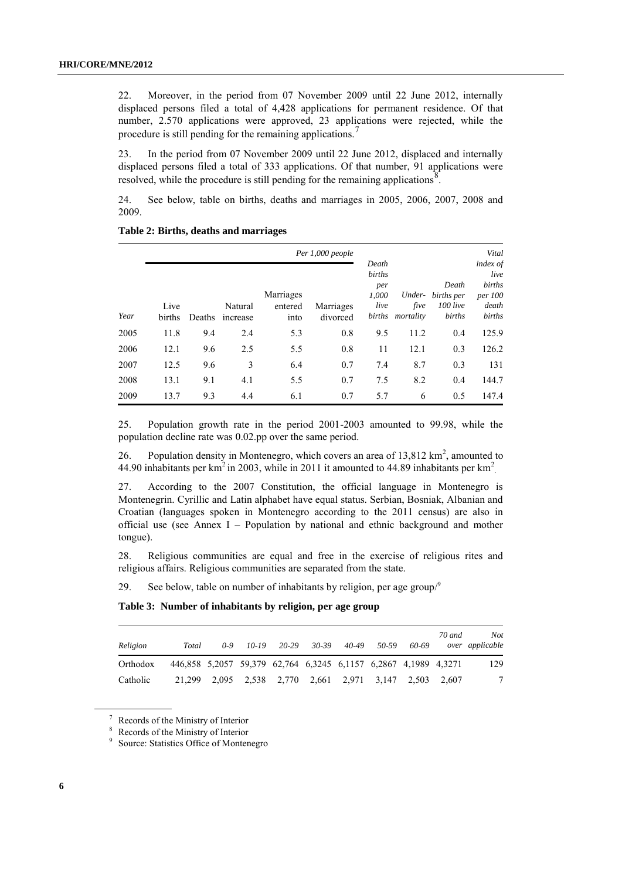22. Moreover, in the period from 07 November 2009 until 22 June 2012, internally displaced persons filed a total of 4,428 applications for permanent residence. Of that number, 2.570 applications were approved, 23 applications were rejected, while the procedure is still pending for the remaining applications.

23. In the period from 07 November 2009 until 22 June 2012, displaced and internally displaced persons filed a total of 333 applications. Of that number, 91 applications were resolved, while the procedure is still pending for the remaining applications<sup>8</sup>.

24. See below, table on births, deaths and marriages in 2005, 2006, 2007, 2008 and 2009.

|      |                |        |                     |                              |                       |                                                   | Vital                       |                                             |                                                                 |
|------|----------------|--------|---------------------|------------------------------|-----------------------|---------------------------------------------------|-----------------------------|---------------------------------------------|-----------------------------------------------------------------|
| Year | Live<br>births | Deaths | Natural<br>increase | Marriages<br>entered<br>into | Marriages<br>divorced | Death<br>births<br>per<br>1.000<br>live<br>births | Under-<br>five<br>mortality | Death<br>births per<br>$100$ live<br>births | index of<br>live<br>births<br><i>per</i> 100<br>death<br>births |
| 2005 | 11.8           | 9.4    | 2.4                 | 5.3                          | 0.8                   | 9.5                                               | 11.2                        | 0.4                                         | 125.9                                                           |
| 2006 | 12.1           | 9.6    | 2.5                 | 5.5                          | 0.8                   | 11                                                | 12.1                        | 0.3                                         | 126.2                                                           |
| 2007 | 12.5           | 9.6    | 3                   | 6.4                          | 0.7                   | 7.4                                               | 8.7                         | 0.3                                         | 131                                                             |
| 2008 | 13.1           | 9.1    | 4.1                 | 5.5                          | 0.7                   | 7.5                                               | 8.2                         | 0.4                                         | 144.7                                                           |
| 2009 | 13.7           | 9.3    | 4.4                 | 6.1                          | 0.7                   | 5.7                                               | 6                           | 0.5                                         | 147.4                                                           |

**Table 2: Births, deaths and marriages**

25. Population growth rate in the period 2001-2003 amounted to 99.98, while the population decline rate was 0.02.pp over the same period.

26. Population density in Montenegro, which covers an area of  $13,812 \text{ km}^2$ , amounted to 44.90 inhabitants per km<sup>2</sup> in 2003, while in 2011 it amounted to 44.89 inhabitants per km<sup>2</sup>

27. According to the 2007 Constitution, the official language in Montenegro is Montenegrin. Cyrillic and Latin alphabet have equal status. Serbian, Bosniak, Albanian and Croatian (languages spoken in Montenegro according to the 2011 census) are also in official use (see Annex I – Population by national and ethnic background and mother tongue).

28. Religious communities are equal and free in the exercise of religious rites and religious affairs. Religious communities are separated from the state.

29. See below, table on number of inhabitants by religion, per age group $\beta$ 

**Table 3: Number of inhabitants by religion, per age group**

| Religion | Total                                                           | $0 - 9$ | $10-19$ | 20-29 | 30-39                                                  | 40-49 | 50-59 | 60-69 | 70 and | Not.<br>over applicable |
|----------|-----------------------------------------------------------------|---------|---------|-------|--------------------------------------------------------|-------|-------|-------|--------|-------------------------|
| Orthodox | 446,858 5,2057 59,379 62,764 6,3245 6,1157 6,2867 4,1989 4,3271 |         |         |       |                                                        |       |       |       |        | 129                     |
| Catholic |                                                                 |         |         |       | 21,299 2,095 2,538 2,770 2,661 2,971 3,147 2,503 2,607 |       |       |       |        |                         |

<sup>7</sup> Records of the Ministry of Interior

<sup>8</sup> Records of the Ministry of Interior

<sup>9</sup> Source: Statistics Office of Montenegro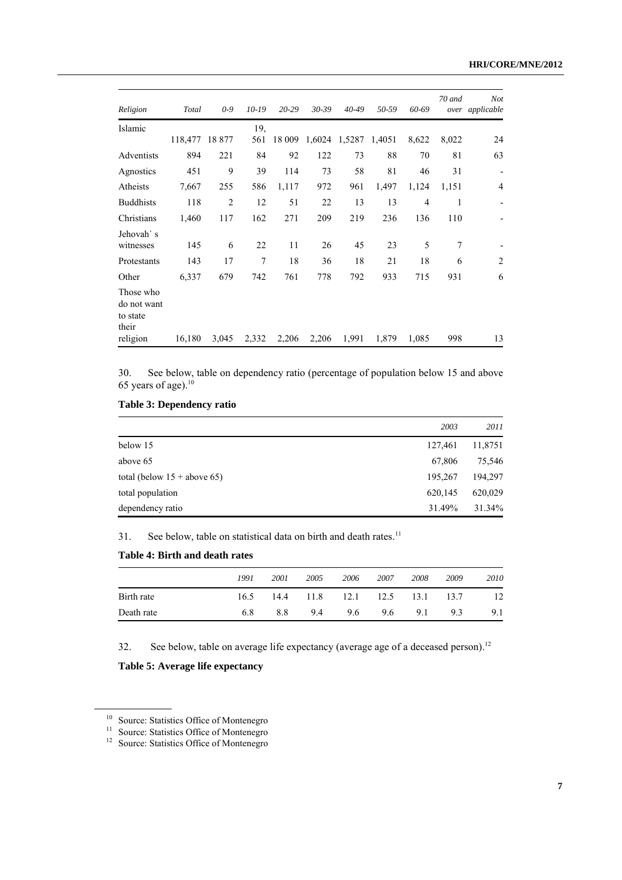| Religion                                      | Total          | $0 - 9$        | $10-19$ | $20 - 29$ | $30 - 39$ | 40-49                | 50-59 | 60-69 | 70 and | <b>Not</b><br>over applicable |
|-----------------------------------------------|----------------|----------------|---------|-----------|-----------|----------------------|-------|-------|--------|-------------------------------|
| Islamic                                       |                |                | 19,     |           |           |                      |       |       |        |                               |
|                                               | 118,477 18 877 |                | 561     | 18 009    |           | 1,6024 1,5287 1,4051 |       | 8,622 | 8,022  | 24                            |
| Adventists                                    | 894            | 221            | 84      | 92        | 122       | 73                   | 88    | 70    | 81     | 63                            |
| Agnostics                                     | 451            | 9              | 39      | 114       | 73        | 58                   | 81    | 46    | 31     | $\qquad \qquad \blacksquare$  |
| Atheists                                      | 7,667          | 255            | 586     | 1,117     | 972       | 961                  | 1,497 | 1,124 | 1,151  | $\overline{4}$                |
| <b>Buddhists</b>                              | 118            | $\overline{2}$ | 12      | 51        | 22        | 13                   | 13    | 4     | 1      | $\overline{\phantom{0}}$      |
| Christians                                    | 1,460          | 117            | 162     | 271       | 209       | 219                  | 236   | 136   | 110    |                               |
| Jehovah`s                                     |                |                |         |           |           |                      |       |       |        |                               |
| witnesses                                     | 145            | 6              | 22      | 11        | 26        | 45                   | 23    | 5     | 7      |                               |
| Protestants                                   | 143            | 17             | 7       | 18        | 36        | 18                   | 21    | 18    | 6      | $\overline{2}$                |
| Other                                         | 6,337          | 679            | 742     | 761       | 778       | 792                  | 933   | 715   | 931    | 6                             |
| Those who<br>do not want<br>to state<br>their |                |                |         |           |           |                      |       |       |        |                               |
| religion                                      | 16,180         | 3,045          | 2,332   | 2,206     | 2,206     | 1,991                | 1,879 | 1,085 | 998    | 13                            |

30. See below, table on dependency ratio (percentage of population below 15 and above 65 years of age). $10$ 

|  |  |  | Table 3: Dependency ratio |  |
|--|--|--|---------------------------|--|
|--|--|--|---------------------------|--|

| 2003                                     | 2011    |
|------------------------------------------|---------|
| below 15<br>127,461                      | 11,8751 |
| 67,806<br>above 65                       | 75,546  |
| total (below $15 +$ above 65)<br>195,267 | 194,297 |
| 620,145<br>total population              | 620,029 |
| 31.49%<br>dependency ratio               | 31.34%  |

31. See below, table on statistical data on birth and death rates.<sup>11</sup>

# **Table 4: Birth and death rates**

|            | 1991 | 2001 | 2005                          | 2006 | 2007 | 2008 | 2009 | 2010 |
|------------|------|------|-------------------------------|------|------|------|------|------|
| Birth rate | 16.5 |      | 14.4 11.8 12.1 12.5 13.1 13.7 |      |      |      |      | 12   |
| Death rate | 68   | 8.8  | 9.4                           | 9.6  | 9.6  | 9.1  | 9.3  | 9.1  |

32. See below, table on average life expectancy (average age of a deceased person).<sup>12</sup>

**Table 5: Average life expectancy**

<sup>&</sup>lt;sup>10</sup> Source: Statistics Office of Montenegro

<sup>&</sup>lt;sup>11</sup> Source: Statistics Office of Montenegro

<sup>&</sup>lt;sup>12</sup> Source: Statistics Office of Montenegro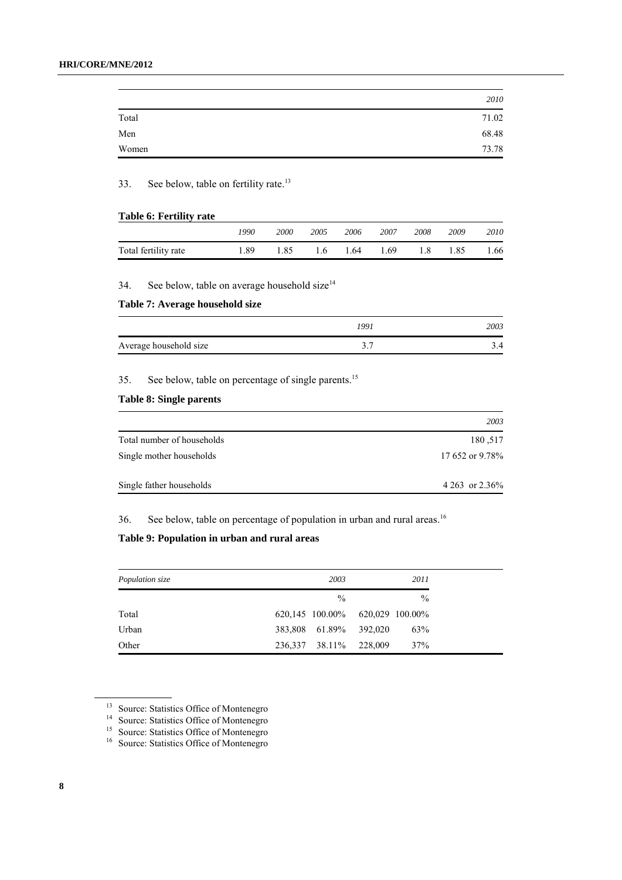|       | 2010  |
|-------|-------|
| Total | 71.02 |
| Men   | 68.48 |
| Women | 73.78 |

33. See below, table on fertility rate.<sup>13</sup>

## **Table 6: Fertility rate**

|                      | 1990 | 2000 | 2005 | 2006 | 2007 | 2008 | 2009 | 2010 |
|----------------------|------|------|------|------|------|------|------|------|
| Total fertility rate | 1.89 | 1.85 | 1.6  | 1.64 | 1.69 | 1.8  | 1.85 | 1.66 |

34. See below, table on average household size $14$ 

## **Table 7: Average household size**

|                        | 1991   | 2003 |
|------------------------|--------|------|
| Average household size | $\sim$ |      |

35. See below, table on percentage of single parents.<sup>15</sup>

# **Table 8: Single parents**

|                            | 2003              |
|----------------------------|-------------------|
| Total number of households | 180,517           |
| Single mother households   | 17 652 or 9.78%   |
| Single father households   | 4 263 or $2.36\%$ |

36. See below, table on percentage of population in urban and rural areas.<sup>16</sup>

# **Table 9: Population in urban and rural areas**

| Population size |  | 2011                            |         |               |
|-----------------|--|---------------------------------|---------|---------------|
|                 |  | $\%$                            |         | $\frac{0}{0}$ |
| Total           |  | 620,145 100.00% 620,029 100.00% |         |               |
| Urban           |  | 383,808 61.89%                  | 392,020 | 63%           |
| Other           |  | 236,337 38.11%                  | 228,009 | 37%           |

<sup>&</sup>lt;sup>13</sup> Source: Statistics Office of Montenegro

<sup>&</sup>lt;sup>14</sup> Source: Statistics Office of Montenegro

<sup>&</sup>lt;sup>15</sup> Source: Statistics Office of Montenegro

<sup>&</sup>lt;sup>16</sup> Source: Statistics Office of Montenegro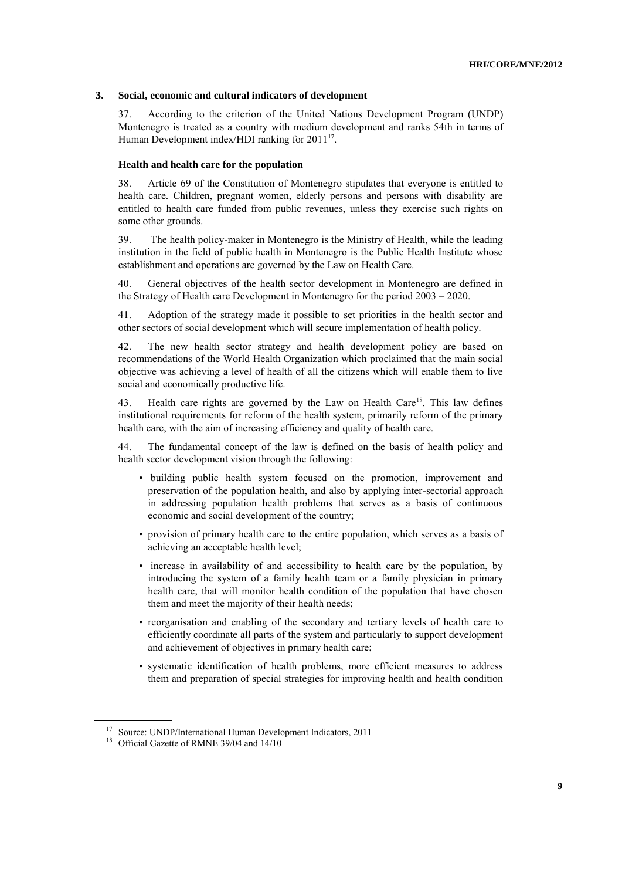#### **3. Social, economic and cultural indicators of development**

37. According to the criterion of the United Nations Development Program (UNDP) Montenegro is treated as a country with medium development and ranks 54th in terms of Human Development index/HDI ranking for 2011<sup>17</sup>.

#### **Health and health care for the population**

38. Article 69 of the Constitution of Montenegro stipulates that everyone is entitled to health care. Children, pregnant women, elderly persons and persons with disability are entitled to health care funded from public revenues, unless they exercise such rights on some other grounds.

39. The health policy-maker in Montenegro is the Ministry of Health, while the leading institution in the field of public health in Montenegro is the Public Health Institute whose establishment and operations are governed by the Law on Health Care.

40. General objectives of the health sector development in Montenegro are defined in the Strategy of Health care Development in Montenegro for the period 2003 – 2020.

41. Adoption of the strategy made it possible to set priorities in the health sector and other sectors of social development which will secure implementation of health policy.

42. The new health sector strategy and health development policy are based on recommendations of the World Health Organization which proclaimed that the main social objective was achieving a level of health of all the citizens which will enable them to live social and economically productive life.

43. Health care rights are governed by the Law on Health Care<sup>18</sup>. This law defines institutional requirements for reform of the health system, primarily reform of the primary health care, with the aim of increasing efficiency and quality of health care.

44. The fundamental concept of the law is defined on the basis of health policy and health sector development vision through the following:

- building public health system focused on the promotion, improvement and preservation of the population health, and also by applying inter-sectorial approach in addressing population health problems that serves as a basis of continuous economic and social development of the country;
- provision of primary health care to the entire population, which serves as a basis of achieving an acceptable health level;
- increase in availability of and accessibility to health care by the population, by introducing the system of a family health team or a family physician in primary health care, that will monitor health condition of the population that have chosen them and meet the majority of their health needs;
- reorganisation and enabling of the secondary and tertiary levels of health care to efficiently coordinate all parts of the system and particularly to support development and achievement of objectives in primary health care;
- systematic identification of health problems, more efficient measures to address them and preparation of special strategies for improving health and health condition

<sup>17</sup> Source: UNDP/International Human Development Indicators, 2011

<sup>&</sup>lt;sup>18</sup> Official Gazette of RMNE 39/04 and 14/10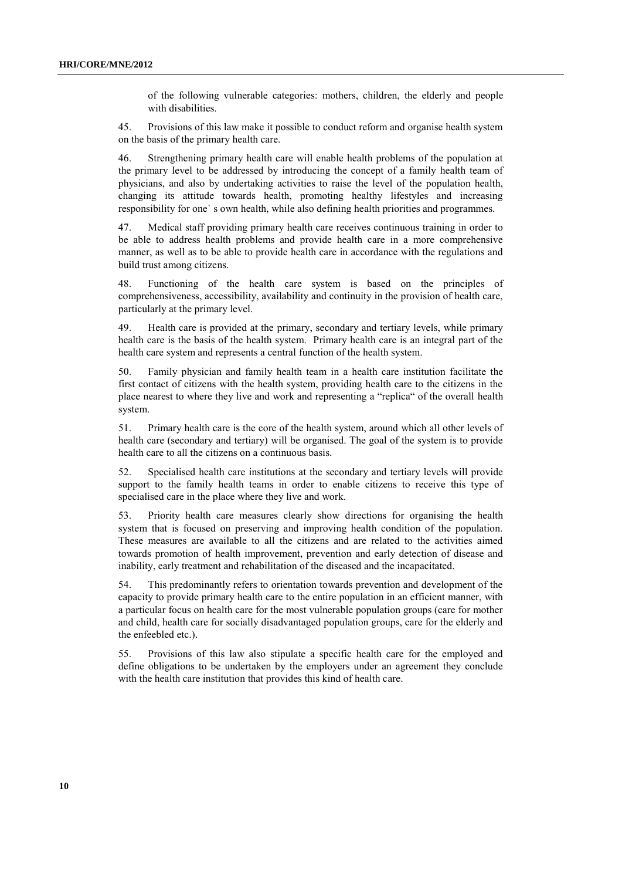of the following vulnerable categories: mothers, children, the elderly and people with disabilities.

45. Provisions of this law make it possible to conduct reform and organise health system on the basis of the primary health care.

46. Strengthening primary health care will enable health problems of the population at the primary level to be addressed by introducing the concept of a family health team of physicians, and also by undertaking activities to raise the level of the population health, changing its attitude towards health, promoting healthy lifestyles and increasing responsibility for one` s own health, while also defining health priorities and programmes.

47. Medical staff providing primary health care receives continuous training in order to be able to address health problems and provide health care in a more comprehensive manner, as well as to be able to provide health care in accordance with the regulations and build trust among citizens.

48. Functioning of the health care system is based on the principles of comprehensiveness, accessibility, availability and continuity in the provision of health care, particularly at the primary level.

49. Health care is provided at the primary, secondary and tertiary levels, while primary health care is the basis of the health system. Primary health care is an integral part of the health care system and represents a central function of the health system.

50. Family physician and family health team in a health care institution facilitate the first contact of citizens with the health system, providing health care to the citizens in the place nearest to where they live and work and representing a "replica" of the overall health system.

51. Primary health care is the core of the health system, around which all other levels of health care (secondary and tertiary) will be organised. The goal of the system is to provide health care to all the citizens on a continuous basis.

52. Specialised health care institutions at the secondary and tertiary levels will provide support to the family health teams in order to enable citizens to receive this type of specialised care in the place where they live and work.

53. Priority health care measures clearly show directions for organising the health system that is focused on preserving and improving health condition of the population. These measures are available to all the citizens and are related to the activities aimed towards promotion of health improvement, prevention and early detection of disease and inability, early treatment and rehabilitation of the diseased and the incapacitated.

54. This predominantly refers to orientation towards prevention and development of the capacity to provide primary health care to the entire population in an efficient manner, with a particular focus on health care for the most vulnerable population groups (care for mother and child, health care for socially disadvantaged population groups, care for the elderly and the enfeebled etc.).

55. Provisions of this law also stipulate a specific health care for the employed and define obligations to be undertaken by the employers under an agreement they conclude with the health care institution that provides this kind of health care.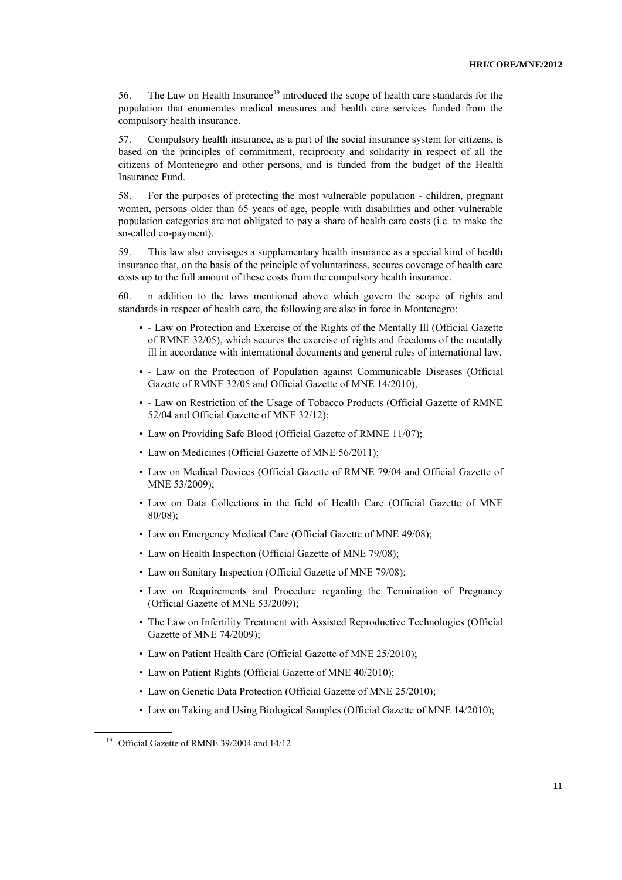56. The Law on Health Insurance<sup>19</sup> introduced the scope of health care standards for the population that enumerates medical measures and health care services funded from the compulsory health insurance.

57. Compulsory health insurance, as a part of the social insurance system for citizens, is based on the principles of commitment, reciprocity and solidarity in respect of all the citizens of Montenegro and other persons, and is funded from the budget of the Health Insurance Fund.

58. For the purposes of protecting the most vulnerable population - children, pregnant women, persons older than 65 years of age, people with disabilities and other vulnerable population categories are not obligated to pay a share of health care costs (i.e. to make the so-called co-payment).

59. This law also envisages a supplementary health insurance as a special kind of health insurance that, on the basis of the principle of voluntariness, secures coverage of health care costs up to the full amount of these costs from the compulsory health insurance.

60. n addition to the laws mentioned above which govern the scope of rights and standards in respect of health care, the following are also in force in Montenegro:

- - Law on Protection and Exercise of the Rights of the Mentally Ill (Official Gazette of RMNE 32/05), which secures the exercise of rights and freedoms of the mentally ill in accordance with international documents and general rules of international law.
- - Law on the Protection of Population against Communicable Diseases (Official Gazette of RMNE 32/05 and Official Gazette of MNE 14/2010),
- - Law on Restriction of the Usage of Tobacco Products (Official Gazette of RMNE 52/04 and Official Gazette of MNE 32/12);
- Law on Providing Safe Blood (Official Gazette of RMNE 11/07);
- Law on Medicines (Official Gazette of MNE 56/2011);
- Law on Medical Devices (Official Gazette of RMNE 79/04 and Official Gazette of MNE 53/2009);
- Law on Data Collections in the field of Health Care (Official Gazette of MNE 80/08);
- Law on Emergency Medical Care (Official Gazette of MNE 49/08);
- Law on Health Inspection (Official Gazette of MNE 79/08);
- Law on Sanitary Inspection (Official Gazette of MNE 79/08);
- Law on Requirements and Procedure regarding the Termination of Pregnancy (Official Gazette of MNE 53/2009);
- The Law on Infertility Treatment with Assisted Reproductive Technologies (Official Gazette of MNE 74/2009);
- Law on Patient Health Care (Official Gazette of MNE 25/2010);
- Law on Patient Rights (Official Gazette of MNE 40/2010);
- Law on Genetic Data Protection (Official Gazette of MNE 25/2010);
- Law on Taking and Using Biological Samples (Official Gazette of MNE 14/2010);

<sup>&</sup>lt;sup>19</sup> Official Gazette of RMNE 39/2004 and 14/12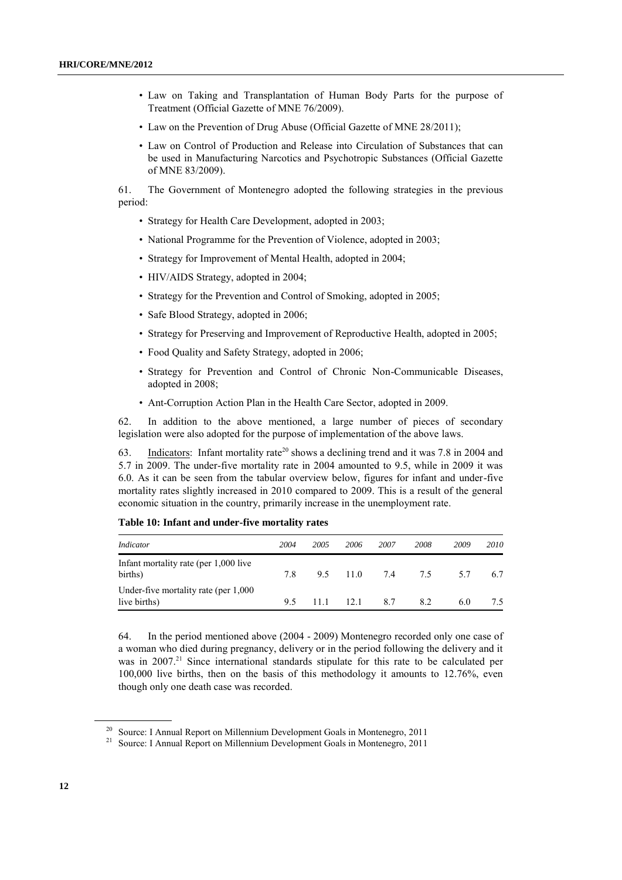- Law on Taking and Transplantation of Human Body Parts for the purpose of Treatment (Official Gazette of MNE 76/2009).
- Law on the Prevention of Drug Abuse (Official Gazette of MNE 28/2011);
- Law on Control of Production and Release into Circulation of Substances that can be used in Manufacturing Narcotics and Psychotropic Substances (Official Gazette of MNE 83/2009).

61. The Government of Montenegro adopted the following strategies in the previous period:

- Strategy for Health Care Development, adopted in 2003;
- National Programme for the Prevention of Violence, adopted in 2003;
- Strategy for Improvement of Mental Health, adopted in 2004;
- HIV/AIDS Strategy, adopted in 2004;
- Strategy for the Prevention and Control of Smoking, adopted in 2005;
- Safe Blood Strategy, adopted in 2006;
- Strategy for Preserving and Improvement of Reproductive Health, adopted in 2005;
- Food Quality and Safety Strategy, adopted in 2006;
- Strategy for Prevention and Control of Chronic Non-Communicable Diseases, adopted in 2008;
- Ant-Corruption Action Plan in the Health Care Sector, adopted in 2009.

62. In addition to the above mentioned, a large number of pieces of secondary legislation were also adopted for the purpose of implementation of the above laws.

63. Indicators: Infant mortality rate<sup>20</sup> shows a declining trend and it was 7.8 in 2004 and 5.7 in 2009. The under-five mortality rate in 2004 amounted to 9.5, while in 2009 it was 6.0. As it can be seen from the tabular overview below, figures for infant and under-five mortality rates slightly increased in 2010 compared to 2009. This is a result of the general economic situation in the country, primarily increase in the unemployment rate.

| Indicator                                                | 2004 | 2005 | 2006      | 2007 | 2008 | 2009 | 2010 |
|----------------------------------------------------------|------|------|-----------|------|------|------|------|
| Infant mortality rate (per 1,000 live)<br>births)        | 7.8  |      | 95 110 74 |      | 7.5  | 57   | 67   |
| Under-five mortality rate (per $1,000$ )<br>live births) | 95   | 11 1 | 12.1      | 8.7  | 82   | 6.0  | 7.5  |

## **Table 10: Infant and under-five mortality rates**

64. In the period mentioned above (2004 - 2009) Montenegro recorded only one case of a woman who died during pregnancy, delivery or in the period following the delivery and it was in 2007.<sup>21</sup> Since international standards stipulate for this rate to be calculated per 100,000 live births, then on the basis of this methodology it amounts to 12.76%, even though only one death case was recorded.

<sup>&</sup>lt;sup>20</sup> Source: I Annual Report on Millennium Development Goals in Montenegro, 2011

<sup>&</sup>lt;sup>21</sup> Source: I Annual Report on Millennium Development Goals in Montenegro, 2011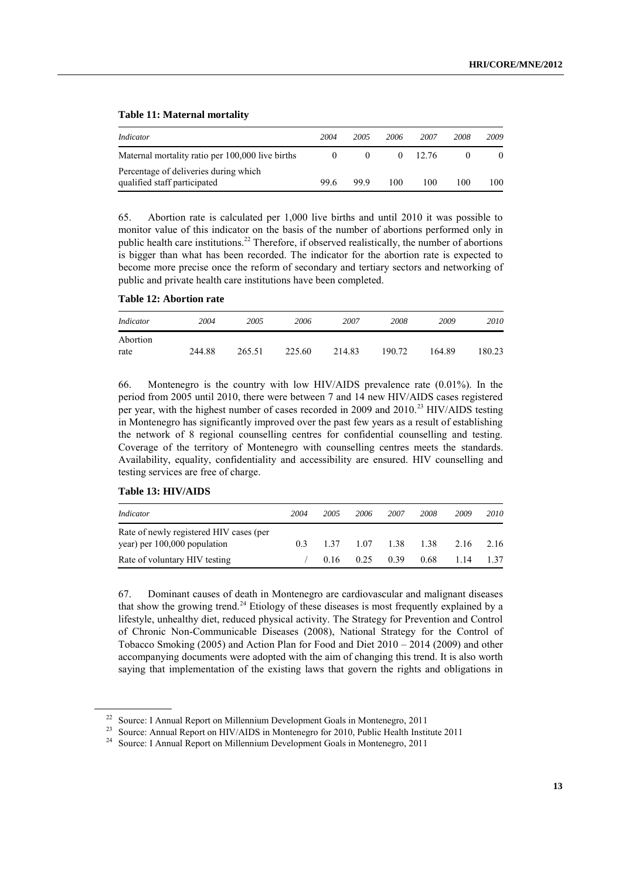| Indicator                                                             | 2004 | 2005 | 2006 | 2007    | 2008 | 2009 |
|-----------------------------------------------------------------------|------|------|------|---------|------|------|
| Maternal mortality ratio per 100,000 live births                      |      |      |      | (12.76) |      | 0    |
| Percentage of deliveries during which<br>qualified staff participated | 99.6 | 99.9 | 100  | 100     | 100  | 100  |

#### **Table 11: Maternal mortality**

65. Abortion rate is calculated per 1,000 live births and until 2010 it was possible to monitor value of this indicator on the basis of the number of abortions performed only in public health care institutions.<sup>22</sup> Therefore, if observed realistically, the number of abortions is bigger than what has been recorded. The indicator for the abortion rate is expected to become more precise once the reform of secondary and tertiary sectors and networking of public and private health care institutions have been completed.

## **Table 12: Abortion rate**

| Indicator        | 2004   | 2005   | 2006   | 2007   | 2008   | 2009   | 2010   |
|------------------|--------|--------|--------|--------|--------|--------|--------|
| Abortion<br>rate | 244.88 | 265.51 | 225.60 | 214.83 | 190.72 | 164.89 | 180.23 |

66. Montenegro is the country with low HIV/AIDS prevalence rate (0.01%). In the period from 2005 until 2010, there were between 7 and 14 new HIV/AIDS cases registered per year, with the highest number of cases recorded in 2009 and 2010.<sup>23</sup> HIV/AIDS testing in Montenegro has significantly improved over the past few years as a result of establishing the network of 8 regional counselling centres for confidential counselling and testing. Coverage of the territory of Montenegro with counselling centres meets the standards. Availability, equality, confidentiality and accessibility are ensured. HIV counselling and testing services are free of charge.

#### **Table 13: HIV/AIDS**

| Indicator                                                               | 2004 | 2005  | 2006 | 2007                 | 2008 | 2009      | 2010 |
|-------------------------------------------------------------------------|------|-------|------|----------------------|------|-----------|------|
| Rate of newly registered HIV cases (per<br>year) per 100,000 population | 03   | 1 3 7 |      | 1.07 1.38 1.38       |      | 2.16 2.16 |      |
| Rate of voluntary HIV testing                                           |      |       |      | $0.16$ $0.25$ $0.39$ | 0.68 | 1.14      | 1.37 |

67. Dominant causes of death in Montenegro are cardiovascular and malignant diseases that show the growing trend.<sup>24</sup> Etiology of these diseases is most frequently explained by a lifestyle, unhealthy diet, reduced physical activity. The Strategy for Prevention and Control of Chronic Non-Communicable Diseases (2008), National Strategy for the Control of Tobacco Smoking (2005) and Action Plan for Food and Diet 2010 – 2014 (2009) and other accompanying documents were adopted with the aim of changing this trend. It is also worth saying that implementation of the existing laws that govern the rights and obligations in

<sup>&</sup>lt;sup>22</sup> Source: I Annual Report on Millennium Development Goals in Montenegro, 2011

<sup>&</sup>lt;sup>23</sup> Source: Annual Report on HIV/AIDS in Montenegro for 2010, Public Health Institute 2011

<sup>&</sup>lt;sup>24</sup> Source: I Annual Report on Millennium Development Goals in Montenegro, 2011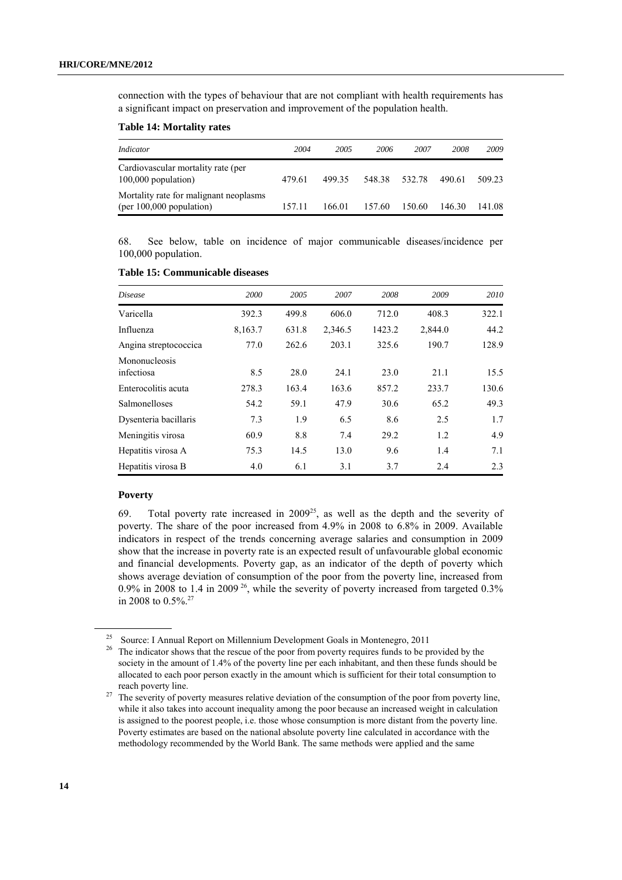connection with the types of behaviour that are not compliant with health requirements has a significant impact on preservation and improvement of the population health.

#### **Table 14: Mortality rates**

| Indicator                                                            | 2004   | 2005   | 2006   | 2007   | 2008   | 2009   |
|----------------------------------------------------------------------|--------|--------|--------|--------|--------|--------|
| Cardiovascular mortality rate (per<br>$100,000$ population)          | 479.61 | 499 35 | 548.38 | 532.78 | 490.61 | 509.23 |
| Mortality rate for malignant neoplasms<br>(per $100,000$ population) | 157 11 | 166 01 | 157.60 | 150.60 | 146.30 | 141 08 |

68. See below, table on incidence of major communicable diseases/incidence per 100,000 population.

| <i>Disease</i>              | 2000    | 2005  | 2007    | 2008   | 2009    | 2010  |
|-----------------------------|---------|-------|---------|--------|---------|-------|
| Varicella                   | 392.3   | 499.8 | 606.0   | 712.0  | 408.3   | 322.1 |
| Influenza                   | 8,163.7 | 631.8 | 2,346.5 | 1423.2 | 2,844.0 | 44.2  |
| Angina streptococcica       | 77.0    | 262.6 | 203.1   | 325.6  | 190.7   | 128.9 |
| Mononucleosis<br>infectiosa | 8.5     | 28.0  | 24.1    | 23.0   | 21.1    | 15.5  |
| Enterocolitis acuta         | 278.3   | 163.4 | 163.6   | 857.2  | 233.7   | 130.6 |
| Salmonelloses               | 54.2    | 59.1  | 47.9    | 30.6   | 65.2    | 49.3  |
| Dysenteria bacillaris       | 7.3     | 1.9   | 6.5     | 8.6    | 2.5     | 1.7   |
| Meningitis virosa           | 60.9    | 8.8   | 7.4     | 29.2   | 1.2     | 4.9   |
| Hepatitis virosa A          | 75.3    | 14.5  | 13.0    | 9.6    | 1.4     | 7.1   |
| Hepatitis virosa B          | 4.0     | 6.1   | 3.1     | 3.7    | 2.4     | 2.3   |

## **Table 15: Communicable diseases**

## **Poverty**

69. Total poverty rate increased in  $2009^{25}$ , as well as the depth and the severity of poverty. The share of the poor increased from 4.9% in 2008 to 6.8% in 2009. Available indicators in respect of the trends concerning average salaries and consumption in 2009 show that the increase in poverty rate is an expected result of unfavourable global economic and financial developments. Poverty gap, as an indicator of the depth of poverty which shows average deviation of consumption of the poor from the poverty line, increased from 0.9% in 2008 to 1.4 in 2009<sup>26</sup>, while the severity of poverty increased from targeted  $0.3\%$ in 2008 to  $0.5\%$ <sup>27</sup>

<sup>&</sup>lt;sup>25</sup> Source: I Annual Report on Millennium Development Goals in Montenegro, 2011<br><sup>26</sup> The indicator shows that the rescue of the poor from poverty requires finds to be p

<sup>26</sup> The indicator shows that the rescue of the poor from poverty requires funds to be provided by the society in the amount of 1.4% of the poverty line per each inhabitant, and then these funds should be allocated to each poor person exactly in the amount which is sufficient for their total consumption to reach poverty line.

<sup>&</sup>lt;sup>27</sup> The severity of poverty measures relative deviation of the consumption of the poor from poverty line, while it also takes into account inequality among the poor because an increased weight in calculation is assigned to the poorest people, i.e. those whose consumption is more distant from the poverty line. Poverty estimates are based on the national absolute poverty line calculated in accordance with the methodology recommended by the World Bank. The same methods were applied and the same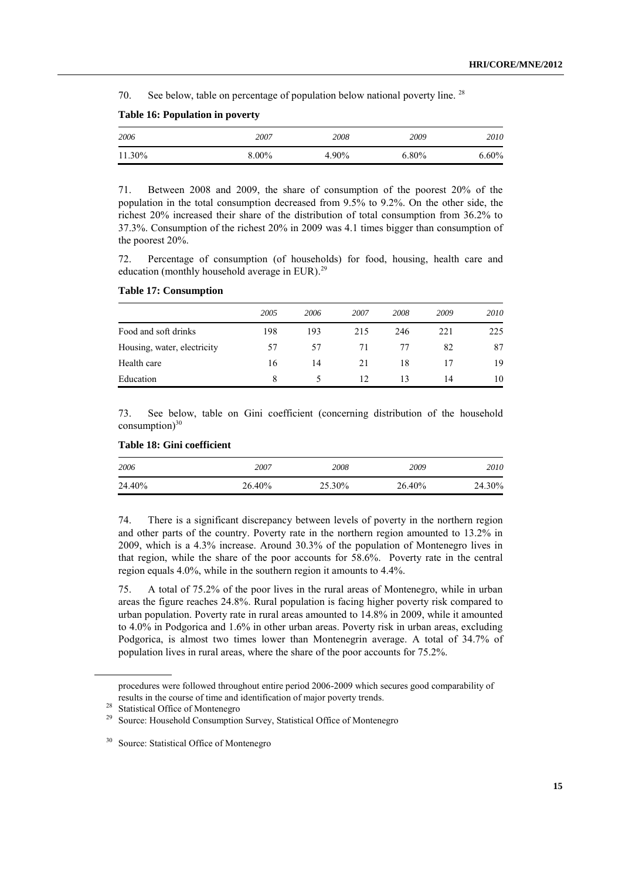70. See below, table on percentage of population below national poverty line.  $28$ 

| 2006   | 2007     | 2008  | 2009     | 2010     |
|--------|----------|-------|----------|----------|
| 11.30% | $8.00\%$ | 4.90% | $6.80\%$ | $6.60\%$ |

## **Table 16: Population in poverty**

71. Between 2008 and 2009, the share of consumption of the poorest 20% of the population in the total consumption decreased from 9.5% to 9.2%. On the other side, the richest 20% increased their share of the distribution of total consumption from 36.2% to 37.3%. Consumption of the richest 20% in 2009 was 4.1 times bigger than consumption of the poorest 20%.

72. Percentage of consumption (of households) for food, housing, health care and education (monthly household average in EUR).<sup>29</sup>

## **Table 17: Consumption**

|                             | 2005 | 2006 | 2007 | 2008 | 2009 | 2010 |
|-----------------------------|------|------|------|------|------|------|
| Food and soft drinks        | 198  | 193  | 215  | 246  | 221  | 225  |
| Housing, water, electricity | 57   | 57   | 71   | 77   | 82   | 87   |
| Health care                 | 16   | 14   | 21   | 18   |      | 19   |
| Education                   | 8    | ↖    | 12   | 13   | 14   | 10   |

73. See below, table on Gini coefficient (concerning distribution of the household consumption) $30$ 

## **Table 18: Gini coefficient**

| 2006   | 2007   | 2008   | 2009   | 2010   |
|--------|--------|--------|--------|--------|
| 24.40% | 26.40% | 25.30% | 26.40% | 24.30% |

74. There is a significant discrepancy between levels of poverty in the northern region and other parts of the country. Poverty rate in the northern region amounted to 13.2% in 2009, which is a 4.3% increase. Around 30.3% of the population of Montenegro lives in that region, while the share of the poor accounts for 58.6%. Poverty rate in the central region equals 4.0%, while in the southern region it amounts to 4.4%.

75. A total of 75.2% of the poor lives in the rural areas of Montenegro, while in urban areas the figure reaches 24.8%. Rural population is facing higher poverty risk compared to urban population. Poverty rate in rural areas amounted to 14.8% in 2009, while it amounted to 4.0% in Podgorica and 1.6% in other urban areas. Poverty risk in urban areas, excluding Podgorica, is almost two times lower than Montenegrin average. A total of 34.7% of population lives in rural areas, where the share of the poor accounts for 75.2%.

procedures were followed throughout entire period 2006-2009 which secures good comparability of results in the course of time and identification of major poverty trends.

<sup>&</sup>lt;sup>28</sup> Statistical Office of Montenegro

Source: Household Consumption Survey, Statistical Office of Montenegro

<sup>&</sup>lt;sup>30</sup> Source: Statistical Office of Montenegro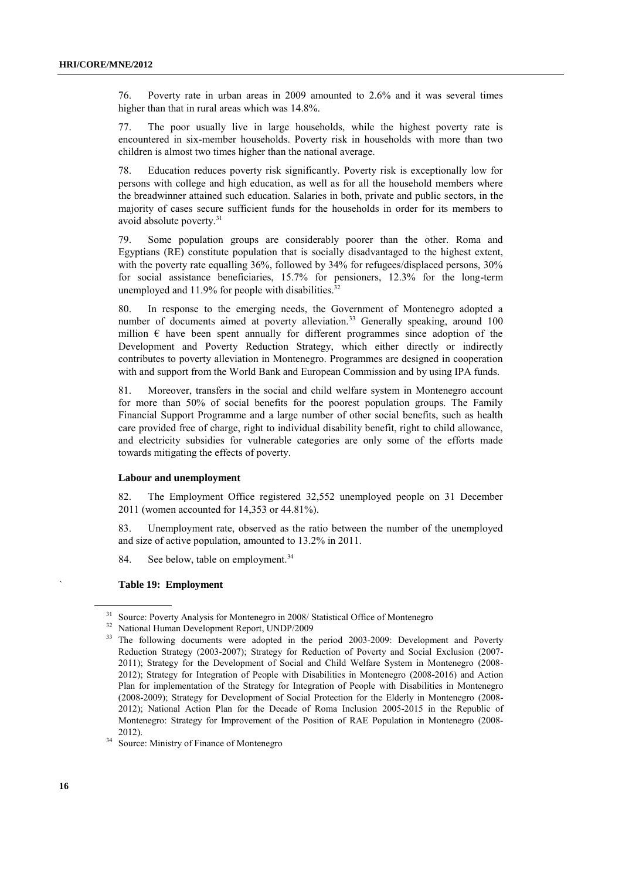76. Poverty rate in urban areas in 2009 amounted to 2.6% and it was several times higher than that in rural areas which was 14.8%.

77. The poor usually live in large households, while the highest poverty rate is encountered in six-member households. Poverty risk in households with more than two children is almost two times higher than the national average.

78. Education reduces poverty risk significantly. Poverty risk is exceptionally low for persons with college and high education, as well as for all the household members where the breadwinner attained such education. Salaries in both, private and public sectors, in the majority of cases secure sufficient funds for the households in order for its members to avoid absolute poverty.<sup>31</sup>

79. Some population groups are considerably poorer than the other. Roma and Egyptians (RE) constitute population that is socially disadvantaged to the highest extent, with the poverty rate equalling 36%, followed by 34% for refugees/displaced persons, 30% for social assistance beneficiaries, 15.7% for pensioners, 12.3% for the long-term unemployed and  $11.9\%$  for people with disabilities.<sup>32</sup>

80. In response to the emerging needs, the Government of Montenegro adopted a number of documents aimed at poverty alleviation.<sup>33</sup> Generally speaking, around  $100$ million  $\epsilon$  have been spent annually for different programmes since adoption of the Development and Poverty Reduction Strategy, which either directly or indirectly contributes to poverty alleviation in Montenegro. Programmes are designed in cooperation with and support from the World Bank and European Commission and by using IPA funds.

81. Moreover, transfers in the social and child welfare system in Montenegro account for more than 50% of social benefits for the poorest population groups. The Family Financial Support Programme and a large number of other social benefits, such as health care provided free of charge, right to individual disability benefit, right to child allowance, and electricity subsidies for vulnerable categories are only some of the efforts made towards mitigating the effects of poverty.

#### **Labour and unemployment**

82. The Employment Office registered 32,552 unemployed people on 31 December 2011 (women accounted for 14,353 or 44.81%).

83. Unemployment rate, observed as the ratio between the number of the unemployed and size of active population, amounted to 13.2% in 2011.

84. See below, table on employment.<sup>34</sup>

#### ` **Table 19: Employment**

<sup>&</sup>lt;sup>31</sup> Source: Poverty Analysis for Montenegro in 2008/ Statistical Office of Montenegro

<sup>32</sup> National Human Development Report, UNDP/2009

<sup>&</sup>lt;sup>33</sup> The following documents were adopted in the period 2003-2009: Development and Poverty Reduction Strategy (2003-2007); Strategy for Reduction of Poverty and Social Exclusion (2007- 2011); Strategy for the Development of Social and Child Welfare System in Montenegro (2008- 2012); Strategy for Integration of People with Disabilities in Montenegro (2008-2016) and Action Plan for implementation of the Strategy for Integration of People with Disabilities in Montenegro (2008-2009); Strategy for Development of Social Protection for the Elderly in Montenegro (2008- 2012); National Action Plan for the Decade of Roma Inclusion 2005-2015 in the Republic of Montenegro: Strategy for Improvement of the Position of RAE Population in Montenegro (2008- 2012).

<sup>&</sup>lt;sup>34</sup> Source: Ministry of Finance of Montenegro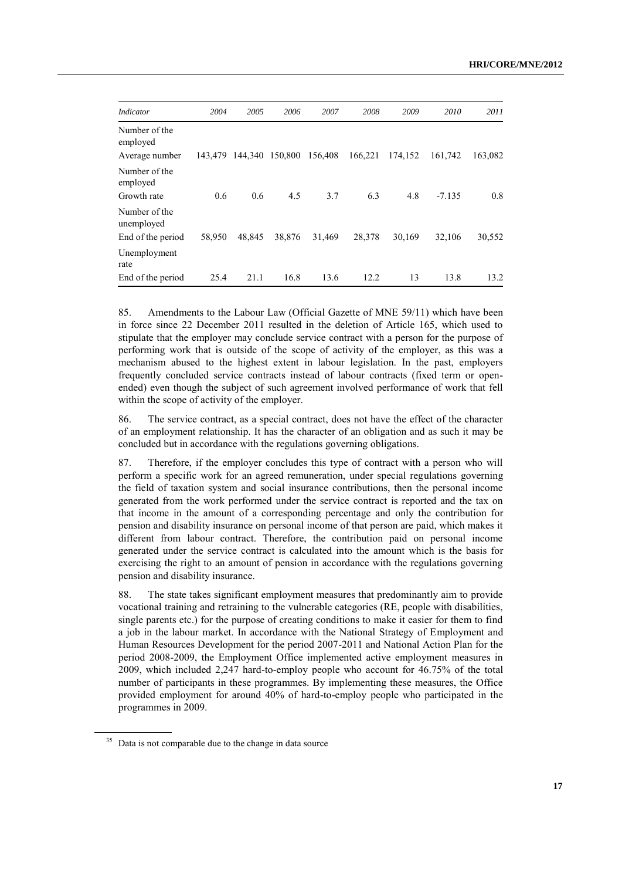| <i>Indicator</i>            | 2004    | 2005   | 2006            | 2007    | 2008    | 2009    | 2010     | 2011    |
|-----------------------------|---------|--------|-----------------|---------|---------|---------|----------|---------|
| Number of the<br>employed   |         |        |                 |         |         |         |          |         |
| Average number              | 143.479 |        | 144,340 150,800 | 156,408 | 166.221 | 174,152 | 161.742  | 163,082 |
| Number of the<br>employed   |         |        |                 |         |         |         |          |         |
| Growth rate                 | 0.6     | 0.6    | 4.5             | 3.7     | 6.3     | 4.8     | $-7.135$ | 0.8     |
| Number of the<br>unemployed |         |        |                 |         |         |         |          |         |
| End of the period           | 58,950  | 48.845 | 38,876          | 31,469  | 28,378  | 30,169  | 32,106   | 30,552  |
| Unemployment<br>rate        |         |        |                 |         |         |         |          |         |
| End of the period           | 25.4    | 21.1   | 16.8            | 13.6    | 12.2    | 13      | 13.8     | 13.2    |

85. Amendments to the Labour Law (Official Gazette of MNE 59/11) which have been in force since 22 December 2011 resulted in the deletion of Article 165, which used to stipulate that the employer may conclude service contract with a person for the purpose of performing work that is outside of the scope of activity of the employer, as this was a mechanism abused to the highest extent in labour legislation. In the past, employers frequently concluded service contracts instead of labour contracts (fixed term or openended) even though the subject of such agreement involved performance of work that fell within the scope of activity of the employer.

86. The service contract, as a special contract, does not have the effect of the character of an employment relationship. It has the character of an obligation and as such it may be concluded but in accordance with the regulations governing obligations.

87. Therefore, if the employer concludes this type of contract with a person who will perform a specific work for an agreed remuneration, under special regulations governing the field of taxation system and social insurance contributions, then the personal income generated from the work performed under the service contract is reported and the tax on that income in the amount of a corresponding percentage and only the contribution for pension and disability insurance on personal income of that person are paid, which makes it different from labour contract. Therefore, the contribution paid on personal income generated under the service contract is calculated into the amount which is the basis for exercising the right to an amount of pension in accordance with the regulations governing pension and disability insurance.

88. The state takes significant employment measures that predominantly aim to provide vocational training and retraining to the vulnerable categories (RE, people with disabilities, single parents etc.) for the purpose of creating conditions to make it easier for them to find a job in the labour market. In accordance with the National Strategy of Employment and Human Resources Development for the period 2007-2011 and National Action Plan for the period 2008-2009, the Employment Office implemented active employment measures in 2009, which included 2,247 hard-to-employ people who account for 46.75% of the total number of participants in these programmes. By implementing these measures, the Office provided employment for around 40% of hard-to-employ people who participated in the programmes in 2009.

 $35$  Data is not comparable due to the change in data source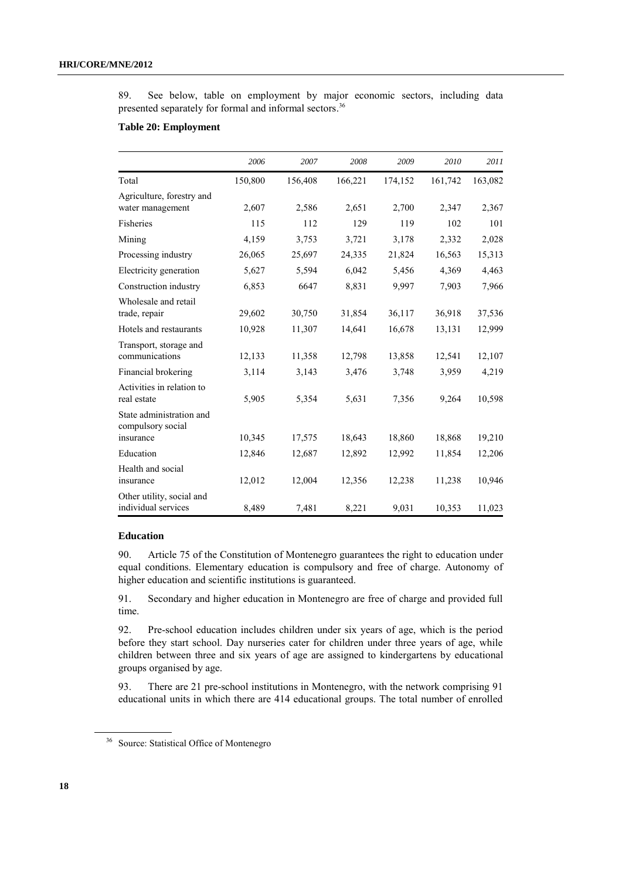89. See below, table on employment by major economic sectors, including data presented separately for formal and informal sectors.<sup>36</sup>

## **Table 20: Employment**

|                                                  | 2006    | 2007    | 2008    | 2009    | 2010    | 2011    |
|--------------------------------------------------|---------|---------|---------|---------|---------|---------|
| Total                                            | 150,800 | 156,408 | 166,221 | 174,152 | 161,742 | 163,082 |
| Agriculture, forestry and<br>water management    | 2,607   | 2,586   | 2,651   | 2,700   | 2,347   | 2,367   |
| Fisheries                                        | 115     | 112     | 129     | 119     | 102     | 101     |
| Mining                                           | 4,159   | 3,753   | 3,721   | 3,178   | 2,332   | 2,028   |
| Processing industry                              | 26,065  | 25,697  | 24,335  | 21,824  | 16,563  | 15,313  |
| Electricity generation                           | 5,627   | 5,594   | 6,042   | 5,456   | 4,369   | 4,463   |
| Construction industry                            | 6,853   | 6647    | 8,831   | 9,997   | 7,903   | 7,966   |
| Wholesale and retail<br>trade, repair            | 29,602  | 30,750  | 31,854  | 36,117  | 36,918  | 37,536  |
| Hotels and restaurants                           | 10,928  | 11,307  | 14,641  | 16,678  | 13,131  | 12,999  |
| Transport, storage and<br>communications         | 12,133  | 11,358  | 12,798  | 13,858  | 12,541  | 12,107  |
| Financial brokering                              | 3,114   | 3,143   | 3,476   | 3,748   | 3,959   | 4,219   |
| Activities in relation to<br>real estate         | 5,905   | 5,354   | 5,631   | 7,356   | 9,264   | 10,598  |
| State administration and<br>compulsory social    |         |         |         |         |         |         |
| insurance                                        | 10,345  | 17,575  | 18,643  | 18,860  | 18,868  | 19,210  |
| Education                                        | 12,846  | 12,687  | 12,892  | 12,992  | 11,854  | 12,206  |
| Health and social<br>insurance                   | 12,012  | 12,004  | 12,356  | 12,238  | 11,238  | 10,946  |
| Other utility, social and<br>individual services | 8,489   | 7,481   | 8,221   | 9,031   | 10,353  | 11,023  |

## **Education**

90. Article 75 of the Constitution of Montenegro guarantees the right to education under equal conditions. Elementary education is compulsory and free of charge. Autonomy of higher education and scientific institutions is guaranteed.

91. Secondary and higher education in Montenegro are free of charge and provided full time.

92. Pre-school education includes children under six years of age, which is the period before they start school. Day nurseries cater for children under three years of age, while children between three and six years of age are assigned to kindergartens by educational groups organised by age.

93. There are 21 pre-school institutions in Montenegro, with the network comprising 91 educational units in which there are 414 educational groups. The total number of enrolled

<sup>&</sup>lt;sup>36</sup> Source: Statistical Office of Montenegro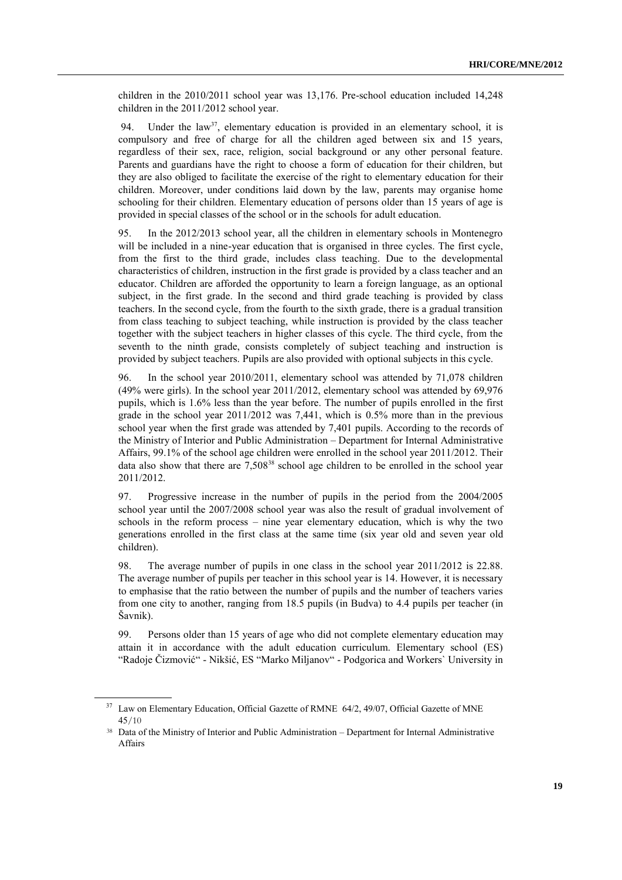children in the 2010/2011 school year was 13,176. Pre-school education included 14,248 children in the 2011/2012 school year.

94. Under the law<sup>37</sup>, elementary education is provided in an elementary school, it is compulsory and free of charge for all the children aged between six and 15 years, regardless of their sex, race, religion, social background or any other personal feature. Parents and guardians have the right to choose a form of education for their children, but they are also obliged to facilitate the exercise of the right to elementary education for their children. Moreover, under conditions laid down by the law, parents may organise home schooling for their children. Elementary education of persons older than 15 years of age is provided in special classes of the school or in the schools for adult education.

95. In the 2012/2013 school year, all the children in elementary schools in Montenegro will be included in a nine-year education that is organised in three cycles. The first cycle, from the first to the third grade, includes class teaching. Due to the developmental characteristics of children, instruction in the first grade is provided by a class teacher and an educator. Children are afforded the opportunity to learn a foreign language, as an optional subject, in the first grade. In the second and third grade teaching is provided by class teachers. In the second cycle, from the fourth to the sixth grade, there is a gradual transition from class teaching to subject teaching, while instruction is provided by the class teacher together with the subject teachers in higher classes of this cycle. The third cycle, from the seventh to the ninth grade, consists completely of subject teaching and instruction is provided by subject teachers. Pupils are also provided with optional subjects in this cycle.

96. In the school year 2010/2011, elementary school was attended by 71,078 children (49% were girls). In the school year 2011/2012, elementary school was attended by 69,976 pupils, which is 1.6% less than the year before. The number of pupils enrolled in the first grade in the school year 2011/2012 was 7,441, which is 0.5% more than in the previous school year when the first grade was attended by 7,401 pupils. According to the records of the Ministry of Interior and Public Administration – Department for Internal Administrative Affairs, 99.1% of the school age children were enrolled in the school year 2011/2012. Their data also show that there are  $7.508^{38}$  school age children to be enrolled in the school year 2011/2012.

97. Progressive increase in the number of pupils in the period from the 2004/2005 school year until the 2007/2008 school year was also the result of gradual involvement of schools in the reform process – nine year elementary education, which is why the two generations enrolled in the first class at the same time (six year old and seven year old children).

98. The average number of pupils in one class in the school year 2011/2012 is 22.88. The average number of pupils per teacher in this school year is 14. However, it is necessary to emphasise that the ratio between the number of pupils and the number of teachers varies from one city to another, ranging from 18.5 pupils (in Budva) to 4.4 pupils per teacher (in Šavnik).

99. Persons older than 15 years of age who did not complete elementary education may attain it in accordance with the adult education curriculum. Elementary school (ES) "Radoje Čizmović" - Nikšić, ES "Marko Miljanov" - Podgorica and Workers` University in

<sup>&</sup>lt;sup>37</sup> Law on Elementary Education, Official Gazette of RMNE 64/2, 49/07, Official Gazette of MNE 45/10

<sup>38</sup> Data of the Ministry of Interior and Public Administration – Department for Internal Administrative **Affairs**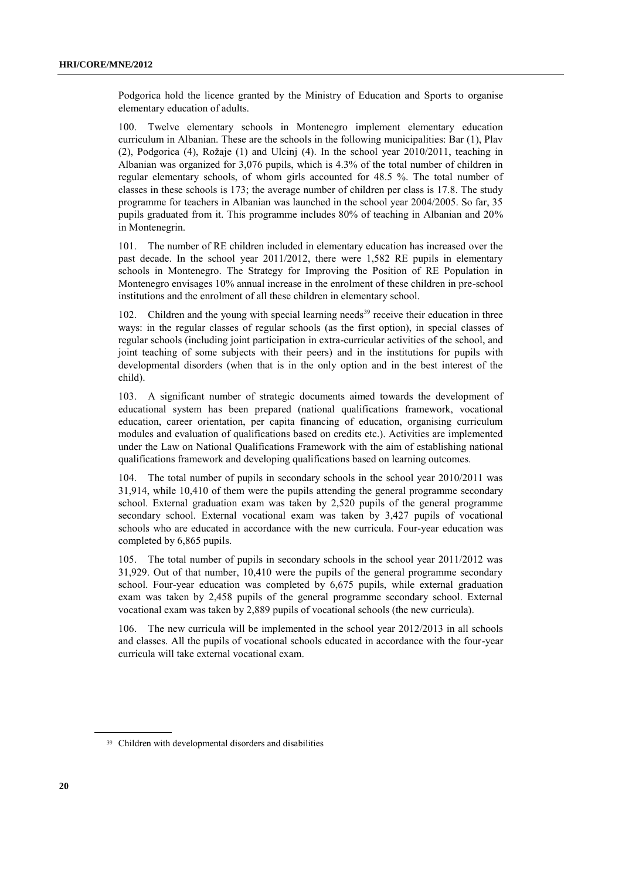Podgorica hold the licence granted by the Ministry of Education and Sports to organise elementary education of adults.

100. Twelve elementary schools in Montenegro implement elementary education curriculum in Albanian. These are the schools in the following municipalities: Bar (1), Plav  $(2)$ , Podgorica  $(4)$ , Rožaje  $(1)$  and Ulcinj  $(4)$ . In the school year 2010/2011, teaching in Albanian was organized for 3,076 pupils, which is 4.3% of the total number of children in regular elementary schools, of whom girls accounted for 48.5 %. The total number of classes in these schools is 173; the average number of children per class is 17.8. The study programme for teachers in Albanian was launched in the school year 2004/2005. So far, 35 pupils graduated from it. This programme includes 80% of teaching in Albanian and 20% in Montenegrin.

101. The number of RE children included in elementary education has increased over the past decade. In the school year 2011/2012, there were 1,582 RE pupils in elementary schools in Montenegro. The Strategy for Improving the Position of RE Population in Montenegro envisages 10% annual increase in the enrolment of these children in pre-school institutions and the enrolment of all these children in elementary school.

102. Children and the young with special learning needs<sup>39</sup> receive their education in three ways: in the regular classes of regular schools (as the first option), in special classes of regular schools (including joint participation in extra-curricular activities of the school, and joint teaching of some subjects with their peers) and in the institutions for pupils with developmental disorders (when that is in the only option and in the best interest of the child).

103. A significant number of strategic documents aimed towards the development of educational system has been prepared (national qualifications framework, vocational education, career orientation, per capita financing of education, organising curriculum modules and evaluation of qualifications based on credits etc.). Activities are implemented under the Law on National Qualifications Framework with the aim of establishing national qualifications framework and developing qualifications based on learning outcomes.

104. The total number of pupils in secondary schools in the school year 2010/2011 was 31,914, while 10,410 of them were the pupils attending the general programme secondary school. External graduation exam was taken by 2,520 pupils of the general programme secondary school. External vocational exam was taken by 3,427 pupils of vocational schools who are educated in accordance with the new curricula. Four-year education was completed by 6,865 pupils.

105. The total number of pupils in secondary schools in the school year 2011/2012 was 31,929. Out of that number, 10,410 were the pupils of the general programme secondary school. Four-year education was completed by 6,675 pupils, while external graduation exam was taken by 2,458 pupils of the general programme secondary school. External vocational exam was taken by 2,889 pupils of vocational schools (the new curricula).

106. The new curricula will be implemented in the school year 2012/2013 in all schools and classes. All the pupils of vocational schools educated in accordance with the four-year curricula will take external vocational exam.

<sup>39</sup> Children with developmental disorders and disabilities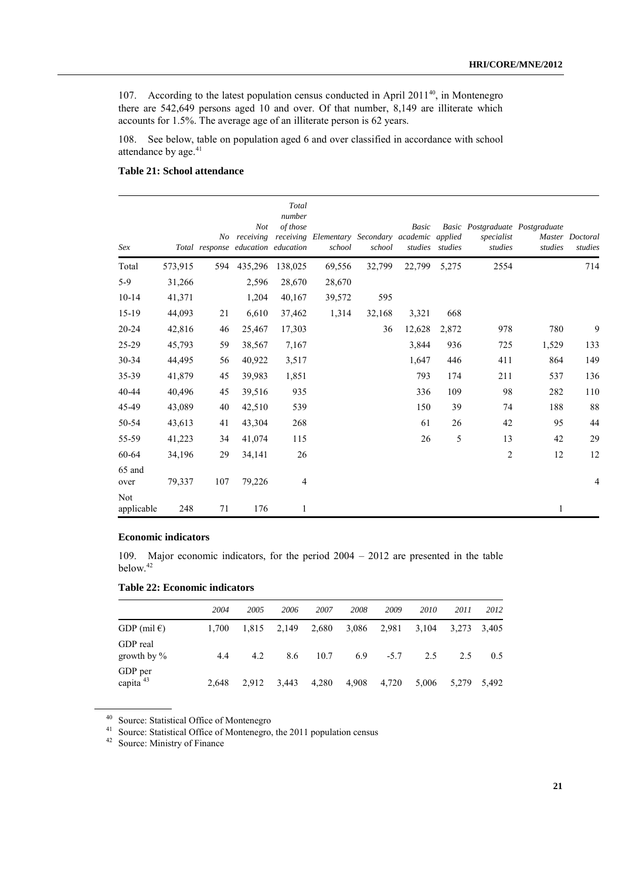107. According to the latest population census conducted in April 2011<sup>40</sup>, in Montenegro there are 542,649 persons aged 10 and over. Of that number, 8,149 are illiterate which accounts for 1.5%. The average age of an illiterate person is 62 years.

108. See below, table on population aged 6 and over classified in accordance with school attendance by age.<sup>41</sup>

## **Table 21: School attendance**

| Sex                      |         |      | <b>Not</b><br>No receiving<br>Total response education education | Total<br>number<br>of those | receiving Elementary Secondary academic applied<br>school | school | Basic  | studies studies | Basic Postgraduate Postgraduate<br>specialist<br>studies | studies | Master Doctoral<br>studies |
|--------------------------|---------|------|------------------------------------------------------------------|-----------------------------|-----------------------------------------------------------|--------|--------|-----------------|----------------------------------------------------------|---------|----------------------------|
| Total                    | 573,915 | 594  | 435,296                                                          | 138,025                     | 69,556                                                    | 32,799 | 22,799 | 5,275           | 2554                                                     |         | 714                        |
| $5-9$                    | 31,266  |      | 2,596                                                            | 28,670                      | 28,670                                                    |        |        |                 |                                                          |         |                            |
| $10 - 14$                | 41,371  |      | 1,204                                                            | 40,167                      | 39,572                                                    | 595    |        |                 |                                                          |         |                            |
| $15-19$                  | 44,093  | $21$ | 6,610                                                            | 37,462                      | 1,314                                                     | 32,168 | 3,321  | 668             |                                                          |         |                            |
| 20-24                    | 42,816  | 46   | 25,467                                                           | 17,303                      |                                                           | 36     | 12,628 | 2,872           | 978                                                      | 780     | 9                          |
| 25-29                    | 45,793  | 59   | 38,567                                                           | 7,167                       |                                                           |        | 3,844  | 936             | 725                                                      | 1,529   | 133                        |
| 30-34                    | 44,495  | 56   | 40,922                                                           | 3,517                       |                                                           |        | 1,647  | 446             | 411                                                      | 864     | 149                        |
| 35-39                    | 41,879  | 45   | 39,983                                                           | 1,851                       |                                                           |        | 793    | 174             | 211                                                      | 537     | 136                        |
| 40-44                    | 40,496  | 45   | 39,516                                                           | 935                         |                                                           |        | 336    | 109             | 98                                                       | 282     | 110                        |
| 45-49                    | 43,089  | 40   | 42,510                                                           | 539                         |                                                           |        | 150    | 39              | 74                                                       | 188     | 88                         |
| 50-54                    | 43,613  | 41   | 43,304                                                           | 268                         |                                                           |        | 61     | 26              | 42                                                       | 95      | 44                         |
| 55-59                    | 41,223  | 34   | 41,074                                                           | 115                         |                                                           |        | 26     | 5               | 13                                                       | 42      | 29                         |
| 60-64                    | 34,196  | 29   | 34,141                                                           | 26                          |                                                           |        |        |                 | $\overline{2}$                                           | 12      | 12                         |
| 65 and<br>over           | 79,337  | 107  | 79,226                                                           | 4                           |                                                           |        |        |                 |                                                          |         | 4                          |
| <b>Not</b><br>applicable | 248     | 71   | 176                                                              | 1                           |                                                           |        |        |                 |                                                          | 1       |                            |

## **Economic indicators**

109. Major economic indicators, for the period 2004 – 2012 are presented in the table below. 42

## **Table 22: Economic indicators**

|                                 | 2004  | 2005  | 2006  | 2007  | 2008  | 2009   | 2010  | 2011  | 2012  |
|---------------------------------|-------|-------|-------|-------|-------|--------|-------|-------|-------|
| GDP (mil $\epsilon$ )           | 1.700 | 1.815 | 2.149 | 2,680 | 3,086 | 2,981  | 3,104 | 3,273 | 3,405 |
| GDP real<br>growth by $\%$      | 4.4   | 4.2   | 8.6   | 10.7  | 6.9   | $-5.7$ | 2.5   | 2.5   | 0.5   |
| GDP per<br>capita <sup>43</sup> | 2.648 | 2.912 | 3.443 | 4,280 | 4,908 | 4,720  | 5,006 | 5,279 | 5,492 |

<sup>40</sup> Source: Statistical Office of Montenegro

<sup>41</sup> Source: Statistical Office of Montenegro, the 2011 population census

<sup>42</sup> Source: Ministry of Finance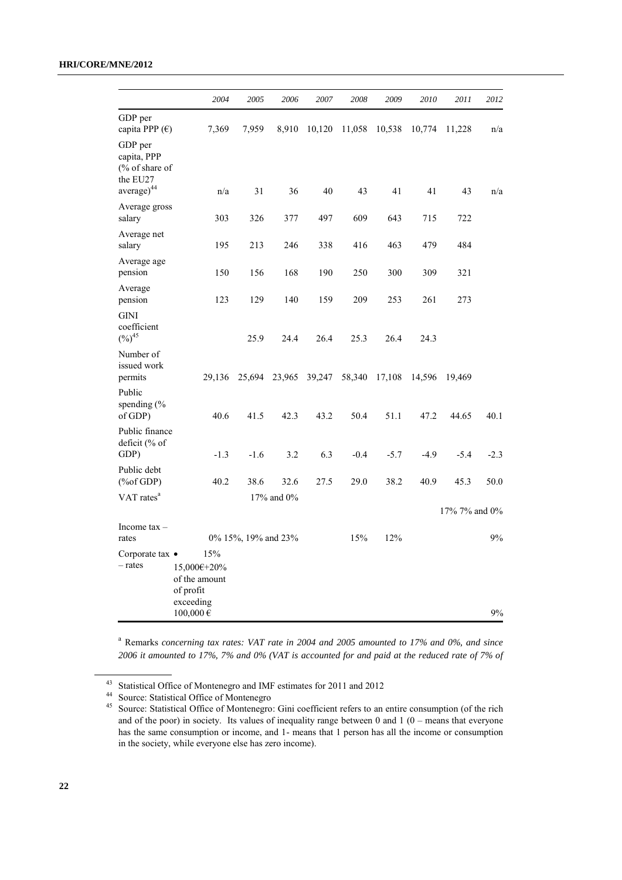## **HRI/CORE/MNE/2012**

|                                                                                                  | 2004                                                                           | 2005                | 2006       | 2007   | 2008   | 2009   | 2010   | 2011          | 2012   |
|--------------------------------------------------------------------------------------------------|--------------------------------------------------------------------------------|---------------------|------------|--------|--------|--------|--------|---------------|--------|
| GDP per<br>capita PPP (€)                                                                        | 7,369                                                                          | 7,959               | 8,910      | 10,120 | 11,058 | 10,538 | 10,774 | 11,228        | n/a    |
| GDP per<br>capita, PPP<br>(% of share of<br>the EU27<br>$average)^{44}$                          | n/a                                                                            | 31                  | 36         | 40     | 43     | 41     | 41     | 43            | n/a    |
| Average gross<br>salary                                                                          | 303                                                                            | 326                 | 377        | 497    | 609    | 643    | 715    | 722           |        |
| Average net<br>salary                                                                            | 195                                                                            | 213                 | 246        | 338    | 416    | 463    | 479    | 484           |        |
| Average age<br>pension                                                                           | 150                                                                            | 156                 | 168        | 190    | 250    | 300    | 309    | 321           |        |
| Average<br>pension                                                                               | 123                                                                            | 129                 | 140        | 159    | 209    | 253    | 261    | 273           |        |
| <b>GINI</b><br>coefficient<br>$(%)^{45}$                                                         |                                                                                | 25.9                | 24.4       | 26.4   | 25.3   | 26.4   | 24.3   |               |        |
| Number of<br>issued work<br>permits                                                              | 29,136                                                                         | 25,694              | 23,965     | 39,247 | 58,340 | 17,108 | 14,596 | 19,469        |        |
| Public<br>spending $\frac{6}{6}$<br>of GDP)                                                      | 40.6                                                                           | 41.5                | 42.3       | 43.2   | 50.4   | 51.1   | 47.2   | 44.65         | 40.1   |
| Public finance<br>deficit (% of<br>GDP)                                                          | $-1.3$                                                                         | $-1.6$              | 3.2        | 6.3    | $-0.4$ | $-5.7$ | $-4.9$ | $-5.4$        | $-2.3$ |
| Public debt<br>$(% \mathcal{L}_{0}(\mathcal{L}_{0})\rightarrow \mathcal{L}_{1}(\mathcal{L}_{1})$ | 40.2                                                                           | 38.6                | 32.6       | 27.5   | 29.0   | 38.2   | 40.9   | 45.3          | 50.0   |
| VAT rates <sup>a</sup>                                                                           |                                                                                |                     | 17% and 0% |        |        |        |        | 17% 7% and 0% |        |
| Income $tax -$<br>rates                                                                          |                                                                                | 0% 15%, 19% and 23% |            |        | 15%    | 12%    |        |               | 9%     |
| Corporate tax $\bullet$<br>- rates                                                               | 15%<br>15,000€+20%<br>of the amount<br>of profit<br>exceeding<br>$100,000 \in$ |                     |            |        |        |        |        |               | 9%     |

<sup>a</sup> Remarks *concerning tax rates: VAT rate in 2004 and 2005 amounted to 17% and 0%, and since 2006 it amounted to 17%, 7% and 0% (VAT is accounted for and paid at the reduced rate of 7% of* 

<sup>43</sup> Statistical Office of Montenegro and IMF estimates for 2011 and 2012

<sup>44</sup> Source: Statistical Office of Montenegro

<sup>45</sup> Source: Statistical Office of Montenegro: Gini coefficient refers to an entire consumption (of the rich and of the poor) in society. Its values of inequality range between  $0$  and  $1(0 - \text{means that everyone})$ has the same consumption or income, and 1- means that 1 person has all the income or consumption in the society, while everyone else has zero income).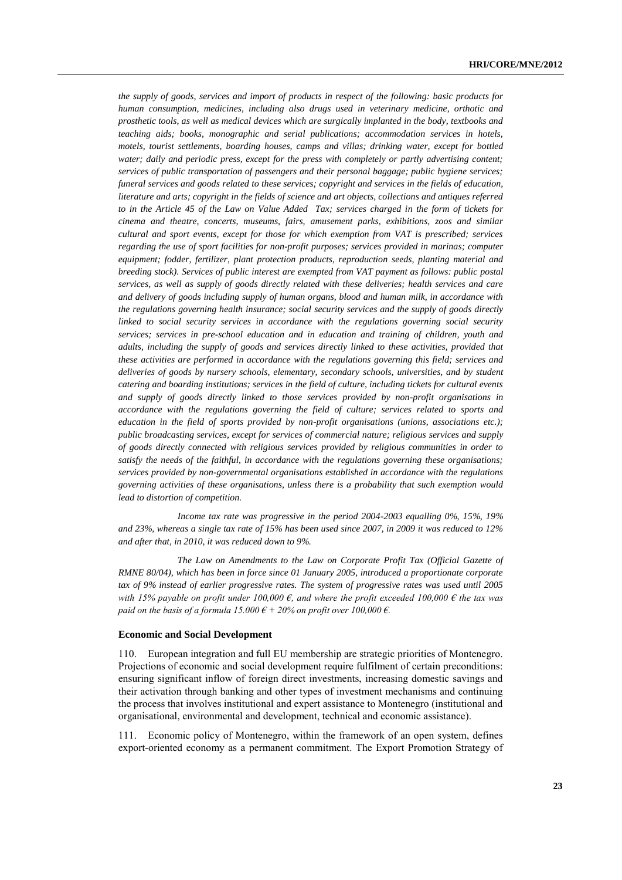*the supply of goods, services and import of products in respect of the following: basic products for human consumption, medicines, including also drugs used in veterinary medicine, orthotic and prosthetic tools, as well as medical devices which are surgically implanted in the body, textbooks and teaching aids; books, monographic and serial publications; accommodation services in hotels, motels, tourist settlements, boarding houses, camps and villas; drinking water, except for bottled water; daily and periodic press, except for the press with completely or partly advertising content; services of public transportation of passengers and their personal baggage; public hygiene services; funeral services and goods related to these services; copyright and services in the fields of education, literature and arts; copyright in the fields of science and art objects, collections and antiques referred to in the Article 45 of the Law on Value Added Tax; services charged in the form of tickets for cinema and theatre, concerts, museums, fairs, amusement parks, exhibitions, zoos and similar cultural and sport events, except for those for which exemption from VAT is prescribed; services regarding the use of sport facilities for non-profit purposes; services provided in marinas; computer equipment; fodder, fertilizer, plant protection products, reproduction seeds, planting material and breeding stock). Services of public interest are exempted from VAT payment as follows: public postal services, as well as supply of goods directly related with these deliveries; health services and care and delivery of goods including supply of human organs, blood and human milk, in accordance with the regulations governing health insurance; social security services and the supply of goods directly*  linked to social security services in accordance with the regulations governing social security *services; services in pre-school education and in education and training of children, youth and adults, including the supply of goods and services directly linked to these activities, provided that these activities are performed in accordance with the regulations governing this field; services and deliveries of goods by nursery schools, elementary, secondary schools, universities, and by student catering and boarding institutions; services in the field of culture, including tickets for cultural events and supply of goods directly linked to those services provided by non-profit organisations in accordance with the regulations governing the field of culture; services related to sports and education in the field of sports provided by non-profit organisations (unions, associations etc.); public broadcasting services, except for services of commercial nature; religious services and supply of goods directly connected with religious services provided by religious communities in order to satisfy the needs of the faithful, in accordance with the regulations governing these organisations; services provided by non-governmental organisations established in accordance with the regulations governing activities of these organisations, unless there is a probability that such exemption would lead to distortion of competition.*

*Income tax rate was progressive in the period 2004-2003 equalling 0%, 15%, 19% and 23%, whereas a single tax rate of 15% has been used since 2007, in 2009 it was reduced to 12% and after that, in 2010, it was reduced down to 9%.*

*The Law on Amendments to the Law on Corporate Profit Tax (Official Gazette of RMNE 80/04), which has been in force since 01 January 2005, introduced a proportionate corporate tax of 9% instead of earlier progressive rates. The system of progressive rates was used until 2005 with 15% payable on profit under 100,000 €, and where the profit exceeded 100,000 € the tax was paid on the basis of a formula 15.000*  $\epsilon$  + 20% on profit over 100,000  $\epsilon$ .

#### **Economic and Social Development**

110. European integration and full EU membership are strategic priorities of Montenegro. Projections of economic and social development require fulfilment of certain preconditions: ensuring significant inflow of foreign direct investments, increasing domestic savings and their activation through banking and other types of investment mechanisms and continuing the process that involves institutional and expert assistance to Montenegro (institutional and organisational, environmental and development, technical and economic assistance).

111. Economic policy of Montenegro, within the framework of an open system, defines export-oriented economy as a permanent commitment. The Export Promotion Strategy of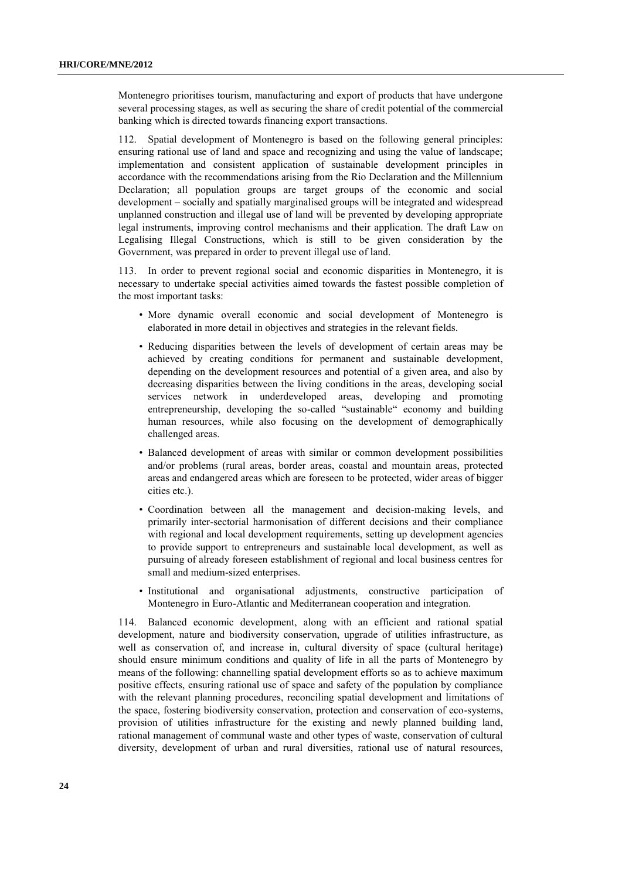Montenegro prioritises tourism, manufacturing and export of products that have undergone several processing stages, as well as securing the share of credit potential of the commercial banking which is directed towards financing export transactions.

112. Spatial development of Montenegro is based on the following general principles: ensuring rational use of land and space and recognizing and using the value of landscape; implementation and consistent application of sustainable development principles in accordance with the recommendations arising from the Rio Declaration and the Millennium Declaration; all population groups are target groups of the economic and social development – socially and spatially marginalised groups will be integrated and widespread unplanned construction and illegal use of land will be prevented by developing appropriate legal instruments, improving control mechanisms and their application. The draft Law on Legalising Illegal Constructions, which is still to be given consideration by the Government, was prepared in order to prevent illegal use of land.

113. In order to prevent regional social and economic disparities in Montenegro, it is necessary to undertake special activities aimed towards the fastest possible completion of the most important tasks:

- More dynamic overall economic and social development of Montenegro is elaborated in more detail in objectives and strategies in the relevant fields.
- Reducing disparities between the levels of development of certain areas may be achieved by creating conditions for permanent and sustainable development, depending on the development resources and potential of a given area, and also by decreasing disparities between the living conditions in the areas, developing social services network in underdeveloped areas, developing and promoting entrepreneurship, developing the so-called "sustainable" economy and building human resources, while also focusing on the development of demographically challenged areas.
- Balanced development of areas with similar or common development possibilities and/or problems (rural areas, border areas, coastal and mountain areas, protected areas and endangered areas which are foreseen to be protected, wider areas of bigger cities etc.).
- Coordination between all the management and decision-making levels, and primarily inter-sectorial harmonisation of different decisions and their compliance with regional and local development requirements, setting up development agencies to provide support to entrepreneurs and sustainable local development, as well as pursuing of already foreseen establishment of regional and local business centres for small and medium-sized enterprises.
- Institutional and organisational adjustments, constructive participation of Montenegro in Euro-Atlantic and Mediterranean cooperation and integration.

114. Balanced economic development, along with an efficient and rational spatial development, nature and biodiversity conservation, upgrade of utilities infrastructure, as well as conservation of, and increase in, cultural diversity of space (cultural heritage) should ensure minimum conditions and quality of life in all the parts of Montenegro by means of the following: channelling spatial development efforts so as to achieve maximum positive effects, ensuring rational use of space and safety of the population by compliance with the relevant planning procedures, reconciling spatial development and limitations of the space, fostering biodiversity conservation, protection and conservation of eco-systems, provision of utilities infrastructure for the existing and newly planned building land, rational management of communal waste and other types of waste, conservation of cultural diversity, development of urban and rural diversities, rational use of natural resources,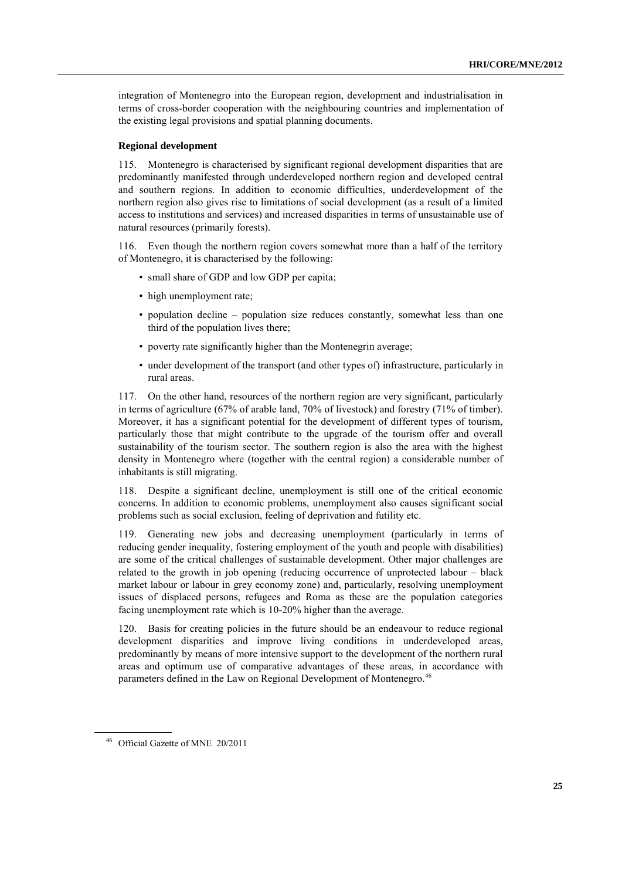integration of Montenegro into the European region, development and industrialisation in terms of cross-border cooperation with the neighbouring countries and implementation of the existing legal provisions and spatial planning documents.

#### **Regional development**

115. Montenegro is characterised by significant regional development disparities that are predominantly manifested through underdeveloped northern region and developed central and southern regions. In addition to economic difficulties, underdevelopment of the northern region also gives rise to limitations of social development (as a result of a limited access to institutions and services) and increased disparities in terms of unsustainable use of natural resources (primarily forests).

116. Even though the northern region covers somewhat more than a half of the territory of Montenegro, it is characterised by the following:

- small share of GDP and low GDP per capita;
- high unemployment rate:
- population decline population size reduces constantly, somewhat less than one third of the population lives there;
- poverty rate significantly higher than the Montenegrin average;
- under development of the transport (and other types of) infrastructure, particularly in rural areas.

117. On the other hand, resources of the northern region are very significant, particularly in terms of agriculture (67% of arable land, 70% of livestock) and forestry (71% of timber). Moreover, it has a significant potential for the development of different types of tourism, particularly those that might contribute to the upgrade of the tourism offer and overall sustainability of the tourism sector. The southern region is also the area with the highest density in Montenegro where (together with the central region) a considerable number of inhabitants is still migrating.

118. Despite a significant decline, unemployment is still one of the critical economic concerns. In addition to economic problems, unemployment also causes significant social problems such as social exclusion, feeling of deprivation and futility etc.

119. Generating new jobs and decreasing unemployment (particularly in terms of reducing gender inequality, fostering employment of the youth and people with disabilities) are some of the critical challenges of sustainable development. Other major challenges are related to the growth in job opening (reducing occurrence of unprotected labour – black market labour or labour in grey economy zone) and, particularly, resolving unemployment issues of displaced persons, refugees and Roma as these are the population categories facing unemployment rate which is 10-20% higher than the average.

120. Basis for creating policies in the future should be an endeavour to reduce regional development disparities and improve living conditions in underdeveloped areas, predominantly by means of more intensive support to the development of the northern rural areas and optimum use of comparative advantages of these areas, in accordance with parameters defined in the Law on Regional Development of Montenegro.<sup>46</sup>

<sup>46</sup> Official Gazette of MNE 20/2011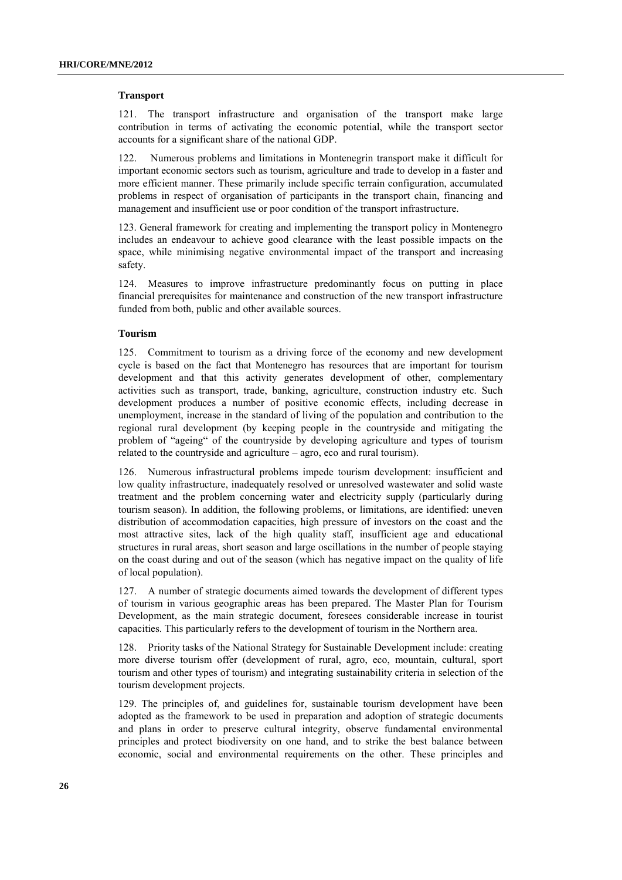#### **Transport**

121. The transport infrastructure and organisation of the transport make large contribution in terms of activating the economic potential, while the transport sector accounts for a significant share of the national GDP.

122. Numerous problems and limitations in Montenegrin transport make it difficult for important economic sectors such as tourism, agriculture and trade to develop in a faster and more efficient manner. These primarily include specific terrain configuration, accumulated problems in respect of organisation of participants in the transport chain, financing and management and insufficient use or poor condition of the transport infrastructure.

123. General framework for creating and implementing the transport policy in Montenegro includes an endeavour to achieve good clearance with the least possible impacts on the space, while minimising negative environmental impact of the transport and increasing safety.

124. Measures to improve infrastructure predominantly focus on putting in place financial prerequisites for maintenance and construction of the new transport infrastructure funded from both, public and other available sources.

#### **Tourism**

125. Commitment to tourism as a driving force of the economy and new development cycle is based on the fact that Montenegro has resources that are important for tourism development and that this activity generates development of other, complementary activities such as transport, trade, banking, agriculture, construction industry etc. Such development produces a number of positive economic effects, including decrease in unemployment, increase in the standard of living of the population and contribution to the regional rural development (by keeping people in the countryside and mitigating the problem of "ageing" of the countryside by developing agriculture and types of tourism related to the countryside and agriculture – agro, eco and rural tourism).

126. Numerous infrastructural problems impede tourism development: insufficient and low quality infrastructure, inadequately resolved or unresolved wastewater and solid waste treatment and the problem concerning water and electricity supply (particularly during tourism season). In addition, the following problems, or limitations, are identified: uneven distribution of accommodation capacities, high pressure of investors on the coast and the most attractive sites, lack of the high quality staff, insufficient age and educational structures in rural areas, short season and large oscillations in the number of people staying on the coast during and out of the season (which has negative impact on the quality of life of local population).

127. A number of strategic documents aimed towards the development of different types of tourism in various geographic areas has been prepared. The Master Plan for Tourism Development, as the main strategic document, foresees considerable increase in tourist capacities. This particularly refers to the development of tourism in the Northern area.

128. Priority tasks of the National Strategy for Sustainable Development include: creating more diverse tourism offer (development of rural, agro, eco, mountain, cultural, sport tourism and other types of tourism) and integrating sustainability criteria in selection of the tourism development projects.

129. The principles of, and guidelines for, sustainable tourism development have been adopted as the framework to be used in preparation and adoption of strategic documents and plans in order to preserve cultural integrity, observe fundamental environmental principles and protect biodiversity on one hand, and to strike the best balance between economic, social and environmental requirements on the other. These principles and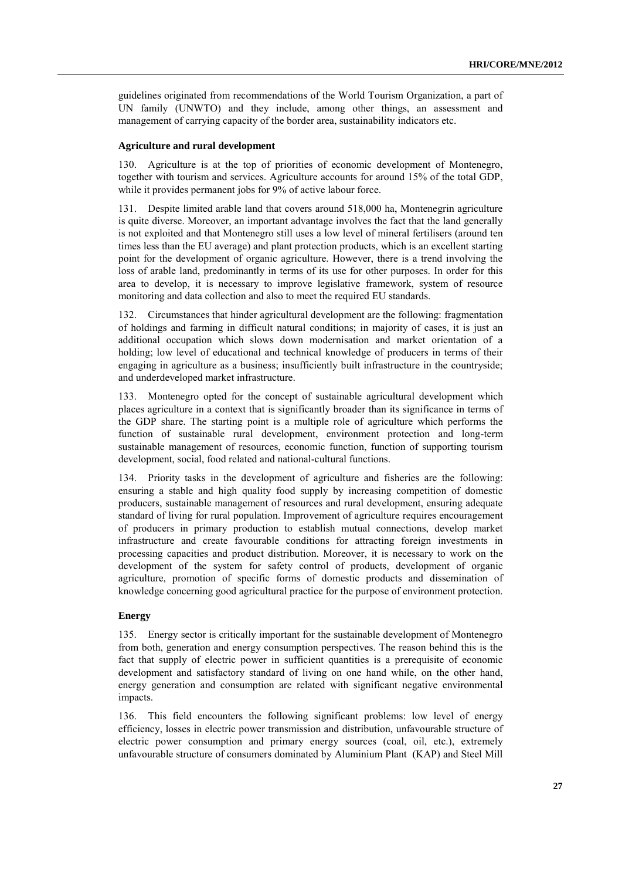guidelines originated from recommendations of the World Tourism Organization, a part of UN family (UNWTO) and they include, among other things, an assessment and management of carrying capacity of the border area, sustainability indicators etc.

#### **Agriculture and rural development**

Agriculture is at the top of priorities of economic development of Montenegro, together with tourism and services. Agriculture accounts for around 15% of the total GDP, while it provides permanent jobs for 9% of active labour force.

131. Despite limited arable land that covers around 518,000 ha, Montenegrin agriculture is quite diverse. Moreover, an important advantage involves the fact that the land generally is not exploited and that Montenegro still uses a low level of mineral fertilisers (around ten times less than the EU average) and plant protection products, which is an excellent starting point for the development of organic agriculture. However, there is a trend involving the loss of arable land, predominantly in terms of its use for other purposes. In order for this area to develop, it is necessary to improve legislative framework, system of resource monitoring and data collection and also to meet the required EU standards.

132. Circumstances that hinder agricultural development are the following: fragmentation of holdings and farming in difficult natural conditions; in majority of cases, it is just an additional occupation which slows down modernisation and market orientation of a holding; low level of educational and technical knowledge of producers in terms of their engaging in agriculture as a business; insufficiently built infrastructure in the countryside; and underdeveloped market infrastructure.

133. Montenegro opted for the concept of sustainable agricultural development which places agriculture in a context that is significantly broader than its significance in terms of the GDP share. The starting point is a multiple role of agriculture which performs the function of sustainable rural development, environment protection and long-term sustainable management of resources, economic function, function of supporting tourism development, social, food related and national-cultural functions.

134. Priority tasks in the development of agriculture and fisheries are the following: ensuring a stable and high quality food supply by increasing competition of domestic producers, sustainable management of resources and rural development, ensuring adequate standard of living for rural population. Improvement of agriculture requires encouragement of producers in primary production to establish mutual connections, develop market infrastructure and create favourable conditions for attracting foreign investments in processing capacities and product distribution. Moreover, it is necessary to work on the development of the system for safety control of products, development of organic agriculture, promotion of specific forms of domestic products and dissemination of knowledge concerning good agricultural practice for the purpose of environment protection.

## **Energy**

135. Energy sector is critically important for the sustainable development of Montenegro from both, generation and energy consumption perspectives. The reason behind this is the fact that supply of electric power in sufficient quantities is a prerequisite of economic development and satisfactory standard of living on one hand while, on the other hand, energy generation and consumption are related with significant negative environmental impacts.

136. This field encounters the following significant problems: low level of energy efficiency, losses in electric power transmission and distribution, unfavourable structure of electric power consumption and primary energy sources (coal, oil, etc.), extremely unfavourable structure of consumers dominated by Aluminium Plant (KAP) and Steel Mill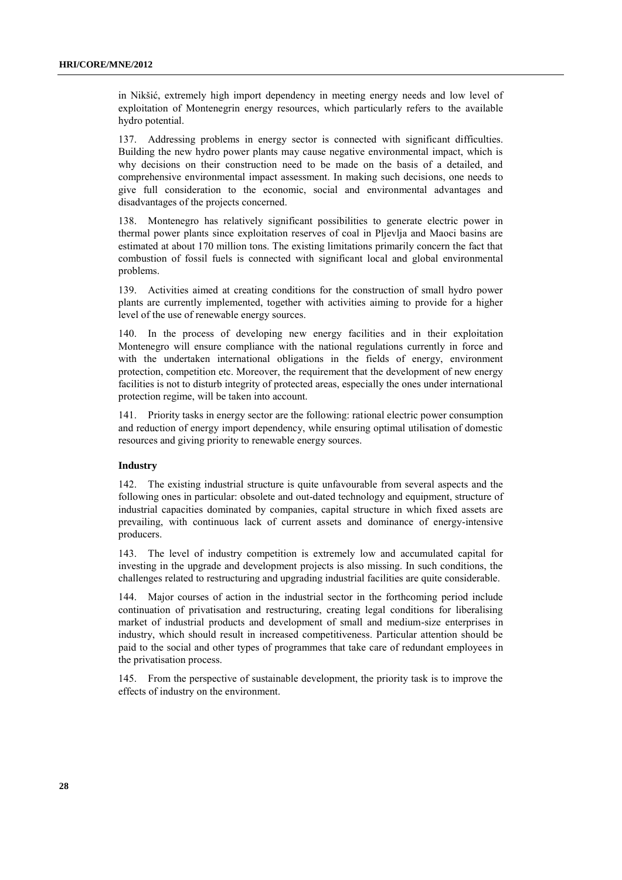in Nikšić, extremely high import dependency in meeting energy needs and low level of exploitation of Montenegrin energy resources, which particularly refers to the available hydro potential.

137. Addressing problems in energy sector is connected with significant difficulties. Building the new hydro power plants may cause negative environmental impact, which is why decisions on their construction need to be made on the basis of a detailed, and comprehensive environmental impact assessment. In making such decisions, one needs to give full consideration to the economic, social and environmental advantages and disadvantages of the projects concerned.

138. Montenegro has relatively significant possibilities to generate electric power in thermal power plants since exploitation reserves of coal in Pljevlja and Maoci basins are estimated at about 170 million tons. The existing limitations primarily concern the fact that combustion of fossil fuels is connected with significant local and global environmental problems.

139. Activities aimed at creating conditions for the construction of small hydro power plants are currently implemented, together with activities aiming to provide for a higher level of the use of renewable energy sources.

140. In the process of developing new energy facilities and in their exploitation Montenegro will ensure compliance with the national regulations currently in force and with the undertaken international obligations in the fields of energy, environment protection, competition etc. Moreover, the requirement that the development of new energy facilities is not to disturb integrity of protected areas, especially the ones under international protection regime, will be taken into account.

141. Priority tasks in energy sector are the following: rational electric power consumption and reduction of energy import dependency, while ensuring optimal utilisation of domestic resources and giving priority to renewable energy sources.

#### **Industry**

142. The existing industrial structure is quite unfavourable from several aspects and the following ones in particular: obsolete and out-dated technology and equipment, structure of industrial capacities dominated by companies, capital structure in which fixed assets are prevailing, with continuous lack of current assets and dominance of energy-intensive producers.

143. The level of industry competition is extremely low and accumulated capital for investing in the upgrade and development projects is also missing. In such conditions, the challenges related to restructuring and upgrading industrial facilities are quite considerable.

144. Major courses of action in the industrial sector in the forthcoming period include continuation of privatisation and restructuring, creating legal conditions for liberalising market of industrial products and development of small and medium-size enterprises in industry, which should result in increased competitiveness. Particular attention should be paid to the social and other types of programmes that take care of redundant employees in the privatisation process.

145. From the perspective of sustainable development, the priority task is to improve the effects of industry on the environment.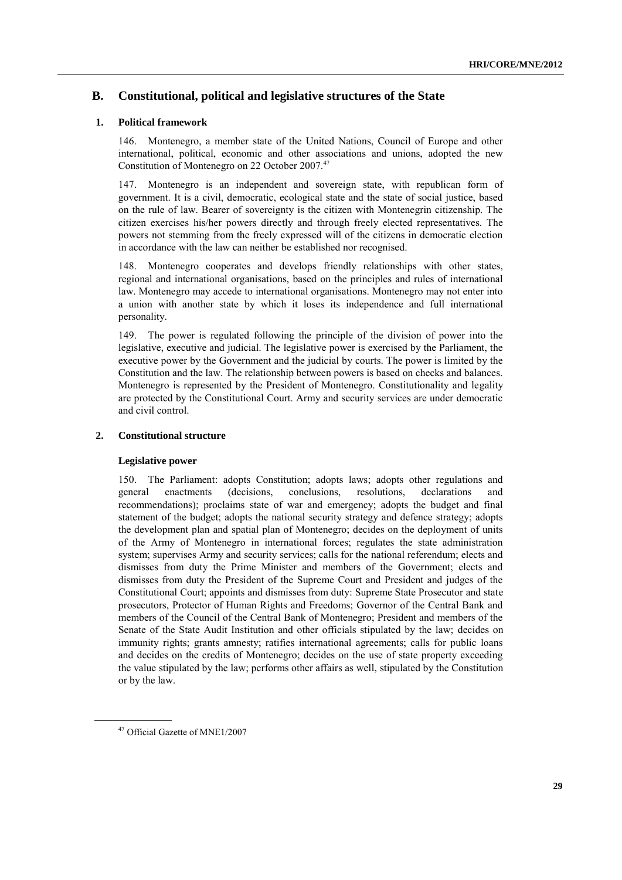# **B. Constitutional, political and legislative structures of the State**

## **1. Political framework**

146. Montenegro, a member state of the United Nations, Council of Europe and other international, political, economic and other associations and unions, adopted the new Constitution of Montenegro on 22 October 2007.<sup>47</sup>

147. Montenegro is an independent and sovereign state, with republican form of government. It is a civil, democratic, ecological state and the state of social justice, based on the rule of law. Bearer of sovereignty is the citizen with Montenegrin citizenship. The citizen exercises his/her powers directly and through freely elected representatives. The powers not stemming from the freely expressed will of the citizens in democratic election in accordance with the law can neither be established nor recognised.

148. Montenegro cooperates and develops friendly relationships with other states, regional and international organisations, based on the principles and rules of international law. Montenegro may accede to international organisations. Montenegro may not enter into a union with another state by which it loses its independence and full international personality.

149. The power is regulated following the principle of the division of power into the legislative, executive and judicial. The legislative power is exercised by the Parliament, the executive power by the Government and the judicial by courts. The power is limited by the Constitution and the law. The relationship between powers is based on checks and balances. Montenegro is represented by the President of Montenegro. Constitutionality and legality are protected by the Constitutional Court. Army and security services are under democratic and civil control.

## **2. Constitutional structure**

#### **Legislative power**

150. The Parliament: adopts Constitution; adopts laws; adopts other regulations and general enactments (decisions, conclusions, resolutions, declarations and recommendations); proclaims state of war and emergency; adopts the budget and final statement of the budget; adopts the national security strategy and defence strategy; adopts the development plan and spatial plan of Montenegro; decides on the deployment of units of the Army of Montenegro in international forces; regulates the state administration system; supervises Army and security services; calls for the national referendum; elects and dismisses from duty the Prime Minister and members of the Government; elects and dismisses from duty the President of the Supreme Court and President and judges of the Constitutional Court; appoints and dismisses from duty: Supreme State Prosecutor and state prosecutors, Protector of Human Rights and Freedoms; Governor of the Central Bank and members of the Council of the Central Bank of Montenegro; President and members of the Senate of the State Audit Institution and other officials stipulated by the law; decides on immunity rights; grants amnesty; ratifies international agreements; calls for public loans and decides on the credits of Montenegro; decides on the use of state property exceeding the value stipulated by the law; performs other affairs as well, stipulated by the Constitution or by the law.

<sup>47</sup> Official Gazette of MNE1/2007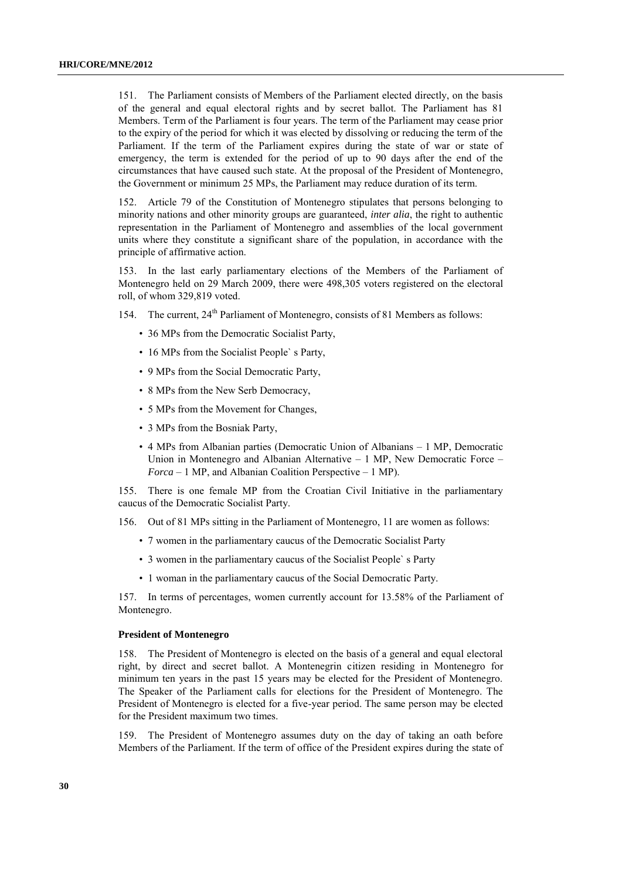151. The Parliament consists of Members of the Parliament elected directly, on the basis of the general and equal electoral rights and by secret ballot. The Parliament has 81 Members. Term of the Parliament is four years. The term of the Parliament may cease prior to the expiry of the period for which it was elected by dissolving or reducing the term of the Parliament. If the term of the Parliament expires during the state of war or state of emergency, the term is extended for the period of up to 90 days after the end of the circumstances that have caused such state. At the proposal of the President of Montenegro, the Government or minimum 25 MPs, the Parliament may reduce duration of its term.

152. Article 79 of the Constitution of Montenegro stipulates that persons belonging to minority nations and other minority groups are guaranteed, *inter alia*, the right to authentic representation in the Parliament of Montenegro and assemblies of the local government units where they constitute a significant share of the population, in accordance with the principle of affirmative action.

153. In the last early parliamentary elections of the Members of the Parliament of Montenegro held on 29 March 2009, there were 498,305 voters registered on the electoral roll, of whom 329,819 voted.

- 154. The current,  $24^{th}$  Parliament of Montenegro, consists of 81 Members as follows:
	- 36 MPs from the Democratic Socialist Party,
	- 16 MPs from the Socialist People's Party,
	- 9 MPs from the Social Democratic Party,
	- 8 MPs from the New Serb Democracy,
	- 5 MPs from the Movement for Changes,
	- 3 MPs from the Bosniak Party,
	- 4 MPs from Albanian parties (Democratic Union of Albanians 1 MP, Democratic Union in Montenegro and Albanian Alternative – 1 MP, New Democratic Force – *Forca* – 1 MP, and Albanian Coalition Perspective – 1 MP).

155. There is one female MP from the Croatian Civil Initiative in the parliamentary caucus of the Democratic Socialist Party.

156. Out of 81 MPs sitting in the Parliament of Montenegro, 11 are women as follows:

- 7 women in the parliamentary caucus of the Democratic Socialist Party
- 3 women in the parliamentary caucus of the Socialist People` s Party
- 1 woman in the parliamentary caucus of the Social Democratic Party.

157. In terms of percentages, women currently account for 13.58% of the Parliament of Montenegro.

#### **President of Montenegro**

158. The President of Montenegro is elected on the basis of a general and equal electoral right, by direct and secret ballot. A Montenegrin citizen residing in Montenegro for minimum ten years in the past 15 years may be elected for the President of Montenegro. The Speaker of the Parliament calls for elections for the President of Montenegro. The President of Montenegro is elected for a five-year period. The same person may be elected for the President maximum two times.

159. The President of Montenegro assumes duty on the day of taking an oath before Members of the Parliament. If the term of office of the President expires during the state of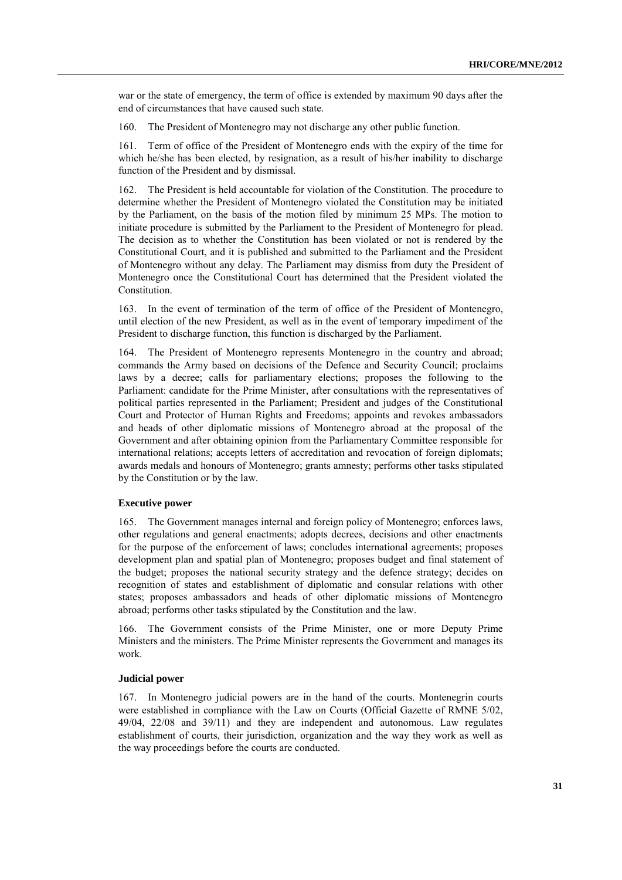war or the state of emergency, the term of office is extended by maximum 90 days after the end of circumstances that have caused such state.

160. The President of Montenegro may not discharge any other public function.

161. Term of office of the President of Montenegro ends with the expiry of the time for which he/she has been elected, by resignation, as a result of his/her inability to discharge function of the President and by dismissal.

162. The President is held accountable for violation of the Constitution. The procedure to determine whether the President of Montenegro violated the Constitution may be initiated by the Parliament, on the basis of the motion filed by minimum 25 MPs. The motion to initiate procedure is submitted by the Parliament to the President of Montenegro for plead. The decision as to whether the Constitution has been violated or not is rendered by the Constitutional Court, and it is published and submitted to the Parliament and the President of Montenegro without any delay. The Parliament may dismiss from duty the President of Montenegro once the Constitutional Court has determined that the President violated the Constitution.

163. In the event of termination of the term of office of the President of Montenegro, until election of the new President, as well as in the event of temporary impediment of the President to discharge function, this function is discharged by the Parliament.

164. The President of Montenegro represents Montenegro in the country and abroad; commands the Army based on decisions of the Defence and Security Council; proclaims laws by a decree; calls for parliamentary elections; proposes the following to the Parliament: candidate for the Prime Minister, after consultations with the representatives of political parties represented in the Parliament; President and judges of the Constitutional Court and Protector of Human Rights and Freedoms; appoints and revokes ambassadors and heads of other diplomatic missions of Montenegro abroad at the proposal of the Government and after obtaining opinion from the Parliamentary Committee responsible for international relations; accepts letters of accreditation and revocation of foreign diplomats; awards medals and honours of Montenegro; grants amnesty; performs other tasks stipulated by the Constitution or by the law.

## **Executive power**

165. The Government manages internal and foreign policy of Montenegro; enforces laws, other regulations and general enactments; adopts decrees, decisions and other enactments for the purpose of the enforcement of laws; concludes international agreements; proposes development plan and spatial plan of Montenegro; proposes budget and final statement of the budget; proposes the national security strategy and the defence strategy; decides on recognition of states and establishment of diplomatic and consular relations with other states; proposes ambassadors and heads of other diplomatic missions of Montenegro abroad; performs other tasks stipulated by the Constitution and the law.

166. The Government consists of the Prime Minister, one or more Deputy Prime Ministers and the ministers. The Prime Minister represents the Government and manages its work.

#### **Judicial power**

167. In Montenegro judicial powers are in the hand of the courts. Montenegrin courts were established in compliance with the Law on Courts (Official Gazette of RMNE 5/02, 49/04, 22/08 and 39/11) and they are independent and autonomous. Law regulates establishment of courts, their jurisdiction, organization and the way they work as well as the way proceedings before the courts are conducted.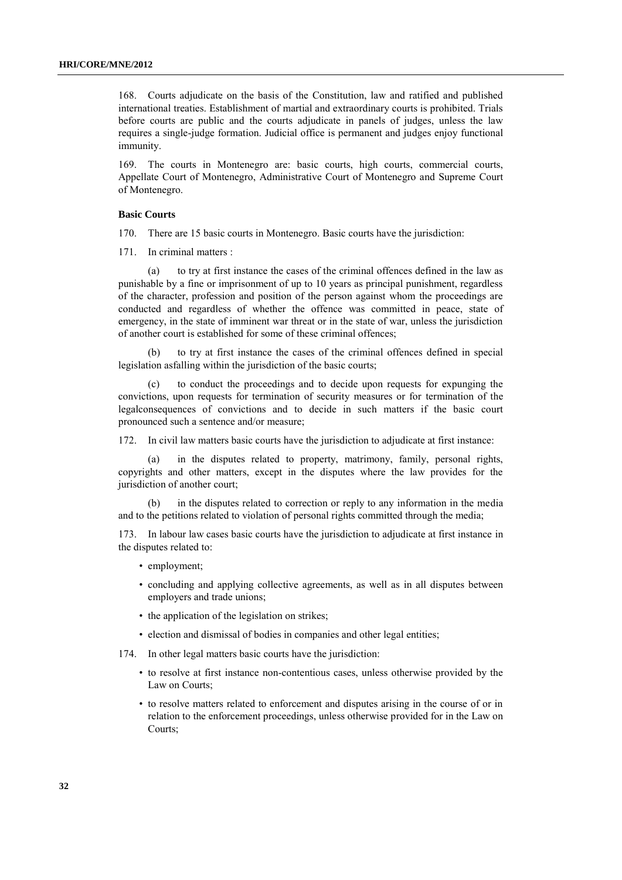168. Courts adjudicate on the basis of the Constitution, law and ratified and published international treaties. Establishment of martial and extraordinary courts is prohibited. Trials before courts are public and the courts adjudicate in panels of judges, unless the law requires a single-judge formation. Judicial office is permanent and judges enjoy functional immunity.

169. The courts in Montenegro are: basic courts, high courts, commercial courts, Appellate Court of Montenegro, Administrative Court of Montenegro and Supreme Court of Montenegro.

#### **Basic Courts**

170. There are 15 basic courts in Montenegro. Basic courts have the jurisdiction:

171. In criminal matters :

(a) to try at first instance the cases of the criminal offences defined in the law as punishable by a fine or imprisonment of up to 10 years as principal punishment, regardless of the character, profession and position of the person against whom the proceedings are conducted and regardless of whether the offence was committed in peace, state of emergency, in the state of imminent war threat or in the state of war, unless the jurisdiction of another court is established for some of these criminal offences;

(b) to try at first instance the cases of the criminal offences defined in special legislation asfalling within the jurisdiction of the basic courts;

(c) to conduct the proceedings and to decide upon requests for expunging the convictions, upon requests for termination of security measures or for termination of the legalconsequences of convictions and to decide in such matters if the basic court pronounced such a sentence and/or measure;

172. In civil law matters basic courts have the jurisdiction to adjudicate at first instance:

(a) in the disputes related to property, matrimony, family, personal rights, copyrights and other matters, except in the disputes where the law provides for the jurisdiction of another court;

(b) in the disputes related to correction or reply to any information in the media and to the petitions related to violation of personal rights committed through the media;

173. In labour law cases basic courts have the jurisdiction to adjudicate at first instance in the disputes related to:

- employment;
- concluding and applying collective agreements, as well as in all disputes between employers and trade unions;
- the application of the legislation on strikes;
- election and dismissal of bodies in companies and other legal entities;
- 174. In other legal matters basic courts have the jurisdiction:
	- to resolve at first instance non-contentious cases, unless otherwise provided by the Law on Courts;
	- to resolve matters related to enforcement and disputes arising in the course of or in relation to the enforcement proceedings, unless otherwise provided for in the Law on Courts;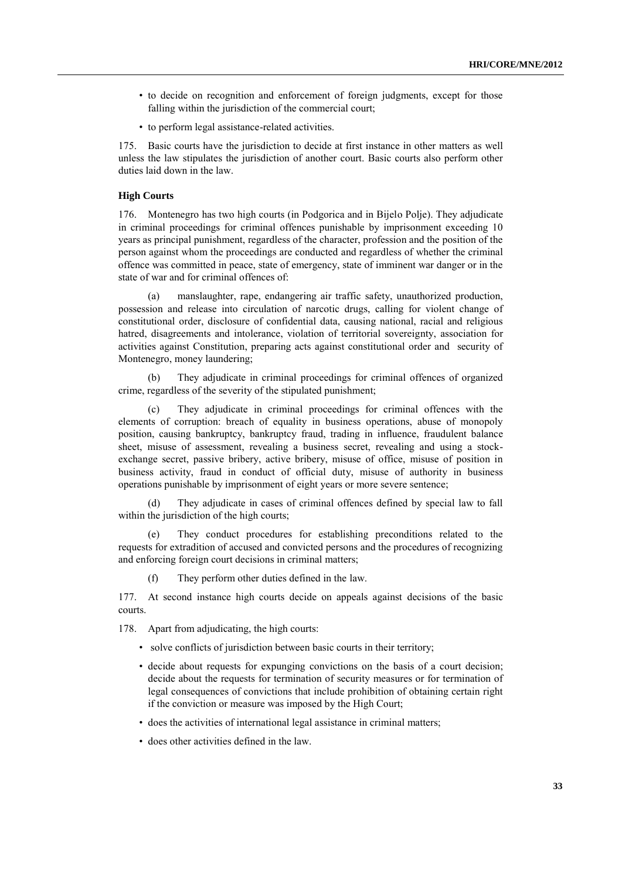- to decide on recognition and enforcement of foreign judgments, except for those falling within the jurisdiction of the commercial court;
- to perform legal assistance-related activities.

175. Basic courts have the jurisdiction to decide at first instance in other matters as well unless the law stipulates the jurisdiction of another court. Basic courts also perform other duties laid down in the law.

#### **High Courts**

176. Montenegro has two high courts (in Podgorica and in Bijelo Polje). They adjudicate in criminal proceedings for criminal offences punishable by imprisonment exceeding 10 years as principal punishment, regardless of the character, profession and the position of the person against whom the proceedings are conducted and regardless of whether the criminal offence was committed in peace, state of emergency, state of imminent war danger or in the state of war and for criminal offences of:

(a) manslaughter, rape, endangering air traffic safety, unauthorized production, possession and release into circulation of narcotic drugs, calling for violent change of constitutional order, disclosure of confidential data, causing national, racial and religious hatred, disagreements and intolerance, violation of territorial sovereignty, association for activities against Constitution, preparing acts against constitutional order and security of Montenegro, money laundering;

(b) They adjudicate in criminal proceedings for criminal offences of organized crime, regardless of the severity of the stipulated punishment;

(c) They adjudicate in criminal proceedings for criminal offences with the elements of corruption: breach of equality in business operations, abuse of monopoly position, causing bankruptcy, bankruptcy fraud, trading in influence, fraudulent balance sheet, misuse of assessment, revealing a business secret, revealing and using a stockexchange secret, passive bribery, active bribery, misuse of office, misuse of position in business activity, fraud in conduct of official duty, misuse of authority in business operations punishable by imprisonment of eight years or more severe sentence;

(d) They adjudicate in cases of criminal offences defined by special law to fall within the jurisdiction of the high courts;

(e) They conduct procedures for establishing preconditions related to the requests for extradition of accused and convicted persons and the procedures of recognizing and enforcing foreign court decisions in criminal matters;

(f) They perform other duties defined in the law.

177. At second instance high courts decide on appeals against decisions of the basic courts.

178. Apart from adjudicating, the high courts:

- solve conflicts of jurisdiction between basic courts in their territory;
- decide about requests for expunging convictions on the basis of a court decision; decide about the requests for termination of security measures or for termination of legal consequences of convictions that include prohibition of obtaining certain right if the conviction or measure was imposed by the High Court;
- does the activities of international legal assistance in criminal matters;
- does other activities defined in the law.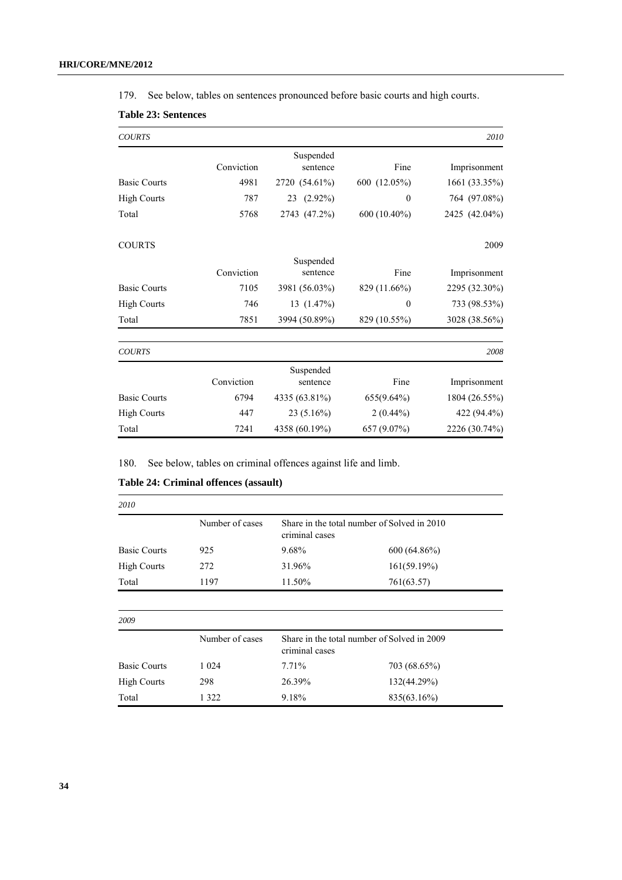179. See below, tables on sentences pronounced before basic courts and high courts.

| <b>COURTS</b>       |            |                       |              | 2010          |
|---------------------|------------|-----------------------|--------------|---------------|
|                     | Conviction | Suspended<br>sentence | Fine         | Imprisonment  |
| <b>Basic Courts</b> | 4981       | 2720 (54.61%)         | 600 (12.05%) | 1661 (33.35%) |
| <b>High Courts</b>  | 787        | 23 (2.92%)            | $\theta$     | 764 (97.08%)  |
| Total               | 5768       | 2743 (47.2%)          | 600 (10.40%) | 2425 (42.04%) |
| <b>COURTS</b>       |            |                       |              | 2009          |
|                     |            | Suspended             |              |               |
|                     | Conviction | sentence              | Fine         | Imprisonment  |
| <b>Basic Courts</b> | 7105       | 3981 (56.03%)         | 829 (11.66%) | 2295 (32.30%) |
| <b>High Courts</b>  | 746        | 13(1.47%)             | $\theta$     | 733 (98.53%)  |
| Total               | 7851       | 3994 (50.89%)         | 829 (10.55%) | 3028 (38.56%) |
| <b>COURTS</b>       |            |                       |              | 2008          |
|                     |            | Suspended             |              |               |
|                     | Conviction | sentence              | Fine         | Imprisonment  |
| <b>Basic Courts</b> | 6794       | 4335 (63.81%)         | 655(9.64%)   | 1804 (26.55%) |
| <b>High Courts</b>  | 447        | $23(5.16\%)$          | $2(0.44\%)$  | 422 (94.4%)   |
| Total               | 7241       | 4358 (60.19%)         | 657 (9.07%)  | 2226 (30.74%) |

180. See below, tables on criminal offences against life and limb.

| 2010                |                 |                                                               |                |  |
|---------------------|-----------------|---------------------------------------------------------------|----------------|--|
|                     | Number of cases | Share in the total number of Solved in 2010<br>criminal cases |                |  |
| <b>Basic Courts</b> | 925             | 9.68%                                                         | $600(64.86\%)$ |  |
| <b>High Courts</b>  | 272             | 31.96%                                                        | 161(59.19%)    |  |
| Total               | 1197            | 11.50%                                                        | 761(63.57)     |  |
| 2009                |                 |                                                               |                |  |
|                     | Number of cases | Share in the total number of Solved in 2009<br>criminal cases |                |  |
| <b>Basic Courts</b> | 1 0 2 4         | $7.71\%$                                                      | 703 (68.65%)   |  |
| <b>High Courts</b>  | 298             | 26.39%                                                        | 132(44.29%)    |  |
| Total               | 1 3 2 2         | 9.18%                                                         | 835(63.16%)    |  |

## **Table 24: Criminal offences (assault)**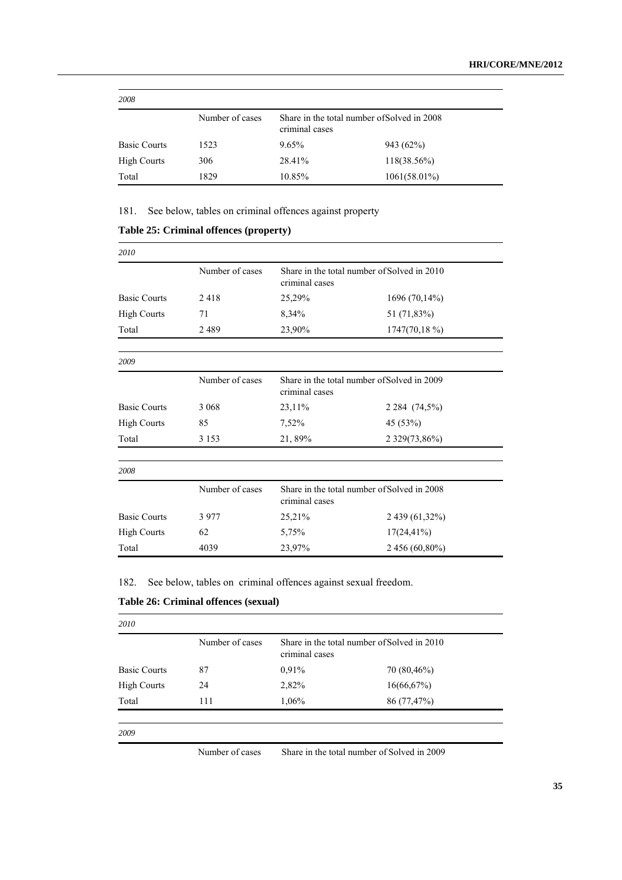| 2008                |                 |                                                               |                 |  |  |
|---------------------|-----------------|---------------------------------------------------------------|-----------------|--|--|
|                     | Number of cases | Share in the total number of Solved in 2008<br>criminal cases |                 |  |  |
| <b>Basic Courts</b> | 1523            | 9.65%                                                         | 943 (62%)       |  |  |
| <b>High Courts</b>  | 306             | 28.41%                                                        | $118(38.56\%)$  |  |  |
| Total               | 1829            | 10.85%                                                        | $1061(58.01\%)$ |  |  |

181. See below, tables on criminal offences against property

| 2010                |                 |                                                               |                 |  |
|---------------------|-----------------|---------------------------------------------------------------|-----------------|--|
|                     | Number of cases | Share in the total number of Solved in 2010<br>criminal cases |                 |  |
| <b>Basic Courts</b> | 2418            | 25,29%                                                        | 1696 (70,14%)   |  |
| <b>High Courts</b>  | 71              | 8,34%                                                         | 51 (71,83%)     |  |
| Total               | 2489            | 23,90%                                                        | $1747(70,18\%)$ |  |
| 2009                |                 |                                                               |                 |  |
|                     | Number of cases | Share in the total number of Solved in 2009<br>criminal cases |                 |  |
| <b>Basic Courts</b> | 3 0 6 8         | 23,11%                                                        | 2 2 84 (74,5%)  |  |
| <b>High Courts</b>  | 85              | 7,52%                                                         | 45 (53%)        |  |
| Total               | 3 1 5 3         | 21,89%                                                        | 2 329(73,86%)   |  |
| 2008                |                 |                                                               |                 |  |
|                     | Number of cases | Share in the total number of Solved in 2008<br>criminal cases |                 |  |
| <b>Basic Courts</b> | 3977            | 25,21%                                                        | 2 439 (61,32%)  |  |
| <b>High Courts</b>  | 62              | 5,75%                                                         | $17(24, 41\%)$  |  |
| Total               | 4039            | 23,97%                                                        | 2 456 (60,80%)  |  |

## **Table 25: Criminal offences (property)**

182. See below, tables on criminal offences against sexual freedom.

## **Table 26: Criminal offences (sexual)**

|                     | Number of cases | Share in the total number of Solved in 2010 |             |  |
|---------------------|-----------------|---------------------------------------------|-------------|--|
| <b>Basic Courts</b> | 87              | 0,91%                                       | 70 (80,46%) |  |
| <b>High Courts</b>  | 24              | 2,82%                                       | 16(66,67%)  |  |
| Total               | 111             | 1,06%                                       | 86 (77,47%) |  |

Number of cases Share in the total number of Solved in 2009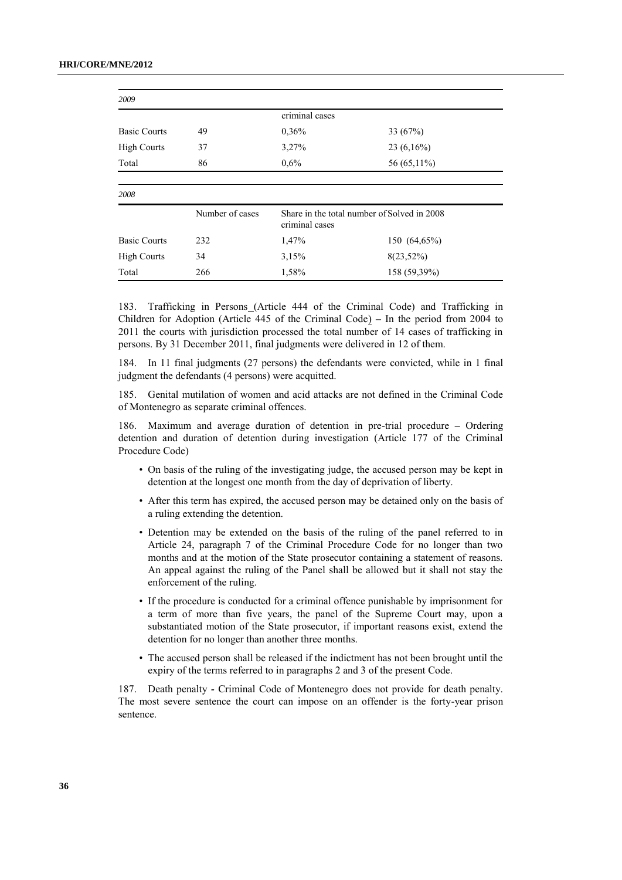| 2009                |                 |                                                               |              |
|---------------------|-----------------|---------------------------------------------------------------|--------------|
|                     |                 | criminal cases                                                |              |
| <b>Basic Courts</b> | 49              | 0,36%                                                         | 33 $(67%)$   |
| <b>High Courts</b>  | 37              | 3,27%                                                         | $23(6,16\%)$ |
| Total               | 86              | 0,6%                                                          | 56 (65,11%)  |
|                     |                 |                                                               |              |
| 2008                |                 |                                                               |              |
|                     | Number of cases | Share in the total number of Solved in 2008<br>criminal cases |              |
| <b>Basic Courts</b> | 232             | 1,47%                                                         | 150 (64,65%) |
| <b>High Courts</b>  | 34              | 3,15%                                                         | $8(23,52\%)$ |
| Total               | 266             | 1,58%                                                         | 158 (59,39%) |

183. Trafficking in Persons (Article 444 of the Criminal Code) and Trafficking in Children for Adoption (Article 445 of the Criminal Code) *–* In the period from 2004 to 2011 the courts with jurisdiction processed the total number of 14 cases of trafficking in persons. By 31 December 2011, final judgments were delivered in 12 of them.

184. In 11 final judgments (27 persons) the defendants were convicted, while in 1 final judgment the defendants (4 persons) were acquitted.

185. Genital mutilation of women and acid attacks are not defined in the Criminal Code of Montenegro as separate criminal offences.

186. Maximum and average duration of detention in pre-trial procedure *–* Ordering detention and duration of detention during investigation (Article 177 of the Criminal Procedure Code)

- On basis of the ruling of the investigating judge, the accused person may be kept in detention at the longest one month from the day of deprivation of liberty.
- After this term has expired, the accused person may be detained only on the basis of a ruling extending the detention.
- Detention may be extended on the basis of the ruling of the panel referred to in Article 24, paragraph 7 of the Criminal Procedure Code for no longer than two months and at the motion of the State prosecutor containing a statement of reasons. An appeal against the ruling of the Panel shall be allowed but it shall not stay the enforcement of the ruling.
- If the procedure is conducted for a criminal offence punishable by imprisonment for a term of more than five years, the panel of the Supreme Court may, upon a substantiated motion of the State prosecutor, if important reasons exist, extend the detention for no longer than another three months.
- The accused person shall be released if the indictment has not been brought until the expiry of the terms referred to in paragraphs 2 and 3 of the present Code.

187. Death penalty *-* Criminal Code of Montenegro does not provide for death penalty. The most severe sentence the court can impose on an offender is the forty-year prison sentence.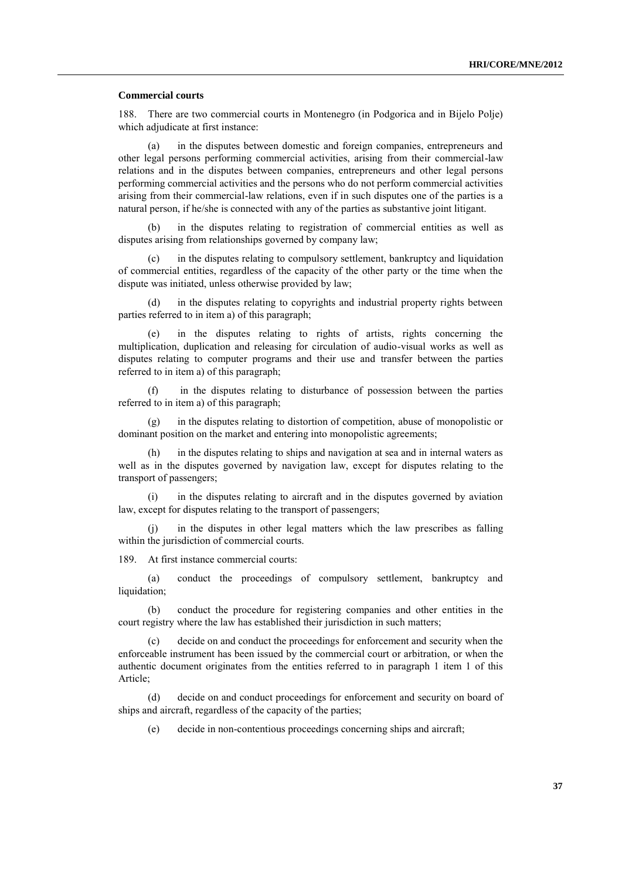#### **Commercial courts**

188. There are two commercial courts in Montenegro (in Podgorica and in Bijelo Polje) which adjudicate at first instance:

(a) in the disputes between domestic and foreign companies, entrepreneurs and other legal persons performing commercial activities, arising from their commercial-law relations and in the disputes between companies, entrepreneurs and other legal persons performing commercial activities and the persons who do not perform commercial activities arising from their commercial-law relations, even if in such disputes one of the parties is a natural person, if he/she is connected with any of the parties as substantive joint litigant.

(b) in the disputes relating to registration of commercial entities as well as disputes arising from relationships governed by company law;

(c) in the disputes relating to compulsory settlement, bankruptcy and liquidation of commercial entities, regardless of the capacity of the other party or the time when the dispute was initiated, unless otherwise provided by law;

in the disputes relating to copyrights and industrial property rights between parties referred to in item a) of this paragraph;

(e) in the disputes relating to rights of artists, rights concerning the multiplication, duplication and releasing for circulation of audio-visual works as well as disputes relating to computer programs and their use and transfer between the parties referred to in item a) of this paragraph;

(f) in the disputes relating to disturbance of possession between the parties referred to in item a) of this paragraph;

(g) in the disputes relating to distortion of competition, abuse of monopolistic or dominant position on the market and entering into monopolistic agreements;

(h) in the disputes relating to ships and navigation at sea and in internal waters as well as in the disputes governed by navigation law, except for disputes relating to the transport of passengers;

(i) in the disputes relating to aircraft and in the disputes governed by aviation law, except for disputes relating to the transport of passengers;

(j) in the disputes in other legal matters which the law prescribes as falling within the jurisdiction of commercial courts.

189. At first instance commercial courts:

(a) conduct the proceedings of compulsory settlement, bankruptcy and liquidation;

(b) conduct the procedure for registering companies and other entities in the court registry where the law has established their jurisdiction in such matters;

(c) decide on and conduct the proceedings for enforcement and security when the enforceable instrument has been issued by the commercial court or arbitration, or when the authentic document originates from the entities referred to in paragraph 1 item 1 of this Article;

(d) decide on and conduct proceedings for enforcement and security on board of ships and aircraft, regardless of the capacity of the parties;

(e) decide in non-contentious proceedings concerning ships and aircraft;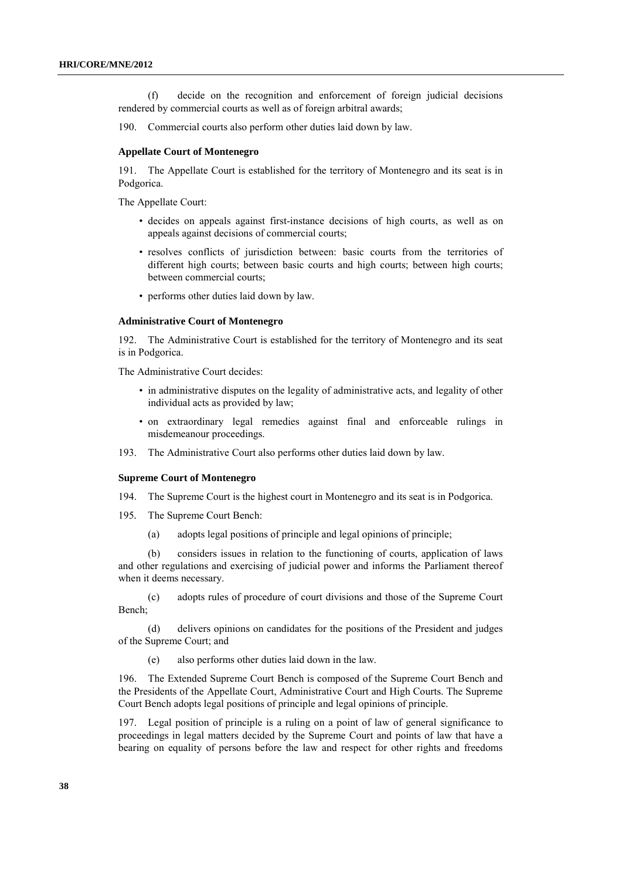(f) decide on the recognition and enforcement of foreign judicial decisions rendered by commercial courts as well as of foreign arbitral awards;

190. Commercial courts also perform other duties laid down by law.

#### **Appellate Court of Montenegro**

191. The Appellate Court is established for the territory of Montenegro and its seat is in Podgorica.

The Appellate Court:

- decides on appeals against first-instance decisions of high courts, as well as on appeals against decisions of commercial courts;
- resolves conflicts of jurisdiction between: basic courts from the territories of different high courts; between basic courts and high courts; between high courts; between commercial courts;
- performs other duties laid down by law.

#### **Administrative Court of Montenegro**

192. The Administrative Court is established for the territory of Montenegro and its seat is in Podgorica.

The Administrative Court decides:

- in administrative disputes on the legality of administrative acts, and legality of other individual acts as provided by law;
- on extraordinary legal remedies against final and enforceable rulings in misdemeanour proceedings.
- 193. The Administrative Court also performs other duties laid down by law.

#### **Supreme Court of Montenegro**

- 194. The Supreme Court is the highest court in Montenegro and its seat is in Podgorica.
- 195*.* The Supreme Court Bench:
	- (a) adopts legal positions of principle and legal opinions of principle;

(b) considers issues in relation to the functioning of courts, application of laws and other regulations and exercising of judicial power and informs the Parliament thereof when it deems necessary.

(c) adopts rules of procedure of court divisions and those of the Supreme Court Bench;

(d) delivers opinions on candidates for the positions of the President and judges of the Supreme Court; and

(e) also performs other duties laid down in the law.

196. The Extended Supreme Court Bench is composed of the Supreme Court Bench and the Presidents of the Appellate Court, Administrative Court and High Courts. The Supreme Court Bench adopts legal positions of principle and legal opinions of principle.

197. Legal position of principle is a ruling on a point of law of general significance to proceedings in legal matters decided by the Supreme Court and points of law that have a bearing on equality of persons before the law and respect for other rights and freedoms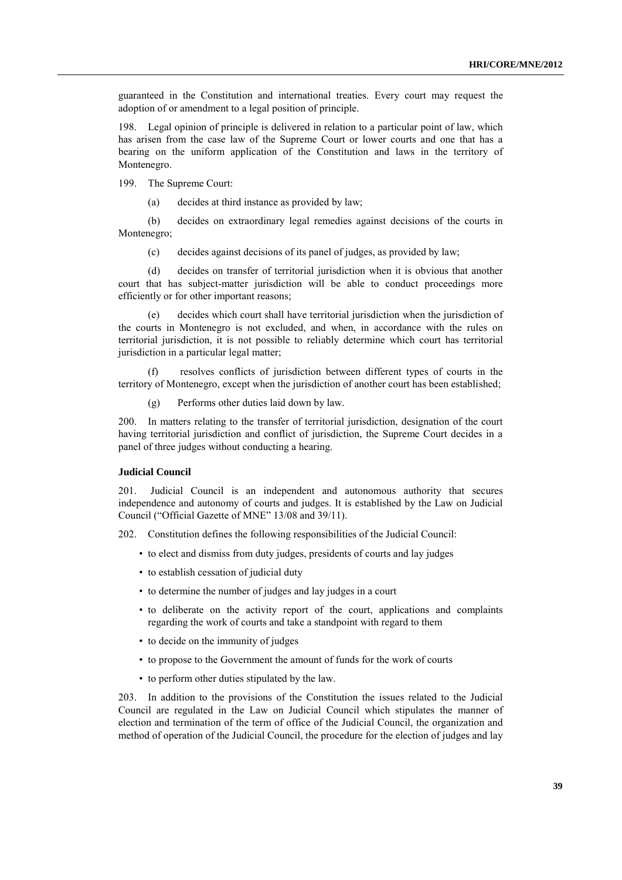guaranteed in the Constitution and international treaties. Every court may request the adoption of or amendment to a legal position of principle.

198. Legal opinion of principle is delivered in relation to a particular point of law, which has arisen from the case law of the Supreme Court or lower courts and one that has a bearing on the uniform application of the Constitution and laws in the territory of Montenegro.

199. The Supreme Court:

(a) decides at third instance as provided by law;

(b) decides on extraordinary legal remedies against decisions of the courts in Montenegro;

(c) decides against decisions of its panel of judges, as provided by law;

(d) decides on transfer of territorial jurisdiction when it is obvious that another court that has subject-matter jurisdiction will be able to conduct proceedings more efficiently or for other important reasons;

(e) decides which court shall have territorial jurisdiction when the jurisdiction of the courts in Montenegro is not excluded, and when, in accordance with the rules on territorial jurisdiction, it is not possible to reliably determine which court has territorial jurisdiction in a particular legal matter;

resolves conflicts of jurisdiction between different types of courts in the territory of Montenegro, except when the jurisdiction of another court has been established;

(g) Performs other duties laid down by law.

200. In matters relating to the transfer of territorial jurisdiction, designation of the court having territorial jurisdiction and conflict of jurisdiction, the Supreme Court decides in a panel of three judges without conducting a hearing.

### **Judicial Council**

201. Judicial Council is an independent and autonomous authority that secures independence and autonomy of courts and judges. It is established by the Law on Judicial Council ("Official Gazette of MNE" 13/08 and 39/11).

202. Constitution defines the following responsibilities of the Judicial Council:

- to elect and dismiss from duty judges, presidents of courts and lay judges
- to establish cessation of judicial duty
- to determine the number of judges and lay judges in a court
- to deliberate on the activity report of the court, applications and complaints regarding the work of courts and take a standpoint with regard to them
- to decide on the immunity of judges
- to propose to the Government the amount of funds for the work of courts
- to perform other duties stipulated by the law.

203. In addition to the provisions of the Constitution the issues related to the Judicial Council are regulated in the Law on Judicial Council which stipulates the manner of election and termination of the term of office of the Judicial Council, the organization and method of operation of the Judicial Council, the procedure for the election of judges and lay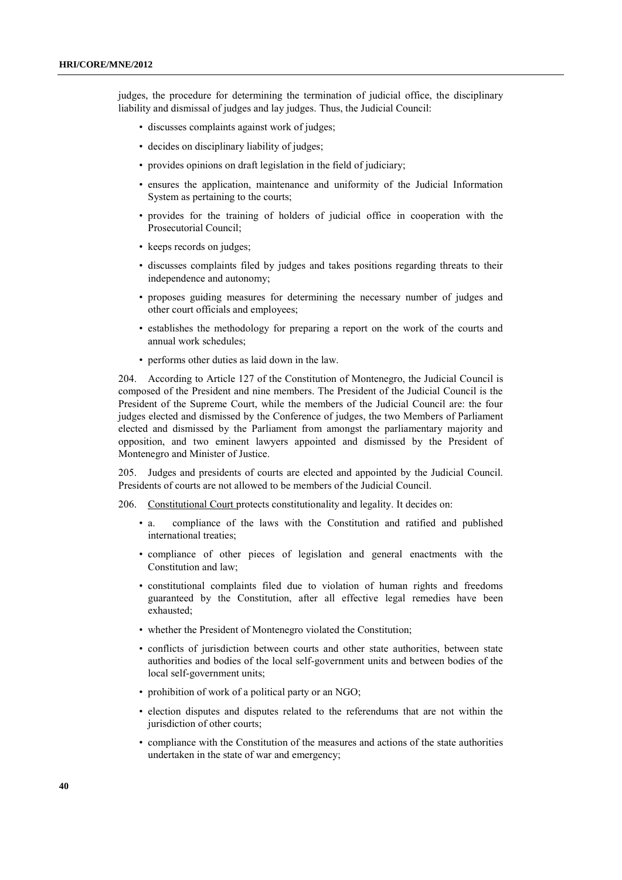judges, the procedure for determining the termination of judicial office, the disciplinary liability and dismissal of judges and lay judges. Thus, the Judicial Council:

- discusses complaints against work of judges;
- decides on disciplinary liability of judges;
- provides opinions on draft legislation in the field of judiciary;
- ensures the application, maintenance and uniformity of the Judicial Information System as pertaining to the courts;
- provides for the training of holders of judicial office in cooperation with the Prosecutorial Council;
- keeps records on judges;
- discusses complaints filed by judges and takes positions regarding threats to their independence and autonomy;
- proposes guiding measures for determining the necessary number of judges and other court officials and employees;
- establishes the methodology for preparing a report on the work of the courts and annual work schedules;
- performs other duties as laid down in the law.

204. According to Article 127 of the Constitution of Montenegro, the Judicial Council is composed of the President and nine members. The President of the Judicial Council is the President of the Supreme Court, while the members of the Judicial Council are: the four judges elected and dismissed by the Conference of judges, the two Members of Parliament elected and dismissed by the Parliament from amongst the parliamentary majority and opposition, and two eminent lawyers appointed and dismissed by the President of Montenegro and Minister of Justice.

205. Judges and presidents of courts are elected and appointed by the Judicial Council. Presidents of courts are not allowed to be members of the Judicial Council.

206. Constitutional Court protects constitutionality and legality. It decides on:

- a. compliance of the laws with the Constitution and ratified and published international treaties;
- compliance of other pieces of legislation and general enactments with the Constitution and law;
- constitutional complaints filed due to violation of human rights and freedoms guaranteed by the Constitution, after all effective legal remedies have been exhausted;
- whether the President of Montenegro violated the Constitution;
- conflicts of jurisdiction between courts and other state authorities, between state authorities and bodies of the local self-government units and between bodies of the local self-government units;
- prohibition of work of a political party or an NGO;
- election disputes and disputes related to the referendums that are not within the jurisdiction of other courts;
- compliance with the Constitution of the measures and actions of the state authorities undertaken in the state of war and emergency;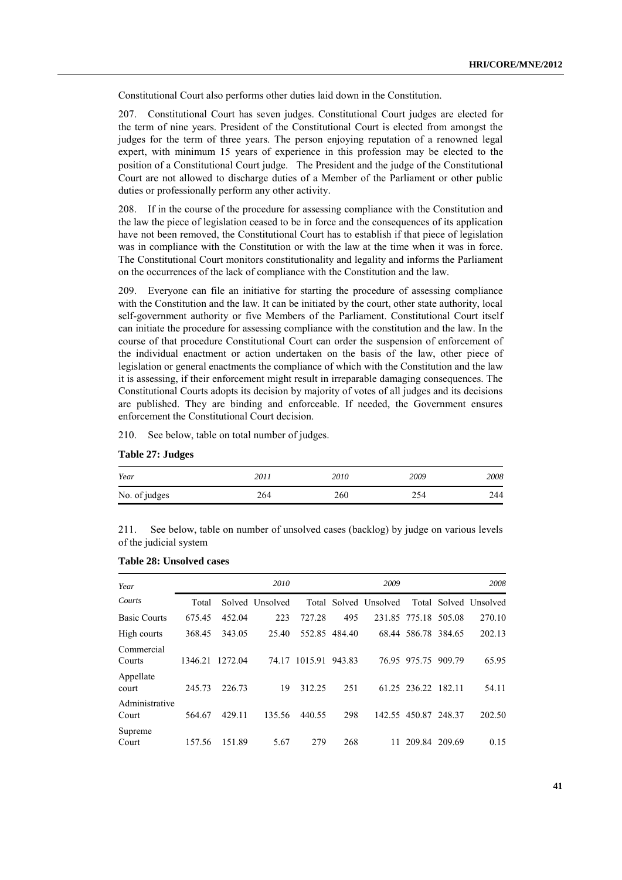Constitutional Court also performs other duties laid down in the Constitution.

207. Constitutional Court has seven judges. Constitutional Court judges are elected for the term of nine years. President of the Constitutional Court is elected from amongst the judges for the term of three years. The person enjoying reputation of a renowned legal expert, with minimum 15 years of experience in this profession may be elected to the position of a Constitutional Court judge. The President and the judge of the Constitutional Court are not allowed to discharge duties of a Member of the Parliament or other public duties or professionally perform any other activity.

208. If in the course of the procedure for assessing compliance with the Constitution and the law the piece of legislation ceased to be in force and the consequences of its application have not been removed, the Constitutional Court has to establish if that piece of legislation was in compliance with the Constitution or with the law at the time when it was in force. The Constitutional Court monitors constitutionality and legality and informs the Parliament on the occurrences of the lack of compliance with the Constitution and the law.

209. Everyone can file an initiative for starting the procedure of assessing compliance with the Constitution and the law. It can be initiated by the court, other state authority, local self-government authority or five Members of the Parliament. Constitutional Court itself can initiate the procedure for assessing compliance with the constitution and the law. In the course of that procedure Constitutional Court can order the suspension of enforcement of the individual enactment or action undertaken on the basis of the law, other piece of legislation or general enactments the compliance of which with the Constitution and the law it is assessing, if their enforcement might result in irreparable damaging consequences. The Constitutional Courts adopts its decision by majority of votes of all judges and its decisions are published. They are binding and enforceable. If needed, the Government ensures enforcement the Constitutional Court decision.

210. See below, table on total number of judges.

|  |  | Table 27: Judges |
|--|--|------------------|
|--|--|------------------|

| Year          | 201 i | 2010 | 2009 | 2008 |
|---------------|-------|------|------|------|
| No. of judges | 264   | 260  |      | 244  |

211. See below, table on number of unsolved cases (backlog) by judge on various levels of the judicial system

| Year                    |         |         | 2010            |         |        | 2009                  |                      |        | 2008                  |
|-------------------------|---------|---------|-----------------|---------|--------|-----------------------|----------------------|--------|-----------------------|
| Courts                  | Total   |         | Solved Unsolved |         |        | Total Solved Unsolved |                      |        | Total Solved Unsolved |
| <b>Basic Courts</b>     | 675.45  | 452.04  | 223             | 727.28  | 495    |                       | 231.85 775.18 505.08 |        | 270.10                |
| High courts             | 368.45  | 343.05  | 25.40           | 552.85  | 484.40 |                       | 68.44 586.78 384.65  |        | 202.13                |
| Commercial<br>Courts    | 1346.21 | 1272.04 | 74.17           | 1015.91 | 943.83 | 76.95                 | 975.75               | 909.79 | 65.95                 |
| Appellate<br>court      | 245.73  | 226.73  | 19              | 312.25  | 251    |                       | 61.25 236.22 182.11  |        | 54.11                 |
| Administrative<br>Court | 564.67  | 429.11  | 135.56          | 440.55  | 298    |                       | 142.55 450.87 248.37 |        | 202.50                |
| Supreme<br>Court        | 157.56  | 151.89  | 5.67            | 279     | 268    | 11                    | 209.84 209.69        |        | 0.15                  |

#### **Table 28: Unsolved cases**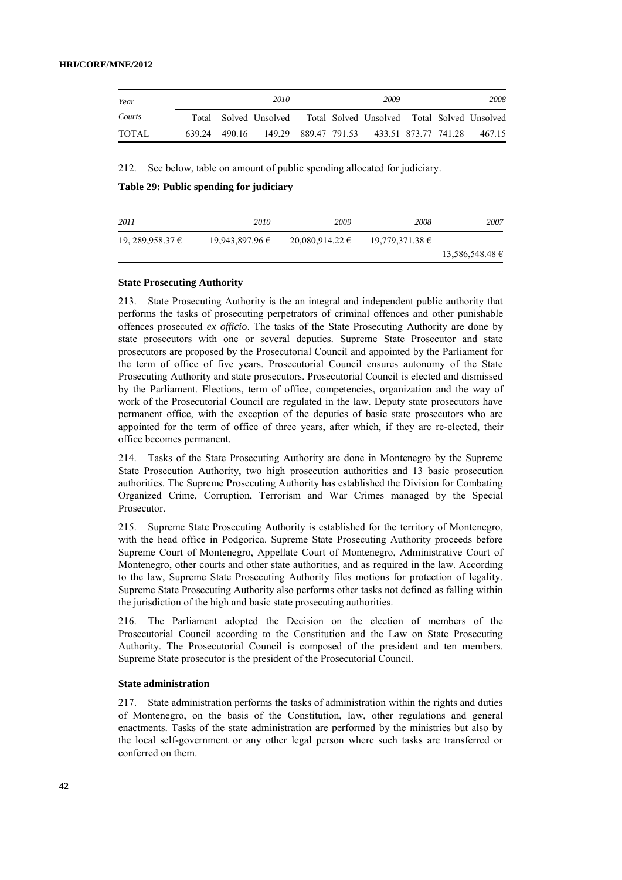| Year   |               | 2010                                                              |  | 2009                                      |  | 2008   |
|--------|---------------|-------------------------------------------------------------------|--|-------------------------------------------|--|--------|
| Courts |               | Total Solved Unsolved Total Solved Unsolved Total Solved Unsolved |  |                                           |  |        |
| TOTAL  | 639 24 490 16 |                                                                   |  | 149.29 889.47 791.53 433.51 873.77 741.28 |  | 467 15 |

212. See below, table on amount of public spending allocated for judiciary.

**Table 29: Public spending for judiciary**

| 2011             | 2010            | 2009                | 2008                | 2007                |
|------------------|-----------------|---------------------|---------------------|---------------------|
| 19, 289,958.37 € | 19,943,897.96 € | $20,080,914,22 \in$ | $19,779,371.38 \in$ |                     |
|                  |                 |                     |                     | $13,586,548.48 \in$ |

### **State Prosecuting Authority**

213. State Prosecuting Authority is the an integral and independent public authority that performs the tasks of prosecuting perpetrators of criminal offences and other punishable offences prosecuted *ex officio*. The tasks of the State Prosecuting Authority are done by state prosecutors with one or several deputies. Supreme State Prosecutor and state prosecutors are proposed by the Prosecutorial Council and appointed by the Parliament for the term of office of five years. Prosecutorial Council ensures autonomy of the State Prosecuting Authority and state prosecutors. Prosecutorial Council is elected and dismissed by the Parliament. Elections, term of office, competencies, organization and the way of work of the Prosecutorial Council are regulated in the law. Deputy state prosecutors have permanent office, with the exception of the deputies of basic state prosecutors who are appointed for the term of office of three years, after which, if they are re-elected, their office becomes permanent.

214. Tasks of the State Prosecuting Authority are done in Montenegro by the Supreme State Prosecution Authority, two high prosecution authorities and 13 basic prosecution authorities. The Supreme Prosecuting Authority has established the Division for Combating Organized Crime, Corruption, Terrorism and War Crimes managed by the Special Prosecutor.

215. Supreme State Prosecuting Authority is established for the territory of Montenegro, with the head office in Podgorica. Supreme State Prosecuting Authority proceeds before Supreme Court of Montenegro, Appellate Court of Montenegro, Administrative Court of Montenegro, other courts and other state authorities, and as required in the law. According to the law, Supreme State Prosecuting Authority files motions for protection of legality. Supreme State Prosecuting Authority also performs other tasks not defined as falling within the jurisdiction of the high and basic state prosecuting authorities.

216. The Parliament adopted the Decision on the election of members of the Prosecutorial Council according to the Constitution and the Law on State Prosecuting Authority. The Prosecutorial Council is composed of the president and ten members. Supreme State prosecutor is the president of the Prosecutorial Council.

## **State administration**

217. State administration performs the tasks of administration within the rights and duties of Montenegro, on the basis of the Constitution, law, other regulations and general enactments. Tasks of the state administration are performed by the ministries but also by the local self-government or any other legal person where such tasks are transferred or conferred on them.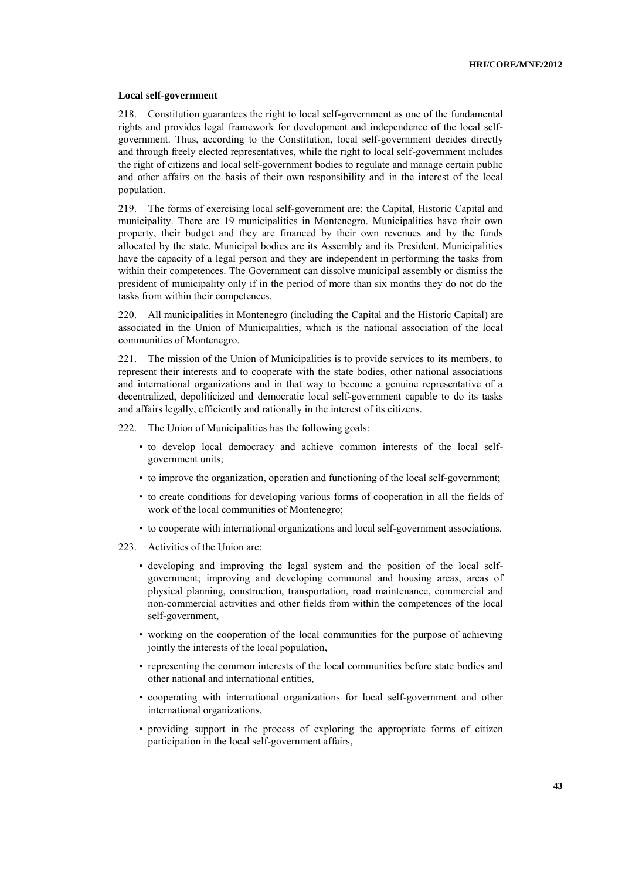#### **Local self-government**

218. Constitution guarantees the right to local self-government as one of the fundamental rights and provides legal framework for development and independence of the local selfgovernment. Thus, according to the Constitution, local self-government decides directly and through freely elected representatives, while the right to local self-government includes the right of citizens and local self-government bodies to regulate and manage certain public and other affairs on the basis of their own responsibility and in the interest of the local population.

219. The forms of exercising local self-government are: the Capital, Historic Capital and municipality. There are 19 municipalities in Montenegro. Municipalities have their own property, their budget and they are financed by their own revenues and by the funds allocated by the state. Municipal bodies are its Assembly and its President. Municipalities have the capacity of a legal person and they are independent in performing the tasks from within their competences. The Government can dissolve municipal assembly or dismiss the president of municipality only if in the period of more than six months they do not do the tasks from within their competences.

220. All municipalities in Montenegro (including the Capital and the Historic Capital) are associated in the Union of Municipalities, which is the national association of the local communities of Montenegro.

221. The mission of the Union of Municipalities is to provide services to its members, to represent their interests and to cooperate with the state bodies, other national associations and international organizations and in that way to become a genuine representative of a decentralized, depoliticized and democratic local self-government capable to do its tasks and affairs legally, efficiently and rationally in the interest of its citizens.

222. The Union of Municipalities has the following goals:

- to develop local democracy and achieve common interests of the local selfgovernment units;
- to improve the organization, operation and functioning of the local self-government;
- to create conditions for developing various forms of cooperation in all the fields of work of the local communities of Montenegro;
- to cooperate with international organizations and local self-government associations.
- 223. Activities of the Union are:
	- developing and improving the legal system and the position of the local selfgovernment; improving and developing communal and housing areas, areas of physical planning, construction, transportation, road maintenance, commercial and non-commercial activities and other fields from within the competences of the local self-government,
	- working on the cooperation of the local communities for the purpose of achieving jointly the interests of the local population,
	- representing the common interests of the local communities before state bodies and other national and international entities,
	- cooperating with international organizations for local self-government and other international organizations,
	- providing support in the process of exploring the appropriate forms of citizen participation in the local self-government affairs,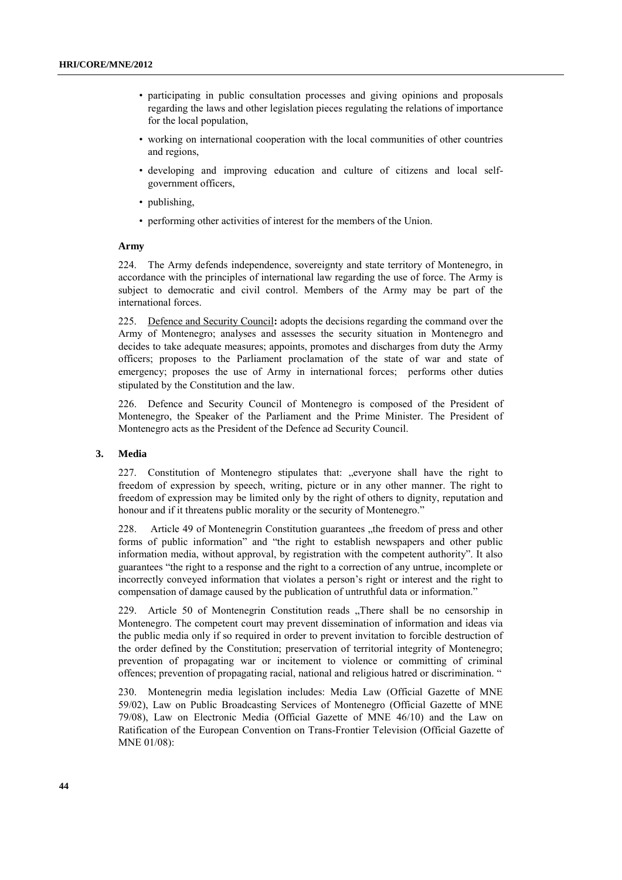- participating in public consultation processes and giving opinions and proposals regarding the laws and other legislation pieces regulating the relations of importance for the local population,
- working on international cooperation with the local communities of other countries and regions,
- developing and improving education and culture of citizens and local selfgovernment officers,
- publishing,
- performing other activities of interest for the members of the Union.

## **Army**

224. The Army defends independence, sovereignty and state territory of Montenegro, in accordance with the principles of international law regarding the use of force. The Army is subject to democratic and civil control. Members of the Army may be part of the international forces.

225. Defence and Security Council**:** adopts the decisions regarding the command over the Army of Montenegro; analyses and assesses the security situation in Montenegro and decides to take adequate measures; appoints, promotes and discharges from duty the Army officers; proposes to the Parliament proclamation of the state of war and state of emergency; proposes the use of Army in international forces; performs other duties stipulated by the Constitution and the law.

226. Defence and Security Council of Montenegro is composed of the President of Montenegro, the Speaker of the Parliament and the Prime Minister. The President of Montenegro acts as the President of the Defence ad Security Council.

#### **3. Media**

227. Constitution of Montenegro stipulates that: "everyone shall have the right to freedom of expression by speech, writing, picture or in any other manner. The right to freedom of expression may be limited only by the right of others to dignity, reputation and honour and if it threatens public morality or the security of Montenegro."

228. Article 49 of Montenegrin Constitution guarantees "the freedom of press and other forms of public information" and "the right to establish newspapers and other public information media, without approval, by registration with the competent authority". It also guarantees "the right to a response and the right to a correction of any untrue, incomplete or incorrectly conveyed information that violates a person's right or interest and the right to compensation of damage caused by the publication of untruthful data or information."

229. Article 50 of Montenegrin Constitution reads "There shall be no censorship in Montenegro. The competent court may prevent dissemination of information and ideas via the public media only if so required in order to prevent invitation to forcible destruction of the order defined by the Constitution; preservation of territorial integrity of Montenegro; prevention of propagating war or incitement to violence or committing of criminal offences; prevention of propagating racial, national and religious hatred or discrimination. "

230. Montenegrin media legislation includes: Media Law (Official Gazette of MNE 59/02), Law on Public Broadcasting Services of Montenegro (Official Gazette of MNE 79/08), Law on Electronic Media (Official Gazette of MNE 46/10) and the Law on Ratification of the European Convention on Trans-Frontier Television (Official Gazette of MNE 01/08):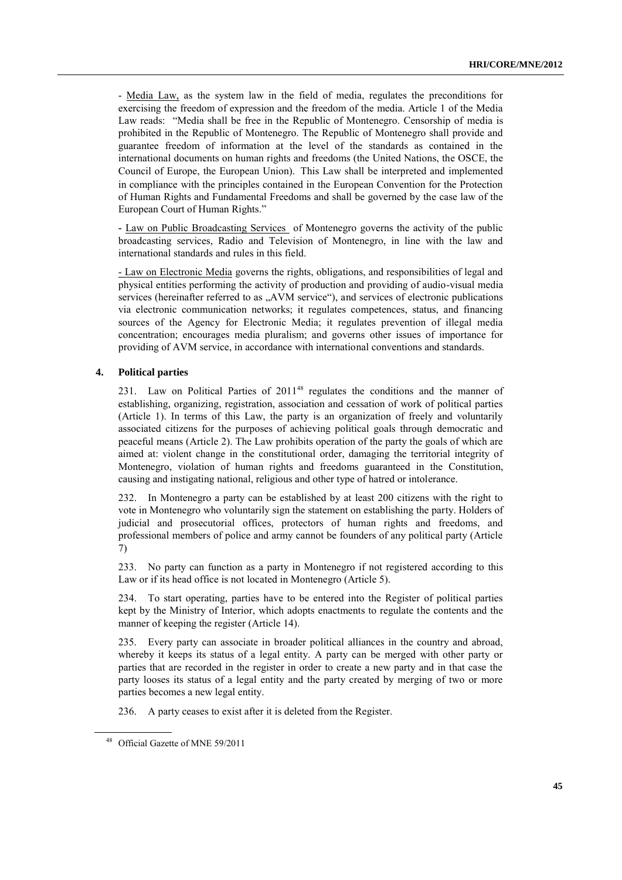- Media Law, as the system law in the field of media, regulates the preconditions for exercising the freedom of expression and the freedom of the media. Article 1 of the Media Law reads: "Media shall be free in the Republic of Montenegro. Censorship of media is prohibited in the Republic of Montenegro. The Republic of Montenegro shall provide and guarantee freedom of information at the level of the standards as contained in the international documents on human rights and freedoms (the United Nations, the OSCE, the Council of Europe, the European Union). This Law shall be interpreted and implemented in compliance with the principles contained in the European Convention for the Protection of Human Rights and Fundamental Freedoms and shall be governed by the case law of the European Court of Human Rights."

**-** Law on Public Broadcasting Services of Montenegro governs the activity of the public broadcasting services, Radio and Television of Montenegro, in line with the law and international standards and rules in this field.

- Law on Electronic Media governs the rights, obligations, and responsibilities of legal and physical entities performing the activity of production and providing of audio-visual media services (hereinafter referred to as "AVM service"), and services of electronic publications via electronic communication networks; it regulates competences, status, and financing sources of the Agency for Electronic Media; it regulates prevention of illegal media concentration; encourages media pluralism; and governs other issues of importance for providing of AVM service, in accordance with international conventions and standards.

## **4. Political parties**

231. Law on Political Parties of 2011<sup>48</sup> regulates the conditions and the manner of establishing, organizing, registration, association and cessation of work of political parties (Article 1). In terms of this Law, the party is an organization of freely and voluntarily associated citizens for the purposes of achieving political goals through democratic and peaceful means (Article 2). The Law prohibits operation of the party the goals of which are aimed at: violent change in the constitutional order, damaging the territorial integrity of Montenegro, violation of human rights and freedoms guaranteed in the Constitution, causing and instigating national, religious and other type of hatred or intolerance.

232. In Montenegro a party can be established by at least 200 citizens with the right to vote in Montenegro who voluntarily sign the statement on establishing the party. Holders of judicial and prosecutorial offices, protectors of human rights and freedoms, and professional members of police and army cannot be founders of any political party (Article 7)

233. No party can function as a party in Montenegro if not registered according to this Law or if its head office is not located in Montenegro (Article 5).

To start operating, parties have to be entered into the Register of political parties kept by the Ministry of Interior, which adopts enactments to regulate the contents and the manner of keeping the register (Article 14).

235. Every party can associate in broader political alliances in the country and abroad, whereby it keeps its status of a legal entity. A party can be merged with other party or parties that are recorded in the register in order to create a new party and in that case the party looses its status of a legal entity and the party created by merging of two or more parties becomes a new legal entity.

236. A party ceases to exist after it is deleted from the Register.

<sup>48</sup> Official Gazette of MNE 59/2011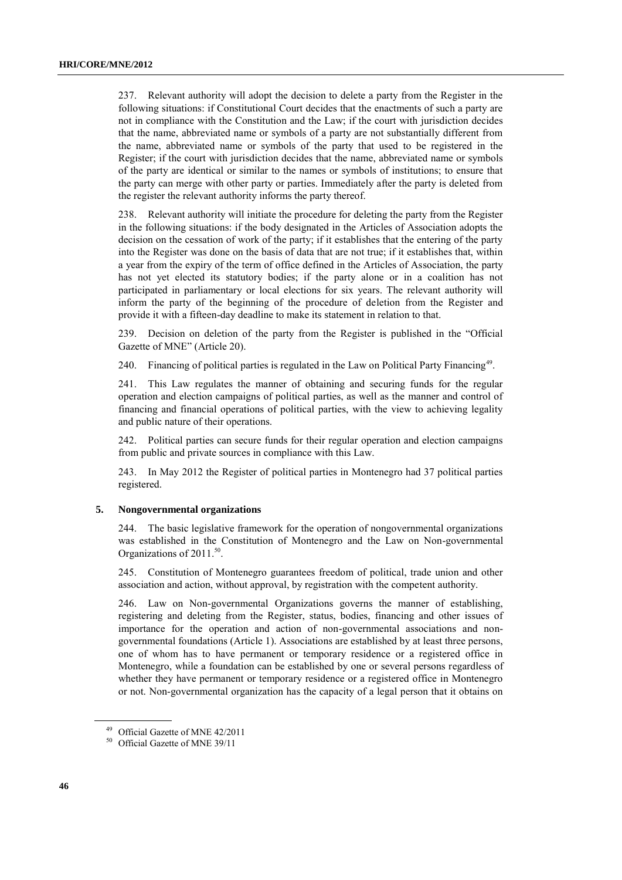237. Relevant authority will adopt the decision to delete a party from the Register in the following situations: if Constitutional Court decides that the enactments of such a party are not in compliance with the Constitution and the Law; if the court with jurisdiction decides that the name, abbreviated name or symbols of a party are not substantially different from the name, abbreviated name or symbols of the party that used to be registered in the Register; if the court with jurisdiction decides that the name, abbreviated name or symbols of the party are identical or similar to the names or symbols of institutions; to ensure that the party can merge with other party or parties. Immediately after the party is deleted from the register the relevant authority informs the party thereof.

238. Relevant authority will initiate the procedure for deleting the party from the Register in the following situations: if the body designated in the Articles of Association adopts the decision on the cessation of work of the party; if it establishes that the entering of the party into the Register was done on the basis of data that are not true; if it establishes that, within a year from the expiry of the term of office defined in the Articles of Association, the party has not yet elected its statutory bodies; if the party alone or in a coalition has not participated in parliamentary or local elections for six years. The relevant authority will inform the party of the beginning of the procedure of deletion from the Register and provide it with a fifteen-day deadline to make its statement in relation to that.

239. Decision on deletion of the party from the Register is published in the "Official Gazette of MNE" (Article 20).

240. Financing of political parties is regulated in the Law on Political Party Financing<sup>49</sup>.

241. This Law regulates the manner of obtaining and securing funds for the regular operation and election campaigns of political parties, as well as the manner and control of financing and financial operations of political parties, with the view to achieving legality and public nature of their operations.

242. Political parties can secure funds for their regular operation and election campaigns from public and private sources in compliance with this Law.

243. In May 2012 the Register of political parties in Montenegro had 37 political parties registered.

#### **5. Nongovernmental organizations**

244. The basic legislative framework for the operation of nongovernmental organizations was established in the Constitution of Montenegro and the Law on Non-governmental Organizations of  $2011.^{50}$ .

245. Constitution of Montenegro guarantees freedom of political, trade union and other association and action, without approval, by registration with the competent authority.

246. Law on Non-governmental Organizations governs the manner of establishing, registering and deleting from the Register, status, bodies, financing and other issues of importance for the operation and action of non-governmental associations and nongovernmental foundations (Article 1). Associations are established by at least three persons, one of whom has to have permanent or temporary residence or a registered office in Montenegro, while a foundation can be established by one or several persons regardless of whether they have permanent or temporary residence or a registered office in Montenegro or not. Non-governmental organization has the capacity of a legal person that it obtains on

<sup>49</sup> Official Gazette of MNE 42/2011

<sup>50</sup> Official Gazette of MNE 39/11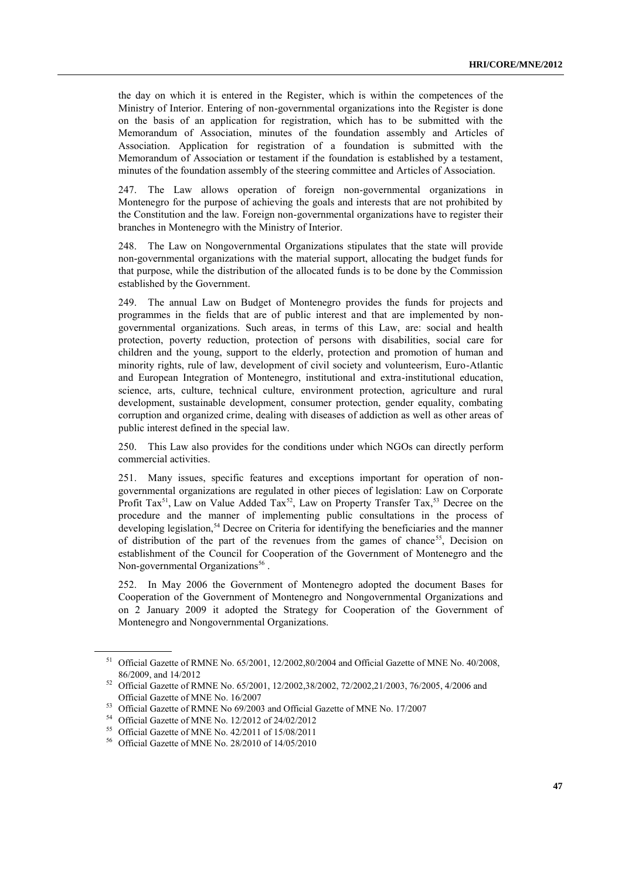the day on which it is entered in the Register, which is within the competences of the Ministry of Interior. Entering of non-governmental organizations into the Register is done on the basis of an application for registration, which has to be submitted with the Memorandum of Association, minutes of the foundation assembly and Articles of Association. Application for registration of a foundation is submitted with the Memorandum of Association or testament if the foundation is established by a testament, minutes of the foundation assembly of the steering committee and Articles of Association.

247. The Law allows operation of foreign non-governmental organizations in Montenegro for the purpose of achieving the goals and interests that are not prohibited by the Constitution and the law. Foreign non-governmental organizations have to register their branches in Montenegro with the Ministry of Interior.

248. The Law on Nongovernmental Organizations stipulates that the state will provide non-governmental organizations with the material support, allocating the budget funds for that purpose, while the distribution of the allocated funds is to be done by the Commission established by the Government.

249. The annual Law on Budget of Montenegro provides the funds for projects and programmes in the fields that are of public interest and that are implemented by nongovernmental organizations. Such areas, in terms of this Law, are: social and health protection, poverty reduction, protection of persons with disabilities, social care for children and the young, support to the elderly, protection and promotion of human and minority rights, rule of law, development of civil society and volunteerism, Euro-Atlantic and European Integration of Montenegro, institutional and extra-institutional education, science, arts, culture, technical culture, environment protection, agriculture and rural development, sustainable development, consumer protection, gender equality, combating corruption and organized crime, dealing with diseases of addiction as well as other areas of public interest defined in the special law.

250. This Law also provides for the conditions under which NGOs can directly perform commercial activities.

251. Many issues, specific features and exceptions important for operation of nongovernmental organizations are regulated in other pieces of legislation: Law on Corporate Profit Tax<sup>51</sup>, Law on Value Added Tax<sup>52</sup>, Law on Property Transfer Tax,<sup>53</sup> Decree on the procedure and the manner of implementing public consultations in the process of developing legislation,<sup>54</sup> Decree on Criteria for identifying the beneficiaries and the manner of distribution of the part of the revenues from the games of chance<sup>55</sup>, Decision on establishment of the Council for Cooperation of the Government of Montenegro and the Non-governmental Organizations<sup>56</sup>.

252. In May 2006 the Government of Montenegro adopted the document Bases for Cooperation of the Government of Montenegro and Nongovernmental Organizations and on 2 January 2009 it adopted the Strategy for Cooperation of the Government of Montenegro and Nongovernmental Organizations.

<sup>&</sup>lt;sup>51</sup> Official Gazette of RMNE No. 65/2001, 12/2002,80/2004 and Official Gazette of MNE No. 40/2008, 86/2009, and 14/2012

<sup>52</sup> Official Gazette of RMNE No. 65/2001, 12/2002,38/2002, 72/2002,21/2003, 76/2005, 4/2006 and Official Gazette of MNE No. 16/2007

<sup>53</sup> Official Gazette of RMNE No 69/2003 and Official Gazette of MNE No. 17/2007

<sup>54</sup> Official Gazette of MNE No. 12/2012 of 24/02/2012

<sup>55</sup> Official Gazette of MNE No. 42/2011 of 15/08/2011

<sup>56</sup> Official Gazette of MNE No. 28/2010 of 14/05/2010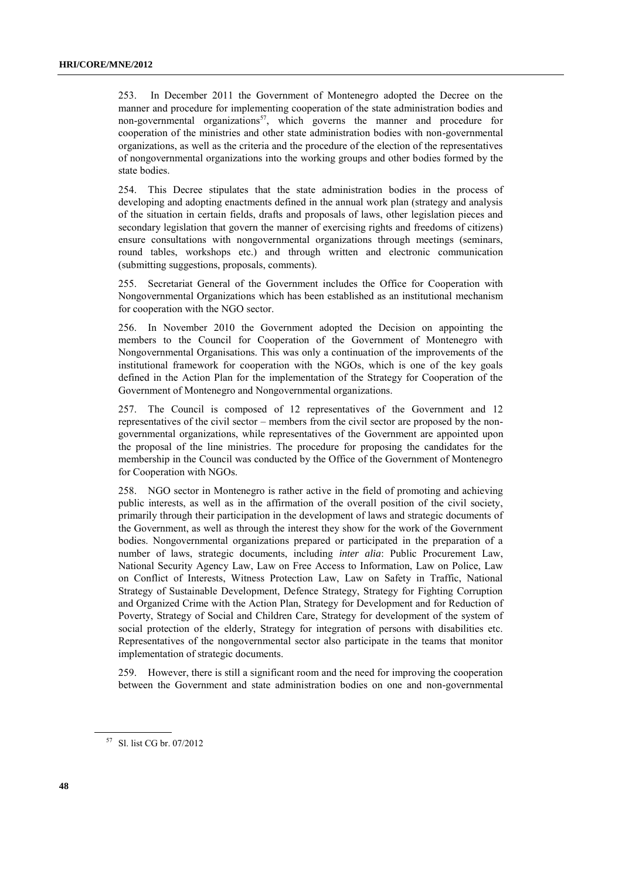253. In December 2011 the Government of Montenegro adopted the Decree on the manner and procedure for implementing cooperation of the state administration bodies and non-governmental organizations<sup>57</sup>, which governs the manner and procedure for cooperation of the ministries and other state administration bodies with non-governmental organizations, as well as the criteria and the procedure of the election of the representatives of nongovernmental organizations into the working groups and other bodies formed by the state bodies.

254. This Decree stipulates that the state administration bodies in the process of developing and adopting enactments defined in the annual work plan (strategy and analysis of the situation in certain fields, drafts and proposals of laws, other legislation pieces and secondary legislation that govern the manner of exercising rights and freedoms of citizens) ensure consultations with nongovernmental organizations through meetings (seminars, round tables, workshops etc.) and through written and electronic communication (submitting suggestions, proposals, comments).

255. Secretariat General of the Government includes the Office for Cooperation with Nongovernmental Organizations which has been established as an institutional mechanism for cooperation with the NGO sector.

256. In November 2010 the Government adopted the Decision on appointing the members to the Council for Cooperation of the Government of Montenegro with Nongovernmental Organisations. This was only a continuation of the improvements of the institutional framework for cooperation with the NGOs, which is one of the key goals defined in the Action Plan for the implementation of the Strategy for Cooperation of the Government of Montenegro and Nongovernmental organizations.

257. The Council is composed of 12 representatives of the Government and 12 representatives of the civil sector – members from the civil sector are proposed by the nongovernmental organizations, while representatives of the Government are appointed upon the proposal of the line ministries. The procedure for proposing the candidates for the membership in the Council was conducted by the Office of the Government of Montenegro for Cooperation with NGOs.

258. NGO sector in Montenegro is rather active in the field of promoting and achieving public interests, as well as in the affirmation of the overall position of the civil society, primarily through their participation in the development of laws and strategic documents of the Government, as well as through the interest they show for the work of the Government bodies. Nongovernmental organizations prepared or participated in the preparation of a number of laws, strategic documents, including *inter alia*: Public Procurement Law, National Security Agency Law, Law on Free Access to Information, Law on Police, Law on Conflict of Interests, Witness Protection Law, Law on Safety in Traffic, National Strategy of Sustainable Development, Defence Strategy, Strategy for Fighting Corruption and Organized Crime with the Action Plan, Strategy for Development and for Reduction of Poverty, Strategy of Social and Children Care, Strategy for development of the system of social protection of the elderly, Strategy for integration of persons with disabilities etc. Representatives of the nongovernmental sector also participate in the teams that monitor implementation of strategic documents.

259. However, there is still a significant room and the need for improving the cooperation between the Government and state administration bodies on one and non-governmental

<sup>57</sup> Sl. list CG br. 07/2012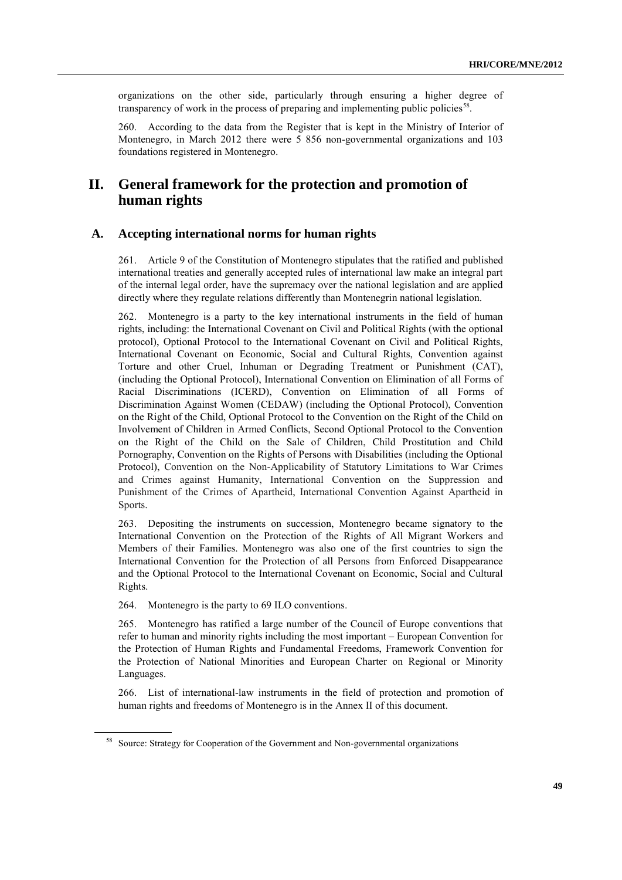organizations on the other side, particularly through ensuring a higher degree of transparency of work in the process of preparing and implementing public policies<sup>58</sup>.

260. According to the data from the Register that is kept in the Ministry of Interior of Montenegro, in March 2012 there were 5 856 non-governmental organizations and 103 foundations registered in Montenegro.

# **II. General framework for the protection and promotion of human rights**

## **A. Accepting international norms for human rights**

261. Article 9 of the Constitution of Montenegro stipulates that the ratified and published international treaties and generally accepted rules of international law make an integral part of the internal legal order, have the supremacy over the national legislation and are applied directly where they regulate relations differently than Montenegrin national legislation.

262. Montenegro is a party to the key international instruments in the field of human rights, including: the International Covenant on Civil and Political Rights (with the optional protocol), Optional Protocol to the International Covenant on Civil and Political Rights, International Covenant on Economic, Social and Cultural Rights, Convention against Torture and other Cruel, Inhuman or Degrading Treatment or Punishment (CAT), (including the Optional Protocol), International Convention on Elimination of all Forms of Racial Discriminations (ICERD), Convention on Elimination of all Forms of Discrimination Against Women (CEDAW) (including the Optional Protocol), Convention on the Right of the Child, Optional Protocol to the Convention on the Right of the Child on Involvement of Children in Armed Conflicts, Second Optional Protocol to the Convention on the Right of the Child on the Sale of Children, Child Prostitution and Child Pornography, Convention on the Rights of Persons with Disabilities (including the Optional Protocol), Convention on the Non-Applicability of Statutory Limitations to War Crimes and Crimes against Humanity, International Convention on the Suppression and Punishment of the Crimes of Apartheid, International Convention Against Apartheid in Sports.

263. Depositing the instruments on succession, Montenegro became signatory to the International Convention on the Protection of the Rights of All Migrant Workers and Members of their Families. Montenegro was also one of the first countries to sign the International Convention for the Protection of all Persons from Enforced Disappearance and the Optional Protocol to the International Covenant on Economic, Social and Cultural Rights.

264. Montenegro is the party to 69 ILO conventions.

265. Montenegro has ratified a large number of the Council of Europe conventions that refer to human and minority rights including the most important – European Convention for the Protection of Human Rights and Fundamental Freedoms, Framework Convention for the Protection of National Minorities and European Charter on Regional or Minority Languages.

266. List of international-law instruments in the field of protection and promotion of human rights and freedoms of Montenegro is in the Annex II of this document.

<sup>&</sup>lt;sup>58</sup> Source: Strategy for Cooperation of the Government and Non-governmental organizations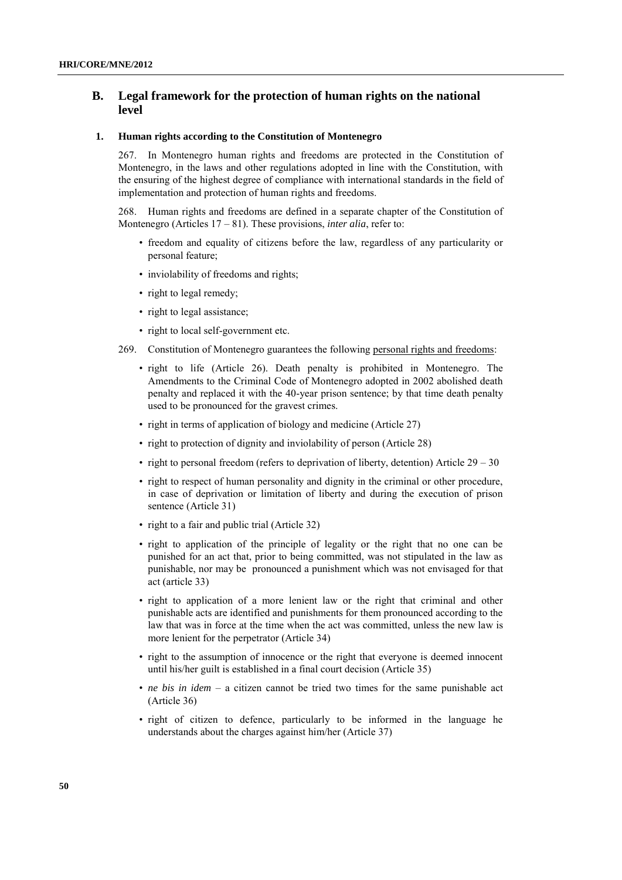# **B. Legal framework for the protection of human rights on the national level**

## **1. Human rights according to the Constitution of Montenegro**

267. In Montenegro human rights and freedoms are protected in the Constitution of Montenegro, in the laws and other regulations adopted in line with the Constitution, with the ensuring of the highest degree of compliance with international standards in the field of implementation and protection of human rights and freedoms.

268. Human rights and freedoms are defined in a separate chapter of the Constitution of Montenegro (Articles 17 – 81). These provisions, *inter alia*, refer to:

- freedom and equality of citizens before the law, regardless of any particularity or personal feature;
- inviolability of freedoms and rights;
- right to legal remedy;
- right to legal assistance;
- right to local self-government etc.
- 269. Constitution of Montenegro guarantees the following personal rights and freedoms:
	- right to life (Article 26). Death penalty is prohibited in Montenegro. The Amendments to the Criminal Code of Montenegro adopted in 2002 abolished death penalty and replaced it with the 40-year prison sentence; by that time death penalty used to be pronounced for the gravest crimes.
	- right in terms of application of biology and medicine (Article 27)
	- right to protection of dignity and inviolability of person (Article 28)
	- right to personal freedom (refers to deprivation of liberty, detention) Article 29 30
	- right to respect of human personality and dignity in the criminal or other procedure, in case of deprivation or limitation of liberty and during the execution of prison sentence (Article 31)
	- right to a fair and public trial (Article 32)
	- right to application of the principle of legality or the right that no one can be punished for an act that, prior to being committed, was not stipulated in the law as punishable, nor may be pronounced a punishment which was not envisaged for that act (article 33)
	- right to application of a more lenient law or the right that criminal and other punishable acts are identified and punishments for them pronounced according to the law that was in force at the time when the act was committed, unless the new law is more lenient for the perpetrator (Article 34)
	- right to the assumption of innocence or the right that everyone is deemed innocent until his/her guilt is established in a final court decision (Article 35)
	- *ne bis in idem* a citizen cannot be tried two times for the same punishable act (Article 36)
	- right of citizen to defence, particularly to be informed in the language he understands about the charges against him/her (Article 37)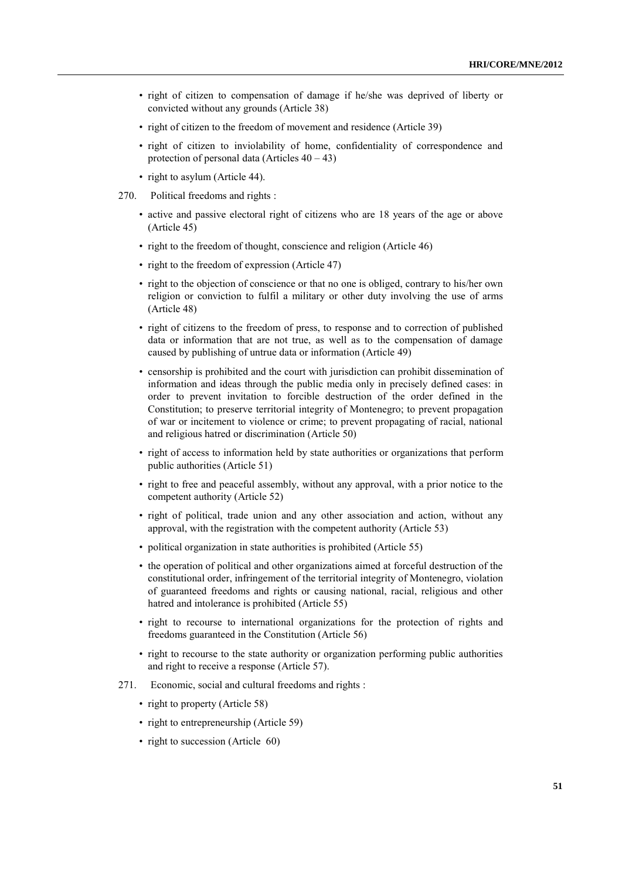- right of citizen to compensation of damage if he/she was deprived of liberty or convicted without any grounds (Article 38)
- right of citizen to the freedom of movement and residence (Article 39)
- right of citizen to inviolability of home, confidentiality of correspondence and protection of personal data (Articles  $40 - 43$ )
- right to asylum (Article 44).
- 270. Political freedoms and rights :
	- active and passive electoral right of citizens who are 18 years of the age or above (Article 45)
	- right to the freedom of thought, conscience and religion (Article 46)
	- right to the freedom of expression (Article 47)
	- right to the objection of conscience or that no one is obliged, contrary to his/her own religion or conviction to fulfil a military or other duty involving the use of arms (Article 48)
	- right of citizens to the freedom of press, to response and to correction of published data or information that are not true, as well as to the compensation of damage caused by publishing of untrue data or information (Article 49)
	- censorship is prohibited and the court with jurisdiction can prohibit dissemination of information and ideas through the public media only in precisely defined cases: in order to prevent invitation to forcible destruction of the order defined in the Constitution; to preserve territorial integrity of Montenegro; to prevent propagation of war or incitement to violence or crime; to prevent propagating of racial, national and religious hatred or discrimination (Article 50)
	- right of access to information held by state authorities or organizations that perform public authorities (Article 51)
	- right to free and peaceful assembly, without any approval, with a prior notice to the competent authority (Article 52)
	- right of political, trade union and any other association and action, without any approval, with the registration with the competent authority (Article 53)
	- political organization in state authorities is prohibited (Article 55)
	- the operation of political and other organizations aimed at forceful destruction of the constitutional order, infringement of the territorial integrity of Montenegro, violation of guaranteed freedoms and rights or causing national, racial, religious and other hatred and intolerance is prohibited (Article 55)
	- right to recourse to international organizations for the protection of rights and freedoms guaranteed in the Constitution (Article 56)
	- right to recourse to the state authority or organization performing public authorities and right to receive a response (Article 57).
- 271. Economic, social and cultural freedoms and rights :
	- right to property (Article 58)
	- right to entrepreneurship (Article 59)
	- right to succession (Article 60)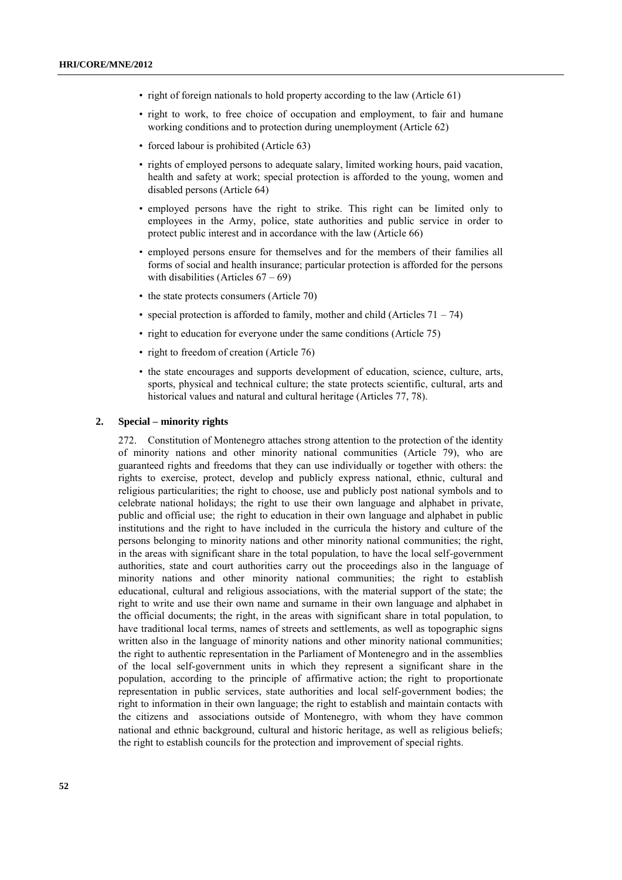- right of foreign nationals to hold property according to the law (Article 61)
- right to work, to free choice of occupation and employment, to fair and humane working conditions and to protection during unemployment (Article 62)
- forced labour is prohibited (Article 63)
- rights of employed persons to adequate salary, limited working hours, paid vacation, health and safety at work; special protection is afforded to the young, women and disabled persons (Article 64)
- employed persons have the right to strike. This right can be limited only to employees in the Army, police, state authorities and public service in order to protect public interest and in accordance with the law (Article 66)
- employed persons ensure for themselves and for the members of their families all forms of social and health insurance; particular protection is afforded for the persons with disabilities (Articles  $67 - 69$ )
- the state protects consumers (Article 70)
- special protection is afforded to family, mother and child (Articles  $71 74$ )
- right to education for everyone under the same conditions (Article 75)
- right to freedom of creation (Article 76)
- the state encourages and supports development of education, science, culture, arts, sports, physical and technical culture; the state protects scientific, cultural, arts and historical values and natural and cultural heritage (Articles 77, 78).

#### **2. Special – minority rights**

272. Constitution of Montenegro attaches strong attention to the protection of the identity of minority nations and other minority national communities (Article 79), who are guaranteed rights and freedoms that they can use individually or together with others: the rights to exercise, protect, develop and publicly express national, ethnic, cultural and religious particularities; the right to choose, use and publicly post national symbols and to celebrate national holidays; the right to use their own language and alphabet in private, public and official use; the right to education in their own language and alphabet in public institutions and the right to have included in the curricula the history and culture of the persons belonging to minority nations and other minority national communities; the right, in the areas with significant share in the total population, to have the local self-government authorities, state and court authorities carry out the proceedings also in the language of minority nations and other minority national communities; the right to establish educational, cultural and religious associations, with the material support of the state; the right to write and use their own name and surname in their own language and alphabet in the official documents; the right, in the areas with significant share in total population, to have traditional local terms, names of streets and settlements, as well as topographic signs written also in the language of minority nations and other minority national communities; the right to authentic representation in the Parliament of Montenegro and in the assemblies of the local self-government units in which they represent a significant share in the population, according to the principle of affirmative action; the right to proportionate representation in public services, state authorities and local self-government bodies; the right to information in their own language; the right to establish and maintain contacts with the citizens and associations outside of Montenegro, with whom they have common national and ethnic background, cultural and historic heritage, as well as religious beliefs; the right to establish councils for the protection and improvement of special rights.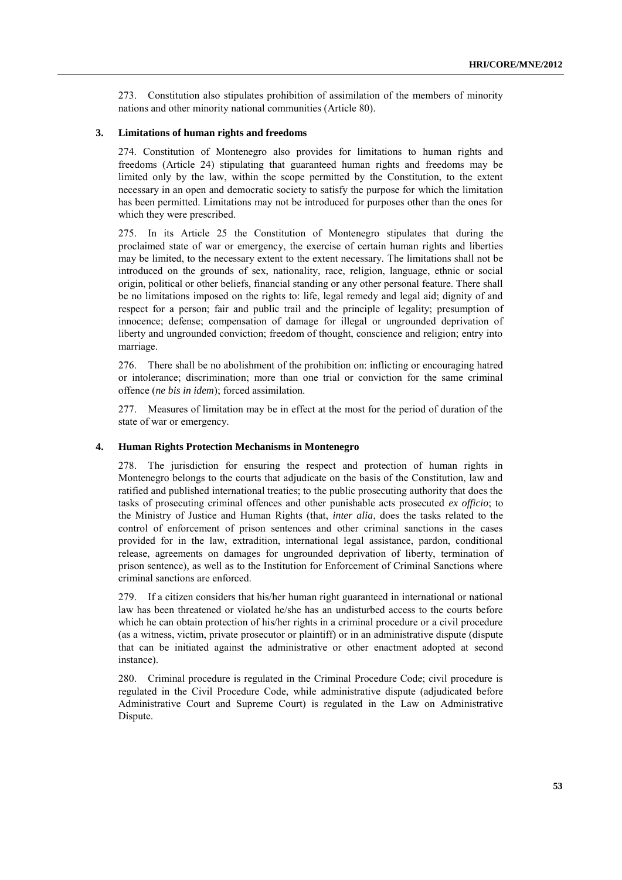273. Constitution also stipulates prohibition of assimilation of the members of minority nations and other minority national communities (Article 80).

## **3. Limitations of human rights and freedoms**

274. Constitution of Montenegro also provides for limitations to human rights and freedoms (Article 24) stipulating that guaranteed human rights and freedoms may be limited only by the law, within the scope permitted by the Constitution, to the extent necessary in an open and democratic society to satisfy the purpose for which the limitation has been permitted. Limitations may not be introduced for purposes other than the ones for which they were prescribed.

275. In its Article 25 the Constitution of Montenegro stipulates that during the proclaimed state of war or emergency, the exercise of certain human rights and liberties may be limited, to the necessary extent to the extent necessary. The limitations shall not be introduced on the grounds of sex, nationality, race, religion, language, ethnic or social origin, political or other beliefs, financial standing or any other personal feature. There shall be no limitations imposed on the rights to: life, legal remedy and legal aid; dignity of and respect for a person; fair and public trail and the principle of legality; presumption of innocence; defense; compensation of damage for illegal or ungrounded deprivation of liberty and ungrounded conviction; freedom of thought, conscience and religion; entry into marriage.

276. There shall be no abolishment of the prohibition on: inflicting or encouraging hatred or intolerance; discrimination; more than one trial or conviction for the same criminal offence (*ne bis in idem*); forced assimilation.

277. Measures of limitation may be in effect at the most for the period of duration of the state of war or emergency.

## **4. Human Rights Protection Mechanisms in Montenegro**

278. The jurisdiction for ensuring the respect and protection of human rights in Montenegro belongs to the courts that adjudicate on the basis of the Constitution, law and ratified and published international treaties; to the public prosecuting authority that does the tasks of prosecuting criminal offences and other punishable acts prosecuted *ex officio*; to the Ministry of Justice and Human Rights (that, *inter alia*, does the tasks related to the control of enforcement of prison sentences and other criminal sanctions in the cases provided for in the law, extradition, international legal assistance, pardon, conditional release, agreements on damages for ungrounded deprivation of liberty, termination of prison sentence), as well as to the Institution for Enforcement of Criminal Sanctions where criminal sanctions are enforced.

279. If a citizen considers that his/her human right guaranteed in international or national law has been threatened or violated he/she has an undisturbed access to the courts before which he can obtain protection of his/her rights in a criminal procedure or a civil procedure (as a witness, victim, private prosecutor or plaintiff) or in an administrative dispute (dispute that can be initiated against the administrative or other enactment adopted at second instance).

280. Criminal procedure is regulated in the Criminal Procedure Code; civil procedure is regulated in the Civil Procedure Code, while administrative dispute (adjudicated before Administrative Court and Supreme Court) is regulated in the Law on Administrative Dispute.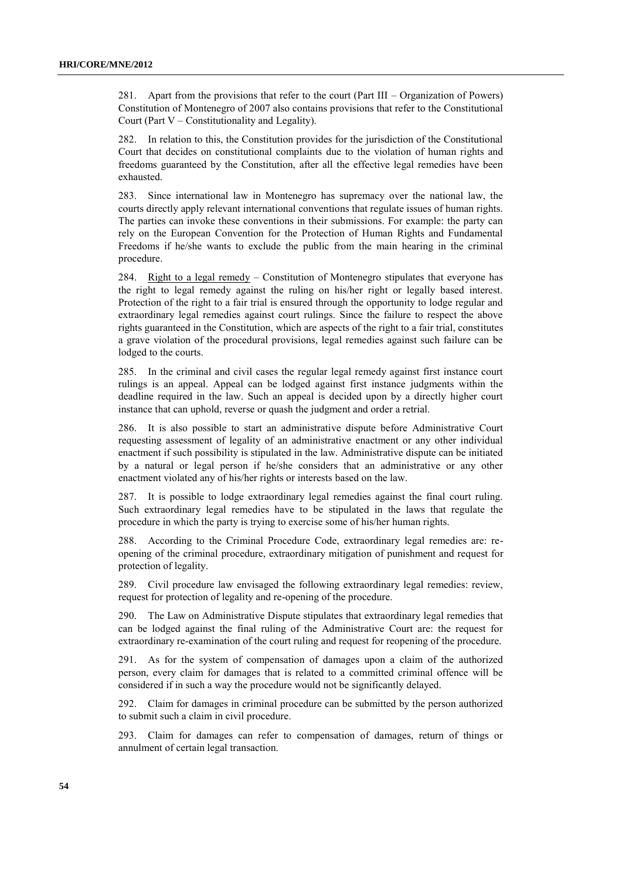281. Apart from the provisions that refer to the court (Part III – Organization of Powers) Constitution of Montenegro of 2007 also contains provisions that refer to the Constitutional Court (Part V – Constitutionality and Legality).

282. In relation to this, the Constitution provides for the jurisdiction of the Constitutional Court that decides on constitutional complaints due to the violation of human rights and freedoms guaranteed by the Constitution, after all the effective legal remedies have been exhausted.

283. Since international law in Montenegro has supremacy over the national law, the courts directly apply relevant international conventions that regulate issues of human rights. The parties can invoke these conventions in their submissions. For example: the party can rely on the European Convention for the Protection of Human Rights and Fundamental Freedoms if he/she wants to exclude the public from the main hearing in the criminal procedure.

284. Right to a legal remedy *–* Constitution of Montenegro stipulates that everyone has the right to legal remedy against the ruling on his/her right or legally based interest. Protection of the right to a fair trial is ensured through the opportunity to lodge regular and extraordinary legal remedies against court rulings. Since the failure to respect the above rights guaranteed in the Constitution, which are aspects of the right to a fair trial, constitutes a grave violation of the procedural provisions, legal remedies against such failure can be lodged to the courts.

285. In the criminal and civil cases the regular legal remedy against first instance court rulings is an appeal. Appeal can be lodged against first instance judgments within the deadline required in the law. Such an appeal is decided upon by a directly higher court instance that can uphold, reverse or quash the judgment and order a retrial.

286. It is also possible to start an administrative dispute before Administrative Court requesting assessment of legality of an administrative enactment or any other individual enactment if such possibility is stipulated in the law. Administrative dispute can be initiated by a natural or legal person if he/she considers that an administrative or any other enactment violated any of his/her rights or interests based on the law.

287. It is possible to lodge extraordinary legal remedies against the final court ruling. Such extraordinary legal remedies have to be stipulated in the laws that regulate the procedure in which the party is trying to exercise some of his/her human rights.

288. According to the Criminal Procedure Code, extraordinary legal remedies are: reopening of the criminal procedure, extraordinary mitigation of punishment and request for protection of legality.

289. Civil procedure law envisaged the following extraordinary legal remedies: review, request for protection of legality and re-opening of the procedure.

290. The Law on Administrative Dispute stipulates that extraordinary legal remedies that can be lodged against the final ruling of the Administrative Court are: the request for extraordinary re-examination of the court ruling and request for reopening of the procedure.

291. As for the system of compensation of damages upon a claim of the authorized person, every claim for damages that is related to a committed criminal offence will be considered if in such a way the procedure would not be significantly delayed.

292. Claim for damages in criminal procedure can be submitted by the person authorized to submit such a claim in civil procedure.

293. Claim for damages can refer to compensation of damages, return of things or annulment of certain legal transaction.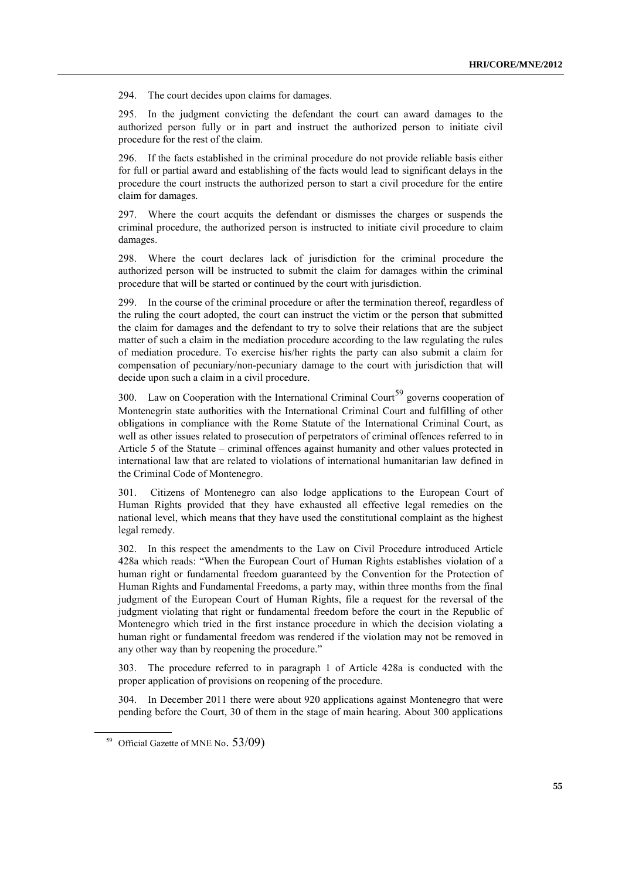294. The court decides upon claims for damages.

295. In the judgment convicting the defendant the court can award damages to the authorized person fully or in part and instruct the authorized person to initiate civil procedure for the rest of the claim.

296. If the facts established in the criminal procedure do not provide reliable basis either for full or partial award and establishing of the facts would lead to significant delays in the procedure the court instructs the authorized person to start a civil procedure for the entire claim for damages.

297. Where the court acquits the defendant or dismisses the charges or suspends the criminal procedure, the authorized person is instructed to initiate civil procedure to claim damages.

298. Where the court declares lack of jurisdiction for the criminal procedure the authorized person will be instructed to submit the claim for damages within the criminal procedure that will be started or continued by the court with jurisdiction.

299. In the course of the criminal procedure or after the termination thereof, regardless of the ruling the court adopted, the court can instruct the victim or the person that submitted the claim for damages and the defendant to try to solve their relations that are the subject matter of such a claim in the mediation procedure according to the law regulating the rules of mediation procedure. To exercise his/her rights the party can also submit a claim for compensation of pecuniary/non-pecuniary damage to the court with jurisdiction that will decide upon such a claim in a civil procedure.

300. Law on Cooperation with the International Criminal Court<sup>59</sup> governs cooperation of Montenegrin state authorities with the International Criminal Court and fulfilling of other obligations in compliance with the Rome Statute of the International Criminal Court, as well as other issues related to prosecution of perpetrators of criminal offences referred to in Article 5 of the Statute – criminal offences against humanity and other values protected in international law that are related to violations of international humanitarian law defined in the Criminal Code of Montenegro.

301. Citizens of Montenegro can also lodge applications to the European Court of Human Rights provided that they have exhausted all effective legal remedies on the national level, which means that they have used the constitutional complaint as the highest legal remedy.

302. In this respect the amendments to the Law on Civil Procedure introduced Article 428a which reads: "When the European Court of Human Rights establishes violation of a human right or fundamental freedom guaranteed by the Convention for the Protection of Human Rights and Fundamental Freedoms, a party may, within three months from the final judgment of the European Court of Human Rights, file a request for the reversal of the judgment violating that right or fundamental freedom before the court in the Republic of Montenegro which tried in the first instance procedure in which the decision violating a human right or fundamental freedom was rendered if the violation may not be removed in any other way than by reopening the procedure."

303. The procedure referred to in paragraph 1 of Article 428a is conducted with the proper application of provisions on reopening of the procedure.

304. In December 2011 there were about 920 applications against Montenegro that were pending before the Court, 30 of them in the stage of main hearing. About 300 applications

<sup>&</sup>lt;sup>59</sup> Official Gazette of MNE No. 53/09)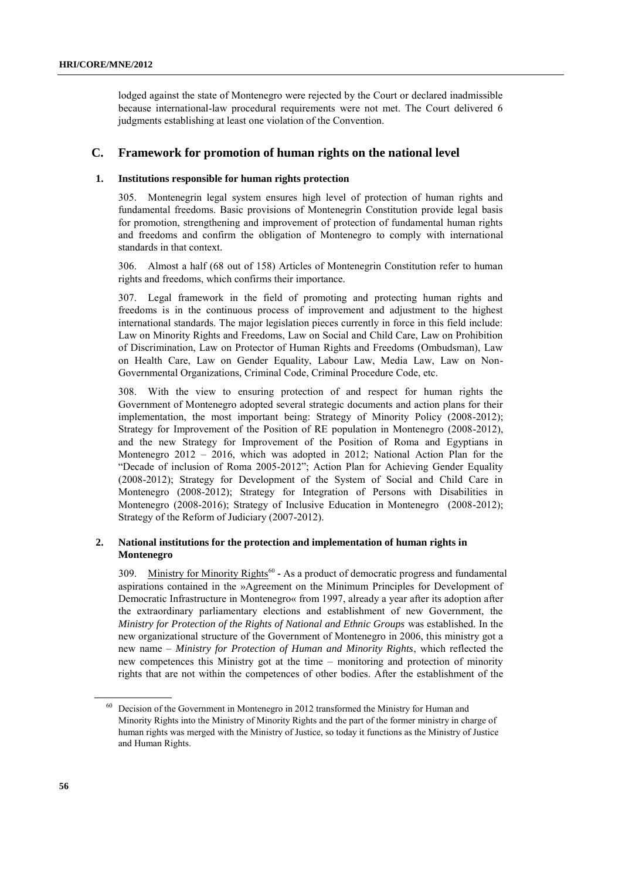lodged against the state of Montenegro were rejected by the Court or declared inadmissible because international-law procedural requirements were not met. The Court delivered 6 judgments establishing at least one violation of the Convention.

# **C. Framework for promotion of human rights on the national level**

## **1. Institutions responsible for human rights protection**

305. Montenegrin legal system ensures high level of protection of human rights and fundamental freedoms. Basic provisions of Montenegrin Constitution provide legal basis for promotion, strengthening and improvement of protection of fundamental human rights and freedoms and confirm the obligation of Montenegro to comply with international standards in that context.

306. Almost a half (68 out of 158) Articles of Montenegrin Constitution refer to human rights and freedoms, which confirms their importance.

307. Legal framework in the field of promoting and protecting human rights and freedoms is in the continuous process of improvement and adjustment to the highest international standards. The major legislation pieces currently in force in this field include: Law on Minority Rights and Freedoms, Law on Social and Child Care, Law on Prohibition of Discrimination, Law on Protector of Human Rights and Freedoms (Ombudsman), Law on Health Care, Law on Gender Equality, Labour Law, Media Law, Law on Non-Governmental Organizations, Criminal Code, Criminal Procedure Code, etc.

308. With the view to ensuring protection of and respect for human rights the Government of Montenegro adopted several strategic documents and action plans for their implementation, the most important being: Strategy of Minority Policy (2008-2012); Strategy for Improvement of the Position of RE population in Montenegro (2008-2012), and the new Strategy for Improvement of the Position of Roma and Egyptians in Montenegro 2012 – 2016, which was adopted in 2012; National Action Plan for the "Decade of inclusion of Roma 2005-2012"; Action Plan for Achieving Gender Equality (2008-2012); Strategy for Development of the System of Social and Child Care in Montenegro (2008-2012); Strategy for Integration of Persons with Disabilities in Montenegro (2008-2016); Strategy of Inclusive Education in Montenegro (2008-2012); Strategy of the Reform of Judiciary (2007-2012).

## **2. National institutions for the protection and implementation of human rights in Montenegro**

309. Ministry for Minority Rights<sup>60</sup> - As a product of democratic progress and fundamental aspirations contained in the »Agreement on the Minimum Principles for Development of Democratic Infrastructure in Montenegro« from 1997, already a year after its adoption after the extraordinary parliamentary elections and establishment of new Government, the *Ministry for Protection of the Rights of National and Ethnic Groups* was established*.* In the new organizational structure of the Government of Montenegro in 2006, this ministry got a new name – *Ministry for Protection of Human and Minority Rights*, which reflected the new competences this Ministry got at the time – monitoring and protection of minority rights that are not within the competences of other bodies. After the establishment of the

<sup>60</sup> Decision of the Government in Montenegro in 2012 transformed the Ministry for Human and Minority Rights into the Ministry of Minority Rights and the part of the former ministry in charge of human rights was merged with the Ministry of Justice, so today it functions as the Ministry of Justice and Human Rights.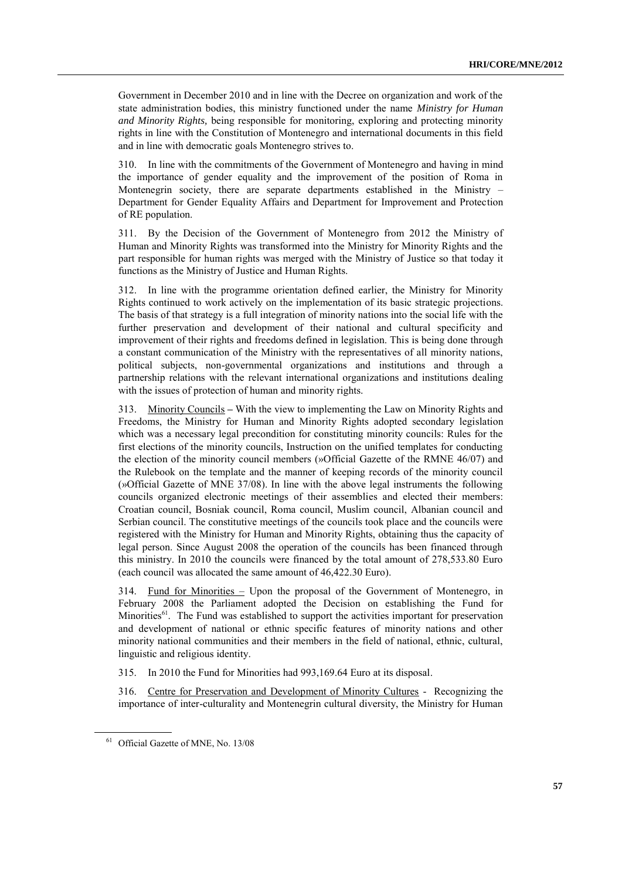Government in December 2010 and in line with the Decree on organization and work of the state administration bodies, this ministry functioned under the name *Ministry for Human and Minority Rights,* being responsible for monitoring, exploring and protecting minority rights in line with the Constitution of Montenegro and international documents in this field and in line with democratic goals Montenegro strives to.

310. In line with the commitments of the Government of Montenegro and having in mind the importance of gender equality and the improvement of the position of Roma in Montenegrin society, there are separate departments established in the Ministry – Department for Gender Equality Affairs and Department for Improvement and Protection of RE population.

311. By the Decision of the Government of Montenegro from 2012 the Ministry of Human and Minority Rights was transformed into the Ministry for Minority Rights and the part responsible for human rights was merged with the Ministry of Justice so that today it functions as the Ministry of Justice and Human Rights.

312. In line with the programme orientation defined earlier, the Ministry for Minority Rights continued to work actively on the implementation of its basic strategic projections. The basis of that strategy is a full integration of minority nations into the social life with the further preservation and development of their national and cultural specificity and improvement of their rights and freedoms defined in legislation. This is being done through a constant communication of the Ministry with the representatives of all minority nations, political subjects, non-governmental organizations and institutions and through a partnership relations with the relevant international organizations and institutions dealing with the issues of protection of human and minority rights.

313. Minority Councils **–** With the view to implementing the Law on Minority Rights and Freedoms, the Ministry for Human and Minority Rights adopted secondary legislation which was a necessary legal precondition for constituting minority councils: Rules for the first elections of the minority councils, Instruction on the unified templates for conducting the election of the minority council members (»Official Gazette of the RMNE 46/07) and the Rulebook on the template and the manner of keeping records of the minority council (»Official Gazette of MNE 37/08). In line with the above legal instruments the following councils organized electronic meetings of their assemblies and elected their members: Croatian council, Bosniak council, Roma council, Muslim council, Albanian council and Serbian council. The constitutive meetings of the councils took place and the councils were registered with the Ministry for Human and Minority Rights, obtaining thus the capacity of legal person. Since August 2008 the operation of the councils has been financed through this ministry. In 2010 the councils were financed by the total amount of 278,533.80 Euro (each council was allocated the same amount of 46,422.30 Euro).

314. Fund for Minorities – Upon the proposal of the Government of Montenegro, in February 2008 the Parliament adopted the Decision on establishing the Fund for Minorities<sup>61</sup>. The Fund was established to support the activities important for preservation and development of national or ethnic specific features of minority nations and other minority national communities and their members in the field of national, ethnic, cultural, linguistic and religious identity.

315. In 2010 the Fund for Minorities had 993,169.64 Euro at its disposal.

316. Centre for Preservation and Development of Minority Cultures - Recognizing the importance of inter-culturality and Montenegrin cultural diversity, the Ministry for Human

<sup>&</sup>lt;sup>61</sup> Official Gazette of MNE, No. 13/08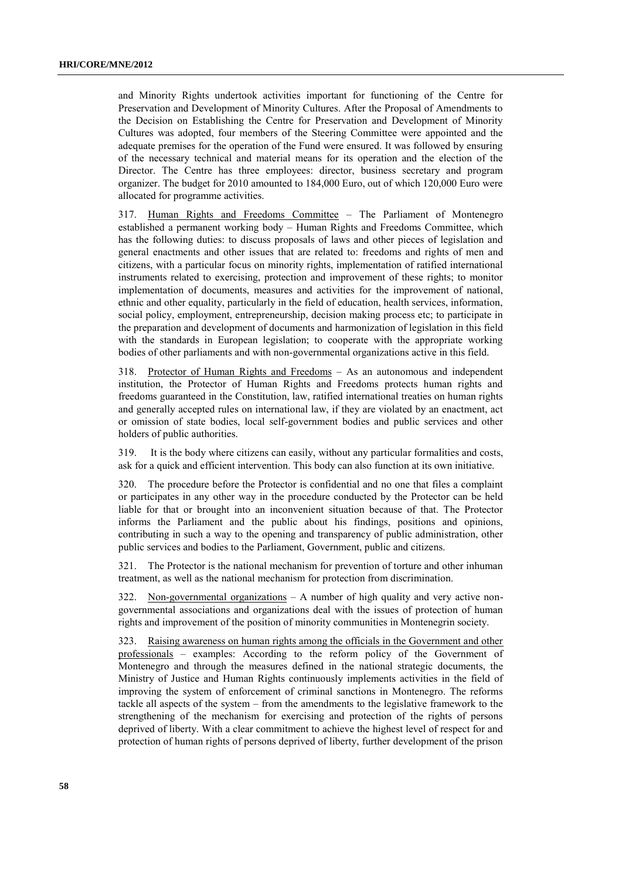and Minority Rights undertook activities important for functioning of the Centre for Preservation and Development of Minority Cultures. After the Proposal of Amendments to the Decision on Establishing the Centre for Preservation and Development of Minority Cultures was adopted, four members of the Steering Committee were appointed and the adequate premises for the operation of the Fund were ensured. It was followed by ensuring of the necessary technical and material means for its operation and the election of the Director. The Centre has three employees: director, business secretary and program organizer. The budget for 2010 amounted to 184,000 Euro, out of which 120,000 Euro were allocated for programme activities.

317. Human Rights and Freedoms Committee – The Parliament of Montenegro established a permanent working body – Human Rights and Freedoms Committee, which has the following duties: to discuss proposals of laws and other pieces of legislation and general enactments and other issues that are related to: freedoms and rights of men and citizens, with a particular focus on minority rights, implementation of ratified international instruments related to exercising, protection and improvement of these rights; to monitor implementation of documents, measures and activities for the improvement of national, ethnic and other equality, particularly in the field of education, health services, information, social policy, employment, entrepreneurship, decision making process etc; to participate in the preparation and development of documents and harmonization of legislation in this field with the standards in European legislation; to cooperate with the appropriate working bodies of other parliaments and with non-governmental organizations active in this field.

318. Protector of Human Rights and Freedoms – As an autonomous and independent institution, the Protector of Human Rights and Freedoms protects human rights and freedoms guaranteed in the Constitution, law, ratified international treaties on human rights and generally accepted rules on international law, if they are violated by an enactment, act or omission of state bodies, local self-government bodies and public services and other holders of public authorities.

319. It is the body where citizens can easily, without any particular formalities and costs, ask for a quick and efficient intervention. This body can also function at its own initiative.

320. The procedure before the Protector is confidential and no one that files a complaint or participates in any other way in the procedure conducted by the Protector can be held liable for that or brought into an inconvenient situation because of that. The Protector informs the Parliament and the public about his findings, positions and opinions, contributing in such a way to the opening and transparency of public administration, other public services and bodies to the Parliament, Government, public and citizens.

321. The Protector is the national mechanism for prevention of torture and other inhuman treatment, as well as the national mechanism for protection from discrimination.

322. Non-governmental organizations  $- A$  number of high quality and very active nongovernmental associations and organizations deal with the issues of protection of human rights and improvement of the position of minority communities in Montenegrin society.

323. Raising awareness on human rights among the officials in the Government and other professionals – examples: According to the reform policy of the Government of Montenegro and through the measures defined in the national strategic documents, the Ministry of Justice and Human Rights continuously implements activities in the field of improving the system of enforcement of criminal sanctions in Montenegro. The reforms tackle all aspects of the system – from the amendments to the legislative framework to the strengthening of the mechanism for exercising and protection of the rights of persons deprived of liberty. With a clear commitment to achieve the highest level of respect for and protection of human rights of persons deprived of liberty, further development of the prison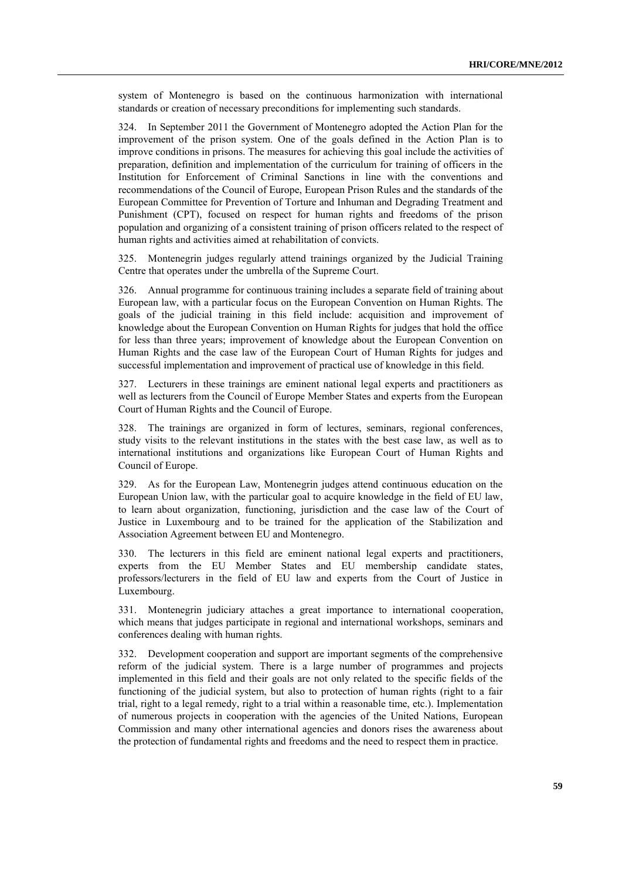system of Montenegro is based on the continuous harmonization with international standards or creation of necessary preconditions for implementing such standards.

324. In September 2011 the Government of Montenegro adopted the Action Plan for the improvement of the prison system. One of the goals defined in the Action Plan is to improve conditions in prisons. The measures for achieving this goal include the activities of preparation, definition and implementation of the curriculum for training of officers in the Institution for Enforcement of Criminal Sanctions in line with the conventions and recommendations of the Council of Europe, European Prison Rules and the standards of the European Committee for Prevention of Torture and Inhuman and Degrading Treatment and Punishment (CPT), focused on respect for human rights and freedoms of the prison population and organizing of a consistent training of prison officers related to the respect of human rights and activities aimed at rehabilitation of convicts.

325. Montenegrin judges regularly attend trainings organized by the Judicial Training Centre that operates under the umbrella of the Supreme Court.

326. Annual programme for continuous training includes a separate field of training about European law, with a particular focus on the European Convention on Human Rights. The goals of the judicial training in this field include: acquisition and improvement of knowledge about the European Convention on Human Rights for judges that hold the office for less than three years; improvement of knowledge about the European Convention on Human Rights and the case law of the European Court of Human Rights for judges and successful implementation and improvement of practical use of knowledge in this field.

327. Lecturers in these trainings are eminent national legal experts and practitioners as well as lecturers from the Council of Europe Member States and experts from the European Court of Human Rights and the Council of Europe.

328. The trainings are organized in form of lectures, seminars, regional conferences, study visits to the relevant institutions in the states with the best case law, as well as to international institutions and organizations like European Court of Human Rights and Council of Europe.

329. As for the European Law, Montenegrin judges attend continuous education on the European Union law, with the particular goal to acquire knowledge in the field of EU law, to learn about organization, functioning, jurisdiction and the case law of the Court of Justice in Luxembourg and to be trained for the application of the Stabilization and Association Agreement between EU and Montenegro.

330. The lecturers in this field are eminent national legal experts and practitioners, experts from the EU Member States and EU membership candidate states, professors/lecturers in the field of EU law and experts from the Court of Justice in Luxembourg.

331. Montenegrin judiciary attaches a great importance to international cooperation, which means that judges participate in regional and international workshops, seminars and conferences dealing with human rights.

332. Development cooperation and support are important segments of the comprehensive reform of the judicial system. There is a large number of programmes and projects implemented in this field and their goals are not only related to the specific fields of the functioning of the judicial system, but also to protection of human rights (right to a fair trial, right to a legal remedy, right to a trial within a reasonable time, etc.). Implementation of numerous projects in cooperation with the agencies of the United Nations, European Commission and many other international agencies and donors rises the awareness about the protection of fundamental rights and freedoms and the need to respect them in practice.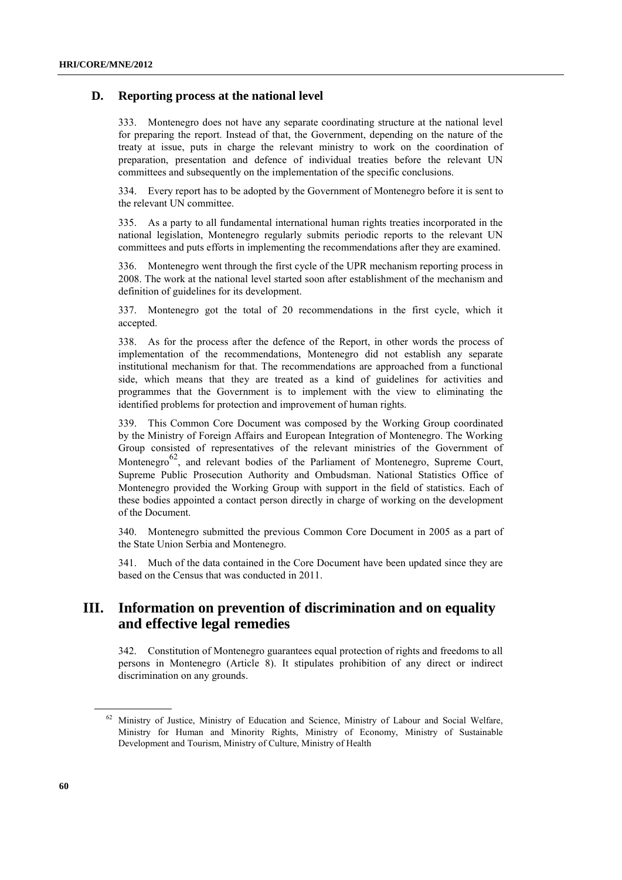# **D. Reporting process at the national level**

333. Montenegro does not have any separate coordinating structure at the national level for preparing the report. Instead of that, the Government, depending on the nature of the treaty at issue, puts in charge the relevant ministry to work on the coordination of preparation, presentation and defence of individual treaties before the relevant UN committees and subsequently on the implementation of the specific conclusions.

334. Every report has to be adopted by the Government of Montenegro before it is sent to the relevant UN committee.

335. As a party to all fundamental international human rights treaties incorporated in the national legislation, Montenegro regularly submits periodic reports to the relevant UN committees and puts efforts in implementing the recommendations after they are examined.

336. Montenegro went through the first cycle of the UPR mechanism reporting process in 2008. The work at the national level started soon after establishment of the mechanism and definition of guidelines for its development.

337. Montenegro got the total of 20 recommendations in the first cycle, which it accepted.

338. As for the process after the defence of the Report, in other words the process of implementation of the recommendations, Montenegro did not establish any separate institutional mechanism for that. The recommendations are approached from a functional side, which means that they are treated as a kind of guidelines for activities and programmes that the Government is to implement with the view to eliminating the identified problems for protection and improvement of human rights.

339. This Common Core Document was composed by the Working Group coordinated by the Ministry of Foreign Affairs and European Integration of Montenegro. The Working Group consisted of representatives of the relevant ministries of the Government of Montenegro<sup>62</sup>, and relevant bodies of the Parliament of Montenegro, Supreme Court, Supreme Public Prosecution Authority and Ombudsman. National Statistics Office of Montenegro provided the Working Group with support in the field of statistics. Each of these bodies appointed a contact person directly in charge of working on the development of the Document.

340. Montenegro submitted the previous Common Core Document in 2005 as a part of the State Union Serbia and Montenegro.

Much of the data contained in the Core Document have been updated since they are based on the Census that was conducted in 2011.

# **III. Information on prevention of discrimination and on equality and effective legal remedies**

342. Constitution of Montenegro guarantees equal protection of rights and freedoms to all persons in Montenegro (Article 8). It stipulates prohibition of any direct or indirect discrimination on any grounds.

<sup>&</sup>lt;sup>62</sup> Ministry of Justice, Ministry of Education and Science, Ministry of Labour and Social Welfare, Ministry for Human and Minority Rights, Ministry of Economy, Ministry of Sustainable Development and Tourism, Ministry of Culture, Ministry of Health